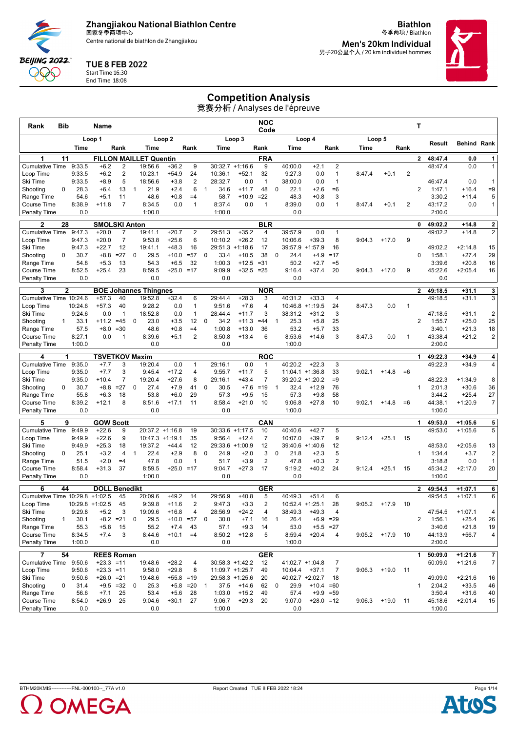Centre national de biathlon de Zhangjiakou

**Biathlon** 冬季两项 / Biathlon **Men's 20km Individual**

男子20公里个人 / 20 km individuel hommes



#### TUE 8 FEB 2022

Start Time 16:30 End Time 18:08

**BEIJING 2022** QQQ

## Competition Analysis

| Rank                                | <b>Bib</b>   |                   | Name                              |                    |              |                               |                        |                              |                |                   |                         | <b>NOC</b><br>Code  |                                |                        |                                  |        |                |              | Т              |                    |                        |                                  |
|-------------------------------------|--------------|-------------------|-----------------------------------|--------------------|--------------|-------------------------------|------------------------|------------------------------|----------------|-------------------|-------------------------|---------------------|--------------------------------|------------------------|----------------------------------|--------|----------------|--------------|----------------|--------------------|------------------------|----------------------------------|
|                                     |              |                   | Loop 1                            |                    |              |                               | Loop <sub>2</sub>      |                              |                |                   | Loop 3                  |                     |                                | Loop 4                 |                                  |        | Loop 5         |              |                |                    |                        |                                  |
|                                     |              | Time              |                                   | Rank               |              | Time                          |                        | Rank                         |                | Time              |                         | Rank                | Time                           |                        | Rank                             | Time   |                | Rank         |                | Result             | <b>Behind Rank</b>     |                                  |
|                                     | 11           |                   |                                   |                    |              | <b>FILLON MAILLET Quentin</b> |                        |                              |                |                   |                         | <b>FRA</b>          |                                |                        |                                  |        |                |              | $\mathbf{2}$   | 48:47.4            | 0.0                    | $1\vert$                         |
| <b>Cumulative Time</b>              |              | 9:33.5            | $+6.2$                            | 2                  |              | 19:56.6                       | $+36.2$                | 9                            |                |                   | $30:32.7 +1:16.6$       | 9                   | 40:00.0                        | $+2.1$                 | $\overline{2}$                   |        |                |              |                | 48:47.4            | 0.0                    | 1                                |
| Loop Time                           |              | 9:33.5            | $+6.2$                            | 2                  |              | 10:23.1                       | $+54.9$                | 24                           |                | 10:36.1           | $+52.1$                 | 32                  | 9:27.3                         | 0.0                    | $\mathbf{1}$                     | 8:47.4 | $+0.1$         | 2            |                |                    |                        |                                  |
| Ski Time<br>Shooting                | $\Omega$     | 9:33.5<br>28.3    | $+8.9$<br>$+6.4$                  | 5<br>13            | $\mathbf{1}$ | 18:56.6<br>21.9               | $+3.8$<br>$+2.4$       | $\overline{2}$<br>6          | $\mathbf{1}$   | 28:32.7<br>34.6   | 0.0<br>$+11.7$          | $\mathbf{1}$<br>48  | 38:00.0<br>22.1<br>$\mathbf 0$ | 0.0<br>$+2.6$          | $\mathbf{1}$<br>$=6$             |        |                |              | 2              | 46:47.4<br>1:47.1  | 0.0<br>$+16.4$         | $\mathbf{1}$<br>$=9$             |
| Range Time                          |              | 54.6              | $+5.1$                            | 11                 |              | 48.6                          | $+0.8$                 | $=4$                         |                | 58.7              | $+10.9$                 | $=22$               | 48.3                           | $+0.8$                 | 3                                |        |                |              |                | 3:30.2             | $+11.4$                | 5                                |
| Course Time                         |              | 8:38.9            | $+11.8$                           | $\overline{7}$     |              | 8:34.5                        | 0.0                    | $\mathbf{1}$                 |                | 8:37.4            | 0.0                     | $\mathbf{1}$        | 8:39.0                         | 0.0                    | $\mathbf{1}$                     | 8:47.4 | $+0.1$         | 2            |                | 43:17.2            | 0.0                    | $\mathbf{1}$                     |
| <b>Penalty Time</b>                 |              | 0.0               |                                   |                    |              | 1:00.0                        |                        |                              |                | 1:00.0            |                         |                     | 0.0                            |                        |                                  |        |                |              |                | 2:00.0             |                        |                                  |
| $\mathbf{2}$                        | 28           |                   | <b>SMOLSKI Anton</b>              |                    |              |                               |                        |                              |                |                   |                         | <b>BLR</b>          |                                |                        |                                  |        |                |              | 0              | 49:02.2            | $+14.8$                | $\mathbf{2}$                     |
| <b>Cumulative Time</b>              |              | 9:47.3            | $+20.0$                           | 7                  |              | 19:41.1                       | $+20.7$                | 2                            |                | 29:51.3           | $+35.2$                 | $\overline{4}$      | 39:57.9                        | 0.0                    | $\mathbf{1}$                     |        |                |              |                | 49:02.2            | $+14.8$                | $\overline{2}$                   |
| Loop Time                           |              | 9:47.3            | $+20.0$                           | 7                  |              | 9:53.8                        | $+25.6$                | 6                            |                | 10:10.2           | $+26.2$                 | 12                  | 10:06.6                        | $+39.3$                | 8                                | 9:04.3 | $+17.0$        | 9            |                |                    |                        |                                  |
| Ski Time                            |              | 9:47.3            | $+22.7$                           | 12                 |              | 19:41.1                       | $+48.3$                | 16                           |                |                   | 29:51.3 +1:18.6         | 17                  | 39:57.9                        | $+1:57.9$              | 16                               |        |                |              |                | 49:02.2            | $+2:14.8$              | 15                               |
| Shooting                            | 0            | 30.7              | $+8.8$                            | $=27$              | $\mathbf 0$  | 29.5                          | $+10.0$                | $= 57$                       | 0              | 33.4              | $+10.5$                 | 38                  | 24.4<br>0                      | $+4.9$                 | $=17$                            |        |                |              | 0              | 1:58.1             | $+27.4$                | 29                               |
| Range Time                          |              | 54.8<br>8:52.5    | $+5.3$<br>$+25.4$                 | 13<br>23           |              | 54.3<br>8:59.5                | $+6.5$<br>$+25.0 = 17$ | 32                           |                | 1:00.3<br>9:09.9  | $+12.5$<br>$+32.5 = 25$ | $= 31$              | 50.2<br>9:16.4                 | $+2.7$<br>$+37.4$      | $= 5$<br>20                      | 9:04.3 |                | 9            |                | 3:39.6<br>45:22.6  | $+20.8$<br>$+2:05.4$   | 16<br>16                         |
| Course Time<br><b>Penalty Time</b>  |              | 0.0               |                                   |                    |              | 0.0                           |                        |                              |                | 0.0               |                         |                     | 0.0                            |                        |                                  |        | $+17.0$        |              |                | 0.0                |                        |                                  |
|                                     |              |                   |                                   |                    |              |                               |                        |                              |                |                   |                         |                     |                                |                        |                                  |        |                |              |                |                    |                        |                                  |
| 3                                   | $\mathbf{2}$ |                   |                                   |                    |              | <b>BOE Johannes Thingnes</b>  |                        |                              |                |                   |                         | <b>NOR</b>          |                                |                        |                                  |        |                |              | $\mathbf{2}$   | 49:18.5            | $+31.1$                | 3 <sup>1</sup>                   |
| Cumulative Time 10:24.6             |              |                   | $+57.3$                           | 40                 |              | 19:52.8                       | $+32.4$                | 6                            |                | 29:44.4           | $+28.3$                 | 3                   | 40:31.2                        | $+33.3$                | $\overline{4}$                   |        |                |              |                | 49:18.5            | $+31.1$                | 3                                |
| Loop Time<br>Ski Time               |              | 10:24.6<br>9:24.6 | $+57.3$<br>0.0                    | 40<br>$\mathbf{1}$ |              | 9:28.2<br>18:52.8             | 0.0<br>0.0             | $\mathbf{1}$<br>$\mathbf{1}$ |                | 9:51.6<br>28:44.4 | $+7.6$<br>$+11.7$       | $\overline{4}$<br>3 | 10:46.8<br>38:31.2             | $+1:19.5$<br>$+31.2$   | 24<br>3                          | 8:47.3 | 0.0            | $\mathbf{1}$ |                | 47:18.5            | $+31.1$                | $\overline{2}$                   |
| Shooting                            | $\mathbf{1}$ | 33.1              | $+11.2$                           | $=45$              | 0            | 23.0                          | $+3.5$                 | 12                           | 0              | 34.2              | $+11.3$                 | $=44$               | 25.3<br>$\mathbf{1}$           | $+5.8$                 | 25                               |        |                |              | 2              | 1:55.7             | $+25.0$                | 25                               |
| Range Time                          |              | 57.5              | $+8.0$                            | $= 30$             |              | 48.6                          | $+0.8$                 | $=4$                         |                | 1:00.8            | $+13.0$                 | 36                  | 53.2                           | $+5.7$                 | 33                               |        |                |              |                | 3:40.1             | $+21.3$                | 18                               |
| Course Time                         |              | 8:27.1            | 0.0                               | $\mathbf{1}$       |              | 8:39.6                        | $+5.1$                 | 2                            |                | 8:50.8            | $+13.4$                 | 6                   | 8:53.6                         | $+14.6$                | 3                                | 8:47.3 | 0.0            | 1            |                | 43:38.4            | $+21.2$                | $\overline{c}$                   |
| <b>Penalty Time</b>                 |              | 1:00.0            |                                   |                    |              | 0.0                           |                        |                              |                | 0.0               |                         |                     | 1:00.0                         |                        |                                  |        |                |              |                | 2:00.0             |                        |                                  |
| 4                                   | 1            |                   | <b>TSVETKOV Maxim</b>             |                    |              |                               |                        |                              |                |                   |                         | <b>ROC</b>          |                                |                        |                                  |        |                |              | 1              | 49:22.3            | $+34.9$                | $\vert$                          |
| <b>Cumulative Time</b>              |              | 9:35.0            | $+7.7$                            | 3                  |              | 19:20.4                       | 0.0                    | $\mathbf{1}$                 |                | 29:16.1           | 0.0                     | $\mathbf{1}$        | 40:20.2                        | $+22.3$                | 3                                |        |                |              |                | 49:22.3            | $+34.9$                | $\overline{4}$                   |
| Loop Time                           |              | 9:35.0            | $+7.7$                            | 3                  |              | 9:45.4                        | $+17.2$                | 4                            |                | 9:55.7            | $+11.7$                 | 5                   |                                | $11:04.1 + 1:36.8$     | 33                               | 9:02.1 | $+14.8$        | $=6$         |                |                    |                        |                                  |
| Ski Time                            |              | 9:35.0            | $+10.4$                           | $\overline{7}$     |              | 19:20.4                       | $+27.6$                | 8                            |                | 29:16.1           | $+43.4$                 | $\overline{7}$      |                                | 39:20.2 +1:20.2        | $=9$                             |        |                |              |                | 48:22.3            | $+1:34.9$              | 8                                |
| Shooting                            | $\Omega$     | 30.7              | $+8.8$                            | $=27$              | 0            | 27.4                          | $+7.9$                 | 41                           | 0              | 30.5              | $+7.6$                  | $=19$               | 32.4<br>-1                     | $+12.9$                | 76                               |        |                |              | $\mathbf{1}$   | 2:01.3             | $+30.6$                | 36                               |
| Range Time                          |              | 55.8              | $+6.3$                            | 18                 |              | 53.8                          | $+6.0$                 | 29                           |                | 57.3              | $+9.5$                  | 15                  | 57.3                           | $+9.8$                 | 58                               |        |                |              |                | 3:44.2             | $+25.4$                | 27                               |
| Course Time<br><b>Penalty Time</b>  |              | 8:39.2<br>0.0     | $+12.1$                           | 8                  |              | 8:51.6<br>0.0                 | $+17.1$                | 11                           |                | 8:58.4<br>0.0     | $+21.0$                 | 10                  | 9:06.8<br>1:00.0               | $+27.8$                | 10                               | 9:02.1 | $+14.8$        | $=6$         |                | 44:38.1<br>1:00.0  | $+1:20.9$              | $\overline{7}$                   |
|                                     |              |                   |                                   |                    |              |                               |                        |                              |                |                   |                         |                     |                                |                        |                                  |        |                |              |                |                    |                        |                                  |
| 5<br><b>Cumulative Time</b>         | 9            | 9:49.9            | <b>GOW Scott</b><br>$+22.6$       | 9                  |              | 20:37.2 +1:16.8               |                        | 19                           |                |                   | $30:33.6 +1:17.5$       | CAN<br>10           | 40:40.6                        | $+42.7$                | 5                                |        |                |              | 1              | 49:53.0<br>49:53.0 | $+1:05.6$<br>$+1:05.6$ | 5<br>5                           |
| Loop Time                           |              | 9:49.9            | $+22.6$                           | 9                  |              | $10:47.3 +1:19.1$             |                        | 35                           |                | 9:56.4            | $+12.4$                 | $\overline{7}$      | 10:07.0                        | $+39.7$                | 9                                | 9:12.4 | $+25.1$        | 15           |                |                    |                        |                                  |
| Ski Time                            |              | 9:49.9            | $+25.3$                           | 18                 |              | 19:37.2                       | $+44.4$                | 12                           |                | 29:33.6           | $+1:00.9$               | 12                  |                                | 39:40.6 +1:40.6        | 12                               |        |                |              |                | 48:53.0            | $+2:05.6$              | 13                               |
| Shooting                            | 0            | 25.1              | $+3.2$                            | 4                  | $\mathbf{1}$ | 22.4                          | $+2.9$                 | 8                            | 0              | 24.9              | $+2.0$                  | 3                   | 0<br>21.8                      | $+2.3$                 | 5                                |        |                |              | $\mathbf{1}$   | 1:34.4             | $+3.7$                 | $\overline{2}$                   |
| Range Time                          |              | 51.5              | $+2.0$                            | $=4$               |              | 47.8                          | 0.0                    | $\mathbf{1}$                 |                | 51.7              | $+3.9$                  | 2                   | 47.8                           | $+0.3$                 | 2                                |        |                |              |                | 3:18.8             | 0.0                    | $\mathbf{1}$                     |
| Course Time                         |              | 8:58.4            | $+31.3$                           | 37                 |              | 8:59.5                        | $+25.0 = 17$           |                              |                | 9:04.7            | $+27.3$                 | 17                  | 9:19.2                         | $+40.2$                | 24                               | 9:12.4 | $+25.1$        | 15           |                | 45:34.2            | $+2:17.0$              | 20                               |
| Penalty Time                        |              | 0.0               |                                   |                    |              | 1:00.0                        |                        |                              |                | 0.0               |                         |                     | 0.0                            |                        |                                  |        |                |              |                | 1:00.0             |                        |                                  |
| 6                                   | 44           |                   | <b>DOLL Benedikt</b>              |                    |              |                               |                        |                              |                |                   |                         | <b>GER</b>          |                                |                        |                                  |        |                |              | $\overline{2}$ | 49:54.5            | $+1:07.1$              | 6                                |
| Cumulative Time 10:29.8             |              |                   | $+1:02.5$                         | 45                 |              | 20:09.6                       | $+49.2$                | 14                           |                | 29:56.9           | $+40.8$                 | 5                   | 40:49.3                        | $+51.4$                | 6                                |        |                |              |                | 49:54.5            | $+1:07.1$              | 6                                |
| Loop Time                           |              |                   | $10:29.8 + 1:02.5$                | 45                 |              | 9:39.8                        | $+11.6$                | $\overline{2}$               |                | 9:47.3            | $+3.3$                  | 2                   |                                | $10:52.4 + 1:25.1$     | 28                               | 9:05.2 | $+17.9$        | 10           |                |                    |                        |                                  |
| Ski lime                            |              | 9:29.8            | +5.2                              | 3                  |              | 19:09.6                       | $+16.8$                | 4                            |                | 28:56.9           | +24.2                   | 4                   | 38:49.3                        | +49.3                  |                                  |        |                |              |                | 47:54.5            | $+1:07.1$              | 4                                |
| Shooting                            | $\mathbf{1}$ | 30.1              |                                   | $+8.2 = 21$        | 0            | 29.5                          | $+10.0 = 57$           |                              | 0              | 30.0              | $+7.1$                  | 16                  | 26.4<br>$\mathbf{1}$           |                        | $+6.9 = 29$                      |        |                |              | 2              | 1:56.1             | $+25.4$                | 26                               |
| Range Time<br>Course Time           |              | 55.3<br>8:34.5    | $+5.8$<br>$+7.4$                  | 15<br>3            |              | 55.2<br>8:44.6                | $+7.4$<br>$+10.1 = 4$  | 43                           |                | 57.1<br>8:50.2    | $+9.3$<br>$+12.8$       | 14<br>5             | 53.0<br>8:59.4                 | $+5.5 = 27$<br>$+20.4$ | 4                                |        | $9:05.2$ +17.9 | 10           |                | 3:40.6<br>44:13.9  | $+21.8$<br>$+56.7$     | 19<br>4 <sup>1</sup>             |
| <b>Penalty Time</b>                 |              | 1:00.0            |                                   |                    |              | 0.0                           |                        |                              |                | 0.0               |                         |                     | 1:00.0                         |                        |                                  |        |                |              |                | 2:00.0             |                        |                                  |
|                                     |              |                   |                                   |                    |              |                               |                        |                              |                |                   |                         |                     |                                |                        |                                  |        |                |              |                |                    |                        |                                  |
| 7                                   | 54           |                   | <b>REES Roman</b><br>$+23.3 = 11$ |                    |              |                               |                        |                              |                |                   | $30:58.3 +1:42.2$       | <b>GER</b><br>12    |                                | 41:02.7 +1:04.8        |                                  |        |                |              | $\mathbf{1}$   | 50:09.0<br>50:09.0 | $+1:21.6$<br>$+1:21.6$ | $\overline{7}$<br>$\overline{7}$ |
| <b>Cumulative Time</b><br>Loop Time |              | 9:50.6<br>9:50.6  | $+23.3 = 11$                      |                    |              | 19:48.6<br>9:58.0             | $+28.2$<br>$+29.8$     | 4<br>8                       |                |                   | 11:09.7 +1:25.7         | 49                  | 10:04.4                        | $+37.1$                | $\overline{7}$<br>$\overline{7}$ | 9:06.3 | $+19.0$        | 11           |                |                    |                        |                                  |
| Ski Time                            |              | 9:50.6            | $+26.0 = 21$                      |                    |              | 19:48.6                       | $+55.8 = 19$           |                              |                |                   | 29:58.3 +1:25.6         | 20                  |                                | 40:02.7 +2:02.7        | 18                               |        |                |              |                | 49:09.0            | $+2:21.6$              | 16                               |
| Shooting                            | 0            | 31.4              |                                   | $+9.5 = 32$        | 0            | 25.3                          |                        | $+5.8 = 20$                  | $\overline{1}$ | 37.5              | $+14.6$                 | 62                  | 29.9<br>$\overline{0}$         | $+10.4 = 60$           |                                  |        |                |              | $\mathbf{1}$   | 2:04.2             | $+33.5$                | 46                               |
| Range Time                          |              | 56.6              | $+7.1$                            | 25                 |              | 53.4                          | $+5.6$                 | 28                           |                | 1:03.0            | $+15.2$                 | 49                  | 57.4                           | $+9.9 = 59$            |                                  |        |                |              |                | 3:50.4             | $+31.6$                | 40                               |
| Course Time                         |              | 8:54.0            | $+26.9$                           | 25                 |              | 9:04.6                        | $+30.1$                | 27                           |                | 9:06.7            | $+29.3$                 | 20                  | 9:07.0                         | $+28.0 = 12$           |                                  | 9:06.3 | $+19.0$ 11     |              |                | 45:18.6            | $+2:01.4$              | 15                               |
| Penalty Time                        |              | 0.0               |                                   |                    |              | 0.0                           |                        |                              |                | 1:00.0            |                         |                     | 0.0                            |                        |                                  |        |                |              |                | 1:00.0             |                        |                                  |



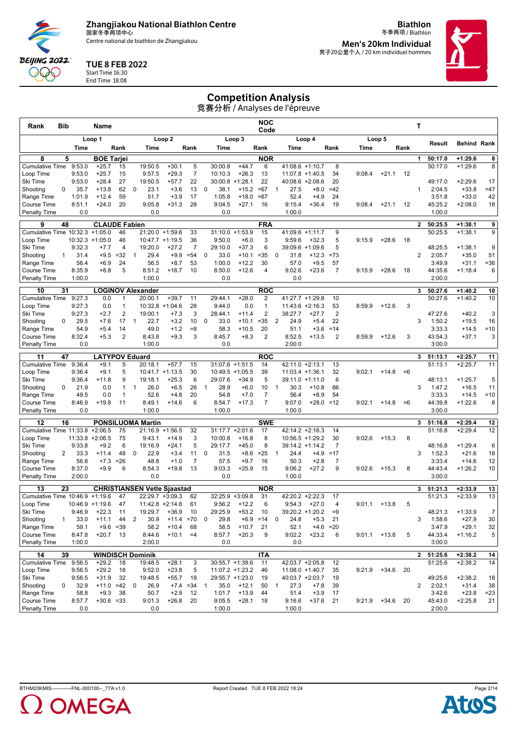

Centre national de biathlon de Zhangjiakou

**Biathlon** 冬季两项 / Biathlon **Men's 20km Individual**

男子20公里个人 / 20 km individuel hommes



#### TUE 8 FEB 2022

Start Time 16:30 End Time 18:08

**BEIJING 2022** QQQ

## Competition Analysis

| <b>Bib</b><br>Rank                                            | Name                                     |                                             |                                            | <b>NOC</b><br>Code                               |                                            |                                |                 | Т                                  |                                    |
|---------------------------------------------------------------|------------------------------------------|---------------------------------------------|--------------------------------------------|--------------------------------------------------|--------------------------------------------|--------------------------------|-----------------|------------------------------------|------------------------------------|
|                                                               | Loop 1                                   | Loop <sub>2</sub>                           |                                            | Loop 3                                           | Loop 4                                     |                                | Loop 5          | Result                             | <b>Behind Rank</b>                 |
| Time                                                          | Rank                                     | Time                                        | Rank<br>Time                               | Rank                                             | Time                                       | Rank<br>Time                   | Rank            |                                    |                                    |
| 8<br>5                                                        | <b>BOE Tarjei</b>                        |                                             |                                            | <b>NOR</b>                                       |                                            |                                |                 | 1<br>50:17.0                       | $+1:29.6$<br>8                     |
| <b>Cumulative Time</b><br>9:53.0                              | $+25.7$<br>15                            | 19:50.5<br>$+30.1$                          | 5<br>30:00.8                               | $+44.7$<br>6                                     | $41:08.6 +1:10.7$                          | 8                              |                 | 50:17.0                            | $+1:29.6$<br>8                     |
| 9:53.0<br>Loop Time<br>Ski Time<br>9:53.0                     | $+25.7$<br>15<br>27<br>$+28.4$           | 9:57.5<br>$+29.3$<br>19:50.5<br>$+57.7$     | $\overline{7}$<br>10:10.3<br>22<br>30:00.8 | $+26.3$<br>13<br>22<br>$+1:28.1$                 | $11:07.8 + 1:40.5$<br>40:08.6<br>$+2:08.6$ | 34<br>9:08.4<br>20             | $+21.1$<br>12   | 49:17.0                            | $+2:29.6$<br>17                    |
| 0<br>35.7<br>Shooting                                         | 62<br>$+13.8$                            | $\mathbf 0$<br>23.1<br>$+3.6$               | 13<br>38.1<br>$\mathbf 0$                  | $=67$<br>$+15.2$                                 | $+8.0$<br>$\mathbf{1}$<br>27.5             | $=42$                          |                 | 2:04.5<br>$\mathbf{1}$             | $+33.8$<br>$=47$                   |
| 1:01.9<br>Range Time                                          | 59<br>$+12.4$                            | 51.7<br>$+3.9$                              | 17<br>1:05.8                               | $=67$<br>$+18.0$                                 | 52.4<br>$+4.9$                             | 24                             |                 | 3:51.8                             | $+33.0$<br>42                      |
| <b>Course Time</b><br>8:51.1                                  | 20<br>$+24.0$                            | 9:05.8<br>$+31.3$                           | 28<br>9:04.5                               | $+27.1$<br>16                                    | 9:15.4<br>$+36.4$                          | 19<br>9:08.4                   | $+21.1$<br>12   | 45:25.2                            | 18<br>$+2:08.0$                    |
| 0.0<br><b>Penalty Time</b>                                    |                                          | 0.0                                         |                                            | 0.0                                              | 1:00.0                                     |                                |                 | 1:00.0                             |                                    |
| 48<br>9                                                       | <b>CLAUDE Fabien</b>                     |                                             |                                            | <b>FRA</b>                                       |                                            |                                |                 | $\mathbf{2}$<br>50:25.5            | $+1:38.1$<br>9                     |
| Cumulative Time 10:32.3 +1:05.0                               | 46                                       | 21:20.0 +1:59.6                             | 33<br>31:10.0                              | $+1:53.9$<br>15                                  | 41:09.6 +1:11.7                            | 9                              |                 | 50:25.5                            | $+1:38.1$<br>9                     |
| Loop Time<br>10:32.3                                          | $+1:05.0$<br>46                          | 10:47.7 +1:19.5                             | 36<br>9:50.0                               | $+6.0$<br>3                                      | 9:59.6<br>$+32.3$                          | 5<br>9:15.9                    | $+28.6$<br>18   |                                    |                                    |
| 9:32.3<br>Ski Time                                            | 4<br>$+7.7$                              | 19:20.0<br>$+27.2$                          | $\overline{7}$<br>29:10.0                  | 6<br>$+37.3$                                     | 39:09.6 +1:09.6                            | 5                              |                 | 48:25.5                            | 9<br>$+1:38.1$                     |
| 31.4<br>Shooting<br>$\mathbf{1}$                              | $=32$<br>$+9.5$                          | 29.4<br>$+9.9$<br>$\mathbf{1}$              | $= 54$<br>0<br>33.0                        | $+10.1$<br>$= 35$                                | $\mathbf 0$<br>31.8<br>$+12.3$             | $= 73$                         |                 | $\overline{2}$<br>2:05.7           | $+35.0$<br>51                      |
| 56.4<br>Range Time                                            | $+6.9$<br>24<br>5                        | 56.5<br>$+8.7$<br>8:51.2                    | 53<br>1:00.0                               | $+12.2$<br>30                                    | 57.0<br>$+9.5$                             | 57<br>$\overline{7}$           |                 | 3:49.9                             | $+31.1$<br>$= 36$                  |
| 8:35.9<br><b>Course Time</b><br><b>Penalty Time</b><br>1:00.0 | $+8.8$                                   | $+16.7$<br>1:00.0                           | 8:50.0<br>10                               | $+12.6$<br>$\overline{4}$<br>0.0                 | 9:02.6<br>$+23.6$<br>0.0                   | 9:15.9                         | $+28.6$<br>18   | 44:35.6<br>2:00.0                  | 6<br>$+1:18.4$                     |
|                                                               |                                          |                                             |                                            |                                                  |                                            |                                |                 |                                    |                                    |
| 31<br>10                                                      | <b>LOGINOV Alexander</b>                 |                                             |                                            | <b>ROC</b>                                       |                                            |                                |                 | 50:27.6<br>3                       | $+1:40.2$<br>10                    |
| <b>Cumulative Time</b><br>9:27.3                              | 0.0<br>1                                 | 20:00.1<br>$+39.7$                          | 11<br>29:44.1                              | $+28.0$<br>2                                     | 41:27.7 +1:29.8                            | 10                             |                 | 50:27.6                            | $+1:40.2$<br>10                    |
| 9:27.3<br>Loop Time<br>Ski Time<br>9:27.3                     | 1<br>0.0<br>2<br>$+2.7$                  | 10:32.8<br>$+1:04.6$<br>19:00.1<br>$+7.3$   | 28<br>9:44.0<br>3<br>28:44.1               | $\mathbf{1}$<br>0.0<br>$\overline{2}$<br>$+11.4$ | $11:43.6 +2:16.3$<br>38:27.7<br>$+27.7$    | 53<br>8:59.9<br>$\overline{2}$ | 3<br>$+12.6$    | 47:27.6                            | $+40.2$<br>3                       |
| 29.5<br>Shooting<br>0                                         | $+7.6$<br>17                             | 22.7<br>$+3.2$<br>$\mathbf{1}$              | 10<br>0<br>33.0                            | $=35$<br>$+10.1$                                 | 2<br>24.9<br>$+5.4$                        | 22                             |                 | 1:50.2<br>3                        | $+19.5$<br>16                      |
| 54.9<br>Range Time                                            | $+5.4$<br>14                             | 49.0<br>$+1.2$                              | $= 8$<br>58.3                              | $+10.5$<br>20                                    | 51.1<br>$+3.6$                             | $=14$                          |                 | 3:33.3                             | $=10$<br>$+14.5$                   |
| 8:32.4<br>Course Time                                         | $\overline{2}$<br>$+5.3$                 | 8:43.8<br>$+9.3$                            | 3<br>8:45.7                                | $\overline{2}$<br>$+8.3$                         | 8:52.5<br>$+13.5$                          | $\overline{2}$<br>8:59.9       | $+12.6$<br>3    | 43:54.3                            | 3<br>$+37.1$                       |
| 0.0<br><b>Penalty Time</b>                                    |                                          | 1:00.0                                      |                                            | 0.0                                              | 2:00.0                                     |                                |                 | 3:00.0                             |                                    |
| 11<br>47                                                      | <b>LATYPOV Eduard</b>                    |                                             |                                            | <b>ROC</b>                                       |                                            |                                |                 | 3<br>51:13.1                       | $+2:25.7$<br>11                    |
| <b>Cumulative Time</b><br>9:36.4                              | $+9.1$<br>5                              | $+57.7$<br>20:18.1                          | 15<br>31:07.6                              | $+1:51.5$<br>14                                  | 42:11.0<br>$+2:13.1$                       | 13                             |                 | 51:13.1                            | $+2:25.7$<br>11                    |
| 9:36.4<br>Loop Time                                           | $+9.1$<br>5                              | $10:41.7 +1:13.5$                           | 30                                         | 10:49.5 +1:05.5<br>39                            | $11:03.4 + 1:36.1$                         | 32<br>9:02.1                   | $+14.8$<br>$=6$ |                                    |                                    |
| Ski Time<br>9:36.4                                            | $+11.8$<br>9                             | 19:18.1<br>$+25.3$                          | 6<br>29:07.6                               | 5<br>$+34.9$                                     | 39:11.0 +1:11.0                            | 6                              |                 | 48:13.1                            | 5<br>$+1:25.7$                     |
| $\Omega$<br>21.9<br>Shooting                                  | 0.0<br>1                                 | 26.0<br>$\mathbf{1}$<br>$+6.5$              | 26<br>28.9<br>$\mathbf{1}$                 | 10<br>$+6.0$                                     | $\mathbf{1}$<br>30.3<br>$+10.8$            | 66                             |                 | 3<br>1:47.2                        | $+16.5$<br>11                      |
| 49.5<br>Range Time<br>8:46.9<br><b>Course Time</b>            | 0.0<br>$\mathbf{1}$<br>11<br>$+19.8$     | 52.6<br>$+4.8$<br>8:49.1<br>$+14.6$         | 20<br>54.8<br>6<br>8:54.7                  | 7<br>$+7.0$<br>$\overline{7}$<br>$+17.3$         | 56.4<br>$+8.9$<br>9:07.0<br>$+28.0 = 12$   | 54<br>9:02.1                   | $+14.8$<br>$=6$ | 3:33.3<br>44:39.8                  | $=10$<br>$+14.5$<br>8<br>$+1:22.6$ |
| 0.0<br><b>Penalty Time</b>                                    |                                          | 1:00.0                                      | 1:00.0                                     |                                                  | 1:00.0                                     |                                |                 | 3:00.0                             |                                    |
|                                                               |                                          |                                             |                                            |                                                  |                                            |                                |                 |                                    |                                    |
| 12<br>16<br>Cumulative Time 11:33.8                           | $+2:06.5$<br>75                          | <b>PONSILUOMA Martin</b><br>21:16.9 +1:56.5 | 32                                         | <b>SWE</b><br>$31:17.7 + 2:01.6$<br>17           | 42:14.2 +2:16.3                            | 14                             |                 | 3<br>51:16.8<br>51:16.8            | $+2:29.4$<br>12<br>$+2:29.4$<br>12 |
| Loop Time<br>11:33.8                                          | $+2:06.5$<br>75                          | 9:43.1<br>$+14.9$                           | 3<br>10:00.8                               | $+16.8$<br>8                                     | $10:56.5 + 1:29.2$                         | 30<br>9:02.6                   | 8<br>$+15.3$    |                                    |                                    |
| 9:33.8<br>Ski Time                                            | 6<br>$+9.2$                              | 19:16.9<br>$+24.1$                          | 5<br>29:17.7                               | $+45.0$<br>8                                     | 39:14.2 +1:14.2                            | 7                              |                 | 48:16.8                            | 6<br>$+1:29.4$                     |
| 33.3<br>Shooting<br>2                                         | 48<br>$+11.4$                            | 22.9<br>0<br>$+3.4$                         | 11<br>0<br>31.5                            | $+8.6$<br>$=25$                                  | $+4.9$<br>$\mathbf{1}$<br>24.4             | $=17$                          |                 | 3<br>1:52.3                        | 18<br>$+21.6$                      |
| 56.8<br>Range Time                                            | $+7.3$<br>$= 26$                         | 48.8<br>$+1.0$                              | $\overline{7}$<br>57.5                     | $+9.7$<br>16                                     | 50.3<br>$+2.8$                             | $\overline{7}$                 |                 | 3:33.4                             | 12<br>$+14.6$                      |
| 8:37.0<br>Course Time                                         | 6<br>$+9.9$                              | 8:54.3<br>$+19.8$                           | 13<br>9:03.3                               | $+25.9$<br>15                                    | 9:06.2<br>$+27.2$                          | 9<br>9:02.6                    | $+15.3$<br>8    | 44:43.4                            | $+1:26.2$<br>10                    |
| <b>Penalty Time</b><br>2:00.0                                 |                                          | 0.0                                         |                                            | 0.0                                              | 1:00.0                                     |                                |                 | 3:00.0                             |                                    |
| 23<br>13                                                      |                                          | <b>CHRISTIANSEN Vetle Sjaastad</b>          |                                            | <b>NOR</b>                                       |                                            |                                |                 | 3<br>51:21.3                       | 13<br>$+2:33.9$                    |
| Cumulative Time 10:46.9                                       | $+1:19.6$<br>47                          | 22:29.7 +3:09.3                             | 32:25.9<br>62                              | $+3:09.8$<br>31                                  | 42:20.2 +2:22.3                            | 17                             |                 | 51:21.3                            | $+2:33.9$<br>13                    |
| Loop Time                                                     | 47<br>$10:46.9 + 1:19.6$                 | $11:42.8 +2:14.6$                           | 61<br>9:56.2                               | 6<br>$+12.2$                                     | $+27.0$<br>9:54.3                          | 4<br>9:01.1                    | 5<br>$+13.8$    |                                    |                                    |
| Ski Time<br>9:46.9                                            | +22.3<br>11                              | 19:29.7<br>$+36.9$                          | 10<br>29:25.9                              | +53.2<br>10                                      | 39:20.2<br>$+1:20.2$                       | $=9$                           |                 | 48:21.3                            | $\overline{7}$<br>$+1:33.9$        |
| Shooting<br>33.0<br>1                                         | $+11.1$<br>44                            | $\overline{2}$<br>30.9<br>$+11.4 = 70$      | 0<br>29.8                                  | $+6.9 = 14$                                      | 0<br>24.8<br>$+5.3$                        | 21                             |                 | 3<br>1:58.6                        | 30<br>$+27.9$                      |
| Range Time<br>59.1<br>Course Time<br>8:47.8                   | $+9.6$<br>$= 39$<br>$+20.7$<br>13        | $+10.4$<br>58.2<br>$+10.1$<br>8:44.6        | 68<br>58.5<br>$=4$<br>8:57.7               | $+10.7$<br>21<br>$+20.3$<br>9                    | 52.1<br>9:02.2<br>$+23.2$                  | $+4.6$ = 20<br>6<br>9:01.1     | $+13.8$<br>5    | 3:47.9<br>44:33.4                  | $+29.1$<br>32<br>5<br>$+1:16.2$    |
| Penalty Time<br>1:00.0                                        |                                          | 2:00.0                                      |                                            | 0.0                                              | 0.0                                        |                                |                 | 3:00.0                             |                                    |
|                                                               |                                          |                                             |                                            |                                                  |                                            |                                |                 |                                    |                                    |
| 14<br>39                                                      | <b>WINDISCH Dominik</b><br>$+29.2$<br>18 | 19:48.5<br>$+28.1$                          |                                            | <b>ITA</b><br>$30:55.7 +1:39.6$<br>11            | 42:03.7 +2:05.8                            | 12                             |                 | $\mathbf{2}$<br>51:25.6<br>51:25.6 | $+2:38.2$<br>14<br>$+2:38.2$<br>14 |
| Cumulative Time 9:56.5<br>Loop Time<br>9:56.5                 | $+29.2$<br>18                            | 9:52.0<br>$+23.8$                           | 3<br>5                                     | 11:07.2 +1:23.2<br>46                            | 11:08.0 +1:40.7                            | 9:21.9<br>35                   | $+34.6$<br>20   |                                    |                                    |
| Ski Time<br>9:56.5                                            | $+31.9$<br>32                            | 19:48.5<br>$+55.7$                          | 18                                         | 29:55.7 +1:23.0<br>19                            | 40:03.7 +2:03.7                            | 19                             |                 | 49:25.6                            | $+2:38.2$<br>18                    |
| Shooting<br>0<br>32.9                                         | $+11.0 = 42$                             | 26.9<br>$+7.4$<br>0                         | $= 34$<br>35.0<br>$\mathbf{1}$             | 50<br>$+12.1$                                    | 27.3<br>$+7.8$<br>$\mathbf{1}$             | 39                             |                 | $\overline{\mathbf{c}}$<br>2:02.1  | $+31.4$<br>38                      |
| Range Time<br>58.8                                            | $+9.3$<br>38                             | 50.7<br>$+2.9$                              | 12<br>1:01.7                               | $+13.9$<br>44                                    | $+3.9$<br>51.4                             | 17                             |                 | 3:42.6                             | $+23.8$<br>$= 23$                  |
| Course Time<br>8:57.7                                         | $+30.6 = 33$                             | $+26.8$<br>9:01.3                           | 20<br>9:05.5                               | $+28.1$<br>18                                    | 9:16.6<br>$+37.6$                          | 21<br>9:21.9                   | 20<br>+34.6     | 45:43.0                            | $+2:25.8$<br>21                    |
| Penalty Time<br>0.0                                           |                                          | 0.0                                         | 1:00.0                                     |                                                  | 1:00.0                                     |                                |                 | 2:00.0                             |                                    |



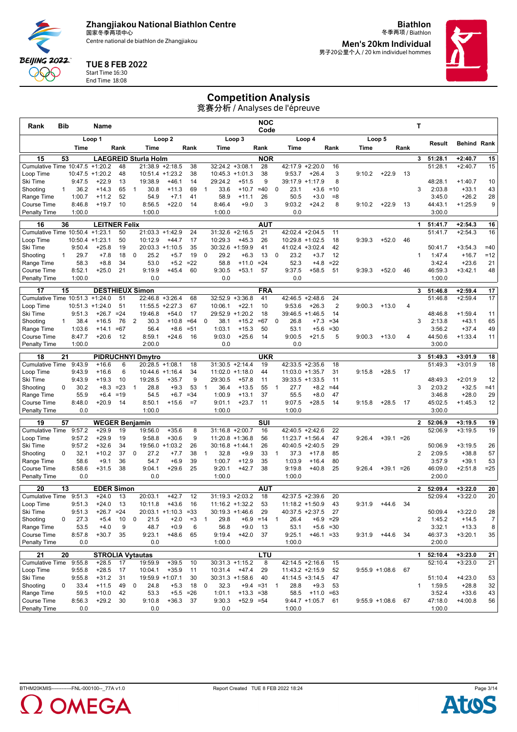Centre national de biathlon de Zhangjiakou

**Biathlon** 冬季两项 / Biathlon **Men's 20km Individual**

男子20公里个人 / 20 km individuel hommes

#### TUE 8 FEB 2022 Start Time 16:30

**BEIJING 2022** QQQ End Time 18:08

# Competition Analysis

| Rank                               | Bib          |                              | Name                             |              |              |                              |                     |                   |                |                    |                               | <b>NOC</b><br>Code |                                 |                                       |                   |        |                  |      | Τ              |                    |                        |                |
|------------------------------------|--------------|------------------------------|----------------------------------|--------------|--------------|------------------------------|---------------------|-------------------|----------------|--------------------|-------------------------------|--------------------|---------------------------------|---------------------------------------|-------------------|--------|------------------|------|----------------|--------------------|------------------------|----------------|
|                                    |              |                              | Loop 1                           |              |              |                              | Loop <sub>2</sub>   |                   |                |                    | Loop 3                        |                    |                                 | Loop 4                                |                   |        | Loop 5           |      |                |                    | <b>Behind Rank</b>     |                |
|                                    |              | Time                         |                                  | Rank         |              | Time                         |                     | Rank              |                | Time               |                               | Rank               | <b>Time</b>                     |                                       | Rank              | Time   |                  | Rank |                | Result             |                        |                |
| 15                                 | 53           |                              |                                  |              |              | <b>LAEGREID Sturla Holm</b>  |                     |                   |                |                    |                               | <b>NOR</b>         |                                 |                                       |                   |        |                  |      | 3              | 51:28.1            | $+2:40.7$              | 15             |
| Cumulative Time 10:47.5            |              |                              | $+1:20.2$                        | 48           |              | 21:38.9                      | $+2:18.5$           | 38                |                | 32:24.2            | $+3:08.1$                     | 28                 | 42:17.9                         | $+2:20.0$                             | 16                |        |                  |      |                | 51:28.1            | $+2:40.7$              | 15             |
| Loop Time<br>Ski Time              |              | $10:47.5 + 1:20.2$<br>9:47.5 | $+22.9$                          | 48<br>13     |              | 10:51.4 +1:23.2<br>19:38.9   | $+46.1$             | 38<br>14          |                | 29:24.2            | $10:45.3 + 1:01.3$<br>$+51.5$ | 38<br>9            | 9:53.7<br>39:17.9               | $+26.4$<br>$+1:17.9$                  | 3<br>8            | 9:10.2 | $+22.9$          | 13   |                | 48:28.1            | $+1:40.7$              | 10             |
| Shooting                           | $\mathbf{1}$ | 36.2                         | $+14.3$                          | 65           | $\mathbf{1}$ | 30.8                         | $+11.3$             | 69                | $\mathbf{1}$   | 33.6               | $+10.7$                       | $=40$              | 23.1<br>0                       | $+3.6$                                | $=10$             |        |                  |      | 3              | 2:03.8             | $+33.1$                | 43             |
| Range Time                         |              | 1:00.7                       | $+11.2$                          | 52           |              | 54.9                         | $+7.1$              | 41                |                | 58.9               | $+11.1$                       | 26                 | 50.5                            | $+3.0$                                | $= 8$             |        |                  |      |                | 3:45.0             | $+26.2$                | 28             |
| Course Time                        |              | 8:46.8                       | $+19.7$                          | 10           |              | 8:56.5                       | $+22.0$             | 14                |                | 8:46.4             | $+9.0$                        | 3                  | 9:03.2                          | $+24.2$                               | 8                 | 9:10.2 | $+22.9$          | 13   |                | 44:43.1            | $+1:25.9$              | 9              |
| <b>Penalty Time</b>                |              | 1:00.0                       |                                  |              |              | 1:00.0                       |                     |                   |                | 1:00.0             |                               |                    | 0.0                             |                                       |                   |        |                  |      |                | 3:00.0             |                        |                |
| 16                                 | 36           |                              | <b>LEITNER Felix</b>             |              |              |                              |                     |                   |                |                    |                               | <b>AUT</b>         |                                 |                                       |                   |        |                  |      | 1              | 51:41.7            | $+2:54.3$              | 16             |
| Cumulative Time 10:50.4 +1:23.1    |              |                              |                                  | 50           |              | 21:03.3 +1:42.9              |                     | 24                |                |                    | $31:32.6 +2:16.5$             | 21                 |                                 | 42:02.4 +2:04.5                       | 11                |        |                  |      |                | 51:41.7            | $+2:54.3$              | 16             |
| Loop Time<br>Ski Time              |              | $10:50.4$ +1:23.1<br>9:50.4  | $+25.8$                          | 50<br>19     |              | 10:12.9<br>$20:03.3 +1:10.5$ | $+44.7$             | 17<br>35          |                | 10:29.3            | $+45.3$<br>30:32.6 +1:59.9    | 26<br>41           |                                 | $10:29.8 + 1:02.5$<br>41:02.4 +3:02.4 | 18<br>42          | 9:39.3 | $+52.0$          | 46   |                | 50:41.7            | $+3:54.3$              | $=40$          |
| Shooting                           | 1.           | 29.7                         | $+7.8$                           | 18           | 0            | 25.2                         | $+5.7$              | 19                | 0              | 29.2               | $+6.3$                        | 13                 | 0<br>23.2                       | $+3.7$                                | 12                |        |                  |      | 1              | 1:47.4             | $+16.7$                | $=12$          |
| Range Time                         |              | 58.3                         | $+8.8$                           | 34           |              | 53.0                         | $+5.2$              | $=22$             |                | 58.8               | $+11.0$                       | $= 24$             | 52.3                            | $+4.8$                                | $=22$             |        |                  |      |                | 3:42.4             | $+23.6$                | 21             |
| Course Time                        |              | 8:52.1                       | $+25.0$                          | 21           |              | 9:19.9                       | $+45.4$             | 60                |                | 9:30.5             | $+53.1$                       | 57                 | 9:37.5                          | $+58.5$                               | 51                | 9:39.3 | $+52.0$          | 46   |                | 46:59.3            | $+3:42.1$              | 48             |
| <b>Penalty Time</b>                |              | 1:00.0                       |                                  |              |              | 0.0                          |                     |                   |                | 0.0                |                               |                    | 0.0                             |                                       |                   |        |                  |      |                | 1:00.0             |                        |                |
| 17                                 | 15           |                              | <b>DESTHIEUX Simon</b>           |              |              |                              |                     |                   |                |                    |                               | <b>FRA</b>         |                                 |                                       |                   |        |                  |      | 3              | 51:46.8            | $+2:59.4$              | 17             |
| Cumulative Time 10:51.3            |              |                              | $+1:24.0$                        | 51           |              | 22:46.8                      | $+3:26.4$           | 68                |                | 32:52.9            | $+3:36.8$                     | 41                 |                                 | 42:46.5 +2:48.6                       | 24                |        |                  |      |                | 51:46.8            | $+2:59.4$              | 17             |
| Loop Time                          |              | $10:51.3 + 1:24.0$           |                                  | 51           |              | 11:55.5                      | $+2:27.3$           | 67                |                | 10:06.1            | $+22.1$                       | 10                 | 9:53.6                          | $+26.3$                               | $\overline{c}$    | 9:00.3 | $+13.0$          | 4    |                |                    |                        |                |
| Ski Time                           |              | 9:51.3                       | $+26.7$                          | $= 24$       |              | 19:46.8                      | $+54.0$             | 17                |                |                    | 29:52.9 +1:20.2               | 18                 |                                 | 39:46.5 +1:46.5                       | 14                |        |                  |      |                | 48:46.8            | $+1:59.4$              | 11             |
| Shooting<br>Range Time             | 1            | 38.4<br>1:03.6               | $+16.5$<br>$+14.1$               | 76<br>$=67$  | 2            | 30.3<br>56.4                 | $+10.8$<br>$+8.6$   | $=64$<br>$= 51$   | $\Omega$       | 38.1<br>1:03.1     | $+15.2$<br>$+15.3$            | $=67$<br>50        | $\mathbf 0$<br>26.8<br>53.1     | $+7.3$<br>$+5.6$                      | $= 34$<br>$= 30$  |        |                  |      | 3              | 2:13.8<br>3:56.2   | $+43.1$<br>$+37.4$     | 65<br>49       |
| Course Time                        |              | 8:47.7                       | $+20.6$                          | 12           |              | 8:59.1                       | $+24.6$             | 16                |                | 9:03.0             | $+25.6$                       | 14                 | 9:00.5                          | $+21.5$                               | 5                 | 9:00.3 | $+13.0$          | 4    |                | 44:50.6            | $+1:33.4$              | 11             |
| <b>Penalty Time</b>                |              | 1:00.0                       |                                  |              |              | 2:00.0                       |                     |                   |                | 0.0                |                               |                    | 0.0                             |                                       |                   |        |                  |      |                | 3:00.0             |                        |                |
| 18                                 | 21           |                              |                                  |              |              | <b>PIDRUCHNYI Dmytro</b>     |                     |                   |                |                    |                               | <b>UKR</b>         |                                 |                                       |                   |        |                  |      | 3              | 51:49.3            | $+3:01.9$              | 18             |
| <b>Cumulative Time</b>             |              | 9:43.9                       | $+16.6$                          | 6            |              | $20:28.5 +1:08.1$            |                     | 18                |                |                    | $31:30.5 +2:14.4$             | 19                 |                                 | $42:33.5 + 2:35.6$                    | 18                |        |                  |      |                | 51:49.3            | $+3:01.9$              | 18             |
| Loop Time                          |              | 9:43.9                       | $+16.6$                          | 6            |              | $10:44.6 + 1:16.4$           |                     | 34                |                |                    | $11:02.0 + 1:18.0$            | 44                 |                                 | $11:03.0 + 1:35.7$                    | 31                | 9:15.8 | $+28.5$          | 17   |                |                    |                        |                |
| Ski Time                           |              | 9:43.9                       | $+19.3$                          | 10           |              | 19:28.5                      | $+35.7$             | 9                 |                | 29:30.5            | $+57.8$                       | 11                 |                                 | 39:33.5 +1:33.5                       | 11                |        |                  |      |                | 48:49.3            | $+2:01.9$              | 12             |
| Shooting                           | 0            | 30.2                         | $+8.3$                           | $= 23$       | 1            | 28.8                         | $+9.3$              | 53                | $\overline{1}$ | 36.4               | $+13.5$                       | 55                 | $\mathbf{1}$<br>27.7            | $+8.2$                                | $=44$             |        |                  |      | 3              | 2:03.2             | $+32.5$                | $=41$          |
| Range Time                         |              | 55.9                         | $+6.4$                           | $=19$        |              | 54.5                         | $+6.7$              | $= 34$            |                | 1:00.9             | $+13.1$                       | 37                 | 55.5                            | $+8.0$                                | 47                |        |                  |      |                | 3:46.8             | $+28.0$                | 29             |
| Course Time<br><b>Penalty Time</b> |              | 8:48.0<br>0.0                | $+20.9$                          | 14           |              | 8:50.1<br>1:00.0             | $+15.6$             | $=7$              |                | 9:01.1<br>1:00.0   | $+23.7$                       | 11                 | 9:07.5<br>1:00.0                | $+28.5$                               | 14                | 9:15.8 | $+28.5$          | 17   |                | 45:02.5<br>3:00.0  | $+1:45.3$              | 12             |
|                                    |              |                              |                                  |              |              |                              |                     |                   |                |                    |                               |                    |                                 |                                       |                   |        |                  |      |                |                    |                        |                |
| 19<br><b>Cumulative Time</b>       | 57           | 9:57.2                       | <b>WEGER Benjamin</b><br>$+29.9$ | 19           |              | 19:56.0                      | $+35.6$             | 8                 |                | $31:16.8 + 2:00.7$ |                               | SUI<br>16          |                                 | 42:40.5 +2:42.6                       | 22                |        |                  |      | $\overline{2}$ | 52:06.9<br>52:06.9 | $+3:19.5$<br>$+3:19.5$ | 19<br>19       |
| Loop Time                          |              | 9:57.2                       | $+29.9$                          | 19           |              | 9:58.8                       | $+30.6$             | 9                 |                | $11:20.8 + 1:36.8$ |                               | 56                 |                                 | $11:23.7 + 1:56.4$                    | 47                | 9:26.4 | $+39.1 = 26$     |      |                |                    |                        |                |
| Ski Time                           |              | 9:57.2                       | $+32.6$                          | 34           |              | 19:56.0 +1:03.2              |                     | 26                |                | $30:16.8 + 1:44.1$ |                               | 26                 |                                 | $40:40.5 +2:40.5$                     | 29                |        |                  |      |                | 50:06.9            | $+3:19.5$              | 26             |
| Shooting                           | 0            | 32.1                         | $+10.2$                          | 37           | 0            | 27.2                         | $+7.7$              | 38                | $\mathbf 1$    | 32.8               | $+9.9$                        | 33                 | 37.3<br>$\mathbf{1}$            | $+17.8$                               | 85                |        |                  |      | $\overline{2}$ | 2:09.5             | $+38.8$                | 57             |
| Range Time                         |              | 58.6                         | $+9.1$                           | 36           |              | 54.7                         | $+6.9$              | 39                |                | 1:00.7             | $+12.9$                       | 35                 | 1:03.9                          | $+16.4$                               | 80                |        |                  |      |                | 3:57.9             | $+39.1$                | 53             |
| Course Time                        |              | 8:58.6                       | $+31.5$                          | 38           |              | 9:04.1                       | $+29.6$             | 25                |                | 9:20.1             | $+42.7$                       | 38                 | 9:19.8                          | $+40.8$                               | 25                | 9:26.4 | $+39.1 = 26$     |      |                | 46:09.0            | $+2:51.8$              | $=25$          |
| <b>Penalty Time</b>                |              | 0.0                          |                                  |              |              | 0.0                          |                     |                   |                | 1:00.0             |                               |                    | 1:00.0                          |                                       |                   |        |                  |      |                | 2:00.0             |                        |                |
| 20                                 | 13           |                              | <b>EDER Simon</b>                |              |              |                              |                     |                   |                |                    |                               | AUT                |                                 |                                       |                   |        |                  |      | $\overline{2}$ | 52:09.4            | $+3:22.0$              | 20             |
| <b>Cumulative Time</b>             |              | 9:51.3                       | $+24.0$                          | 13           |              | 20:03.1                      | $+42.7$             | 12                |                |                    | $31:19.3 + 2:03.2$            | 18                 |                                 | 42:37.5 +2:39.6                       | 20                |        |                  |      |                | 52:09.4            | $+3:22.0$              | 20             |
| Loop Time                          |              | 9:51.3                       | $+24.0$                          | 13           |              | 10:11.8                      | $+43.6$             | 16                |                |                    | $11:16.2 + 1:32.2$            | 53                 |                                 | $11:18.2 + 1:50.9$                    | 43                | 9:31.9 | $+44.6$          | 34   |                | 50:09.4            | $+3:22.0$              | 28             |
| Ski Time<br>Shooting               | 0            | 9:51.3<br>27.3               | +26.7<br>$+5.4$                  | $= 24$<br>10 | 0            | 20:03.1<br>21.5              | $+1:10.3$<br>$+2.0$ | $= 33$<br>$=3$    | $\mathbf{1}$   | 30:19.3<br>29.8    | $+1:46.6$                     | 29<br>$+6.9 = 14$  | 40:37.5<br>26.4<br>$\mathbf{1}$ | $+2:37.5$                             | 27<br>$+6.9 = 29$ |        |                  |      | 2              | 1:45.2             | $+14.5$                | $\overline{7}$ |
| Range Time                         |              | 53.5                         | $+4.0$                           | 9            |              | 48.7                         | $+0.9$              | 6                 |                | 56.8               | $+9.0$                        | 13                 | 53.1                            |                                       | $+5.6 = 30$       |        |                  |      |                | 3:32.1             | $+13.3$                | 8              |
| Course Time                        |              | 8:57.8                       | $+30.7$                          | 35           |              | 9:23.1                       | $+48.6$             | 65                |                | 9:19.4             | $+42.0$                       | 37                 | 9:25.1                          | $+46.1 = 33$                          |                   | 9:31.9 | +44.6            | 34   |                | 46:37.3            | $+3:20.1$              | 35             |
| <b>Penalty Time</b>                |              | 0.0                          |                                  |              |              | 0.0                          |                     |                   |                | 1:00.0             |                               |                    | 1:00.0                          |                                       |                   |        |                  |      |                | 2:00.0             |                        |                |
| 21                                 | 20           |                              | <b>STROLIA Vytautas</b>          |              |              |                              |                     |                   |                |                    |                               | LTU                |                                 |                                       |                   |        |                  |      | 1              | 52:10.4            | $+3:23.0$              | 21             |
| Cumulative Time 9:55.8             |              |                              | $+28.5$                          | 17           |              | 19:59.9                      | $+39.5$             | 10                |                |                    | $30:31.3 +1:15.2$             | 8                  |                                 | 42:14.5 +2:16.6                       | 15                |        |                  |      |                | 52:10.4            | $+3:23.0$              | 21             |
| Loop Time                          |              | 9:55.8                       | $+28.5$                          | 17           |              | 10:04.1                      | $+35.9$             | 11                |                | 10:31.4            | $+47.4$                       | 29                 |                                 | $11:43.2 +2:15.9$                     | 52                |        | $9:55.9 +1:08.6$ | 67   |                |                    |                        |                |
| Ski Time                           |              | 9:55.8                       | $+31.2$                          | 31           |              | 19:59.9 +1:07.1              |                     | 30                |                |                    | $30:31.3 +1:58.6$             | 40                 |                                 | $41:14.5 + 3:14.5$                    | 47                |        |                  |      |                | 51:10.4            | $+4:23.0$              | 53             |
| Shooting<br>Range Time             | 0            | 33.4<br>59.5                 | $+11.5$<br>$+10.0$               | 49<br>42     | 0            | 24.8<br>53.3                 | $+5.3$              | 18<br>$+5.5 = 26$ | 0              | 32.3<br>1:01.1     | $+13.3 = 38$                  | $+9.4 = 31$        | 28.8<br>$\mathbf{1}$<br>58.5    | $+9.3$<br>$+11.0 = 63$                | 53                |        |                  |      | $\mathbf{1}$   | 1:59.5<br>3:52.4   | $+28.8$<br>$+33.6$     | 32<br>43       |
| Course Time                        |              | 8:56.3                       | $+29.2$                          | 30           |              | 9:10.8                       | $+36.3$             | -37               |                | 9:30.3             | $+52.9 = 54$                  |                    |                                 | $9:44.7$ +1:05.7                      | 61                |        | $9:55.9$ +1:08.6 | 67   |                | 47:18.0            | $+4:00.8$              | 56             |
| <b>Penalty Time</b>                |              | 0.0                          |                                  |              |              | 0.0                          |                     |                   |                | 0.0                |                               |                    | 1:00.0                          |                                       |                   |        |                  |      |                | 1:00.0             |                        |                |
|                                    |              |                              |                                  |              |              |                              |                     |                   |                |                    |                               |                    |                                 |                                       |                   |        |                  |      |                |                    |                        |                |

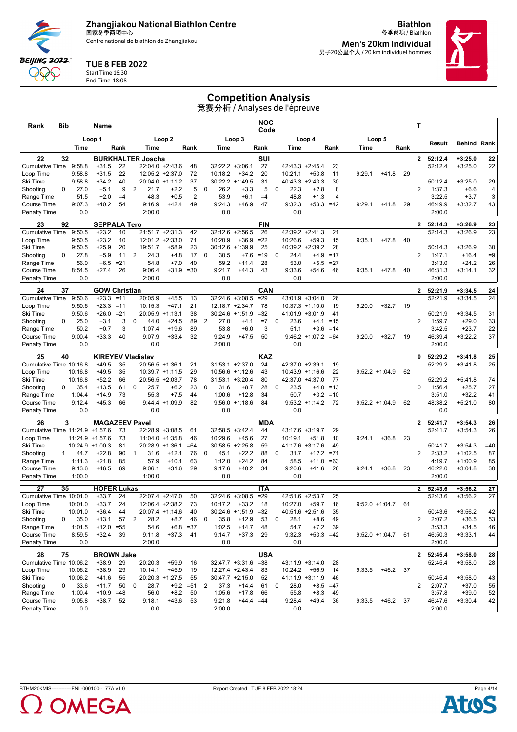Centre national de biathlon de Zhangjiakou

**Biathlon** 冬季两项 / Biathlon **Men's 20km Individual**

男子20公里个人 / 20 km individuel hommes



#### TUE 8 FEB 2022

Start Time 16:30 End Time 18:08

**BEIJING 2022** QQQ

## Competition Analysis

| Rank                                | <b>Bib</b>   |                  | Name                           |                 |                |                              |                    |                |             |                                      |                      | NOC<br>Code         |                                        |                       |             |        |                     |      | Т              |                    |                        |          |
|-------------------------------------|--------------|------------------|--------------------------------|-----------------|----------------|------------------------------|--------------------|----------------|-------------|--------------------------------------|----------------------|---------------------|----------------------------------------|-----------------------|-------------|--------|---------------------|------|----------------|--------------------|------------------------|----------|
|                                     |              |                  | Loop 1                         |                 |                |                              | Loop <sub>2</sub>  |                |             |                                      | Loop 3               |                     |                                        | Loop 4                |             |        | Loop 5              |      |                | Result             | <b>Behind Rank</b>     |          |
|                                     |              | Time             |                                | Rank            |                | Time                         |                    | Rank           |             | Time                                 |                      | Rank                | Time                                   |                       | Rank        | Time   |                     | Rank |                |                    |                        |          |
| 22                                  | 32           |                  |                                |                 |                | <b>BURKHALTER Joscha</b>     |                    |                |             |                                      |                      | SUI                 |                                        |                       |             |        |                     |      | $\mathbf{2}$   | 52:12.4<br>52:12.4 | $+3:25.0$              | 22       |
| <b>Cumulative Time</b><br>Loop Time |              | 9:58.8<br>9:58.8 | $+31.5$<br>$+31.5$             | 22<br>22        |                | 22:04.0<br>$12:05.2 +2:37.0$ | $+2:43.6$          | 48<br>72       |             | 32:22.2<br>10:18.2                   | $+3:06.1$<br>$+34.2$ | 27<br>20            | 42:43.3<br>10:21.1                     | $+2:45.4$<br>$+53.8$  | 23<br>11    | 9:29.1 | $+41.8$             | 29   |                |                    | $+3:25.0$              | 22       |
| Ski Time                            |              | 9:58.8           | $+34.2$                        | 40              |                | 20:04.0                      | $+1:11.2$          | 37             |             | 30:22.2 +1:49.5                      |                      | 31                  | $40:43.3 +2:43.3$                      |                       | 30          |        |                     |      |                | 50:12.4            | $+3:25.0$              | 29       |
| Shooting                            | $\Omega$     | 27.0             | $+5.1$                         | 9               | 2              | 21.7                         | $+2.2$             | 5              | 0           | 26.2                                 | $+3.3$               | 5                   | 22.3<br>0                              | $+2.8$                | 8           |        |                     |      | 2              | 1:37.3             | $+6.6$                 | 4        |
| Range Time                          |              | 51.5             | $+2.0$                         | $=4$            |                | 48.3                         | $+0.5$             | $\overline{2}$ |             | 53.9                                 | $+6.1$               | $=4$                | 48.8                                   | $+1.3$                | 4           |        |                     |      |                | 3:22.5             | $+3.7$                 | 3        |
| <b>Course Time</b>                  |              | 9:07.3<br>0.0    | $+40.2$                        | 54              |                | 9:16.9<br>2:00.0             | $+42.4$            | 49             |             | 9:24.3<br>0.0                        | $+46.9$              | 47                  | 9:32.3<br>0.0                          | $+53.3 = 42$          |             | 9:29.1 | $+41.8$             | 29   |                | 46:49.9<br>2:00.0  | $+3:32.7$              | 43       |
| <b>Penalty Time</b>                 |              |                  |                                |                 |                |                              |                    |                |             |                                      |                      |                     |                                        |                       |             |        |                     |      |                |                    |                        |          |
| 23<br><b>Cumulative Time</b>        | 92           | 9:50.5           | <b>SEPPALA Tero</b><br>$+23.2$ | 10              |                | $21:51.7 +2:31.3$            |                    | 42             |             | 32:12.6 +2:56.5                      |                      | <b>FIN</b><br>26    | 42:39.2 +2:41.3                        |                       | 21          |        |                     |      | $\overline{2}$ | 52:14.3<br>52:14.3 | $+3:26.9$<br>$+3:26.9$ | 23<br>23 |
| Loop Time                           |              | 9:50.5           | $+23.2$                        | 10              |                | $12:01.2 +2:33.0$            |                    | 71             |             | 10:20.9                              | $+36.9$              | $=22$               | 10:26.6                                | $+59.3$               | 15          | 9:35.1 | $+47.8$             | 40   |                |                    |                        |          |
| Ski Time                            |              | 9:50.5           | $+25.9$                        | 20              |                | 19:51.7                      | $+58.9$            | 23             |             | $30:12.6 + 1:39.9$                   |                      | 25                  | 40:39.2 +2:39.2                        |                       | 28          |        |                     |      |                | 50:14.3            | $+3:26.9$              | 30       |
| Shooting                            | 0            | 27.8             | $+5.9$                         | 11              | 2              | 24.3                         | $+4.8$             | 17             | $\Omega$    | 30.5                                 | $+7.6$               | $=19$               | 24.4<br>$\mathbf 0$                    | $+4.9$                | $=17$       |        |                     |      | $\overline{2}$ | 1:47.1             | $+16.4$                | $=9$     |
| Range Time                          |              | 56.0             | $+6.5$                         | $= 21$          |                | 54.8                         | $+7.0$             | 40             |             | 59.2                                 | $+11.4$              | 28                  | 53.0                                   | $+5.5$                | $=27$       |        |                     |      |                | 3:43.0             | $+24.2$                | 26       |
| <b>Course Time</b>                  |              | 8:54.5           | $+27.4$                        | 26              |                | 9:06.4                       | $+31.9$            | $= 30$         |             | 9:21.7                               | $+44.3$              | 43                  | 9:33.6                                 | $+54.6$               | 46          | 9:35.1 | $+47.8$             | 40   |                | 46:31.3            | $+3:14.1$              | 32       |
| <b>Penalty Time</b>                 |              | 0.0              |                                |                 |                | 2:00.0                       |                    |                |             | 0.0                                  |                      |                     | 0.0                                    |                       |             |        |                     |      |                | 2:00.0             |                        |          |
| 24                                  | 37           |                  | <b>GOW Christian</b>           |                 |                |                              |                    |                |             |                                      |                      | CAN                 |                                        |                       |             |        |                     |      | $\mathbf{2}$   | 52:21.9            | $+3:34.5$              | 24       |
| <b>Cumulative Time</b>              |              | 9:50.6           | $+23.3$                        | $=11$           |                | 20:05.9                      | $+45.5$            | 13             |             | $32:24.6 + 3:08.5$                   |                      | $=29$               | 43:01.9 +3:04.0                        |                       | 26          |        |                     |      |                | 52:21.9            | $+3:34.5$              | 24       |
| Loop Time<br>Ski Time               |              | 9:50.6<br>9:50.6 | $+23.3$<br>$+26.0$             | $=11$<br>$= 21$ |                | 10:15.3<br>20:05.9 +1:13.1   | $+47.1$            | 21<br>38       |             | 12:18.7 +2:34.7<br>$30:24.6 +1:51.9$ |                      | 78<br>$= 32$        | $10:37.3 +1:10.0$<br>$41:01.9 +3:01.9$ |                       | 19<br>41    | 9:20.0 | $+32.7$             | 19   |                | 50:21.9            | $+3:34.5$              | 31       |
| Shooting                            | 0            | 25.0             | $+3.1$                         | 3               | 0              | 44.0                         | $+24.5$            | 89             | 2           | 27.0                                 | $+4.1$               | $=7$                | $\mathbf 0$<br>23.6                    | $+4.1$                | $=15$       |        |                     |      | $\overline{2}$ | 1:59.7             | $+29.0$                | 33       |
| Range Time                          |              | 50.2             | $+0.7$                         | 3               |                | 1:07.4                       | $+19.6$            | 89             |             | 53.8                                 | $+6.0$               | 3                   | 51.1                                   | $+3.6$                | $=14$       |        |                     |      |                | 3:42.5             | $+23.7$                | 22       |
| Course Time                         |              | 9:00.4           | $+33.3$                        | 40              |                | 9:07.9                       | $+33.4$            | 32             |             | 9:24.9                               | $+47.5$              | 50                  |                                        | $9:46.2 +1:07.2 = 64$ |             | 9:20.0 | $+32.7$             | 19   |                | 46:39.4            | $+3:22.2$              | 37       |
| Penalty Time                        |              | 0.0              |                                |                 |                | 0.0                          |                    |                |             | 2:00.0                               |                      |                     | 0.0                                    |                       |             |        |                     |      |                | 2:00.0             |                        |          |
| 25                                  | 40           |                  | <b>KIREYEV Vladislav</b>       |                 |                |                              |                    |                |             |                                      |                      | KAZ                 |                                        |                       |             |        |                     |      | $\mathbf{0}$   | 52:29.2            | $+3:41.8$              | 25       |
| Cumulative Time 10:16.8             |              |                  | $+49.5$                        | 35              |                | $20:56.5 +1:36.1$            |                    | 21             |             | $31:53.1 + 2:37.0$                   |                      | 24                  | 42:37.0 +2:39.1                        |                       | 19          |        |                     |      |                | 52:29.2            | $+3:41.8$              | 25       |
| Loop Time                           |              | 10:16.8          | $+49.5$                        | 35              |                | $10:39.7 +1:11.5$            |                    | 29             |             | 10:56.6 +1:12.6                      |                      | 43                  | $10:43.9 +1:16.6$                      |                       | 22          |        | $9:52.2 +1:04.9$    | 62   |                |                    |                        |          |
| Ski Time                            | 0            | 10:16.8<br>35.4  | $+52.2$<br>$+13.5$             | 66<br>61        | 0              | $20:56.5 + 2:03.7$<br>25.7   | $+6.2$             | 78<br>23       | 0           | $31:53.1 + 3:20.4$<br>31.6           |                      | 80<br>28            | 42:37.0 +4:37.0<br>23.5<br>0           |                       | 77<br>$=13$ |        |                     |      | 0              | 52:29.2<br>1:56.4  | $+5:41.8$              | 74<br>27 |
| Shooting<br>Range Time              |              | 1:04.4           | $+14.9$                        | 73              |                | 55.3                         | $+7.5$             | 44             |             | 1:00.6                               | $+8.7$<br>$+12.8$    | 34                  | 50.7                                   | $+4.0$<br>$+3.2$      | $=10$       |        |                     |      |                | 3:51.0             | $+25.7$<br>$+32.2$     | 41       |
| <b>Course Time</b>                  |              | 9:12.4           | $+45.3$                        | 66              |                | 9:44.4                       | $+1:09.9$          | 82             |             |                                      | $9:56.0 +1:18.6$     | 84                  | 9:53.2                                 | $+1:14.2$             | 72          |        | $9:52.2 +1:04.9$    | 62   |                | 48:38.2            | $+5:21.0$              | 80       |
| <b>Penalty Time</b>                 |              | 0.0              |                                |                 |                | 0.0                          |                    |                |             | 0.0                                  |                      |                     | 0.0                                    |                       |             |        |                     |      |                | 0.0                |                        |          |
| 26                                  | 3            |                  | <b>MAGAZEEV Pavel</b>          |                 |                |                              |                    |                |             |                                      |                      | <b>MDA</b>          |                                        |                       |             |        |                     |      | $\overline{2}$ | 52:41.7            | $+3:54.3$              | 26       |
| Cumulative Time 11:24.9 +1:57.6     |              |                  |                                | 73              |                | 22:28.9 +3:08.5              |                    | 61             |             | $32:58.5 + 3:42.4$                   |                      | 44                  | 43:17.6 +3:19.7                        |                       | 29          |        |                     |      |                | 52:41.7            | $+3:54.3$              | 26       |
| Loop Time                           |              |                  | $11:24.9 + 1:57.6$             | 73              |                | $11:04.0 + 1:35.8$           |                    | 46             |             | 10:29.6                              | $+45.6$              | 27                  | 10:19.1                                | $+51.8$               | 10          | 9:24.1 | $+36.8$             | 23   |                |                    |                        |          |
| Ski Time                            |              |                  | $10:24.9 + 1:00.3$             | 81              |                | $20:28.9 +1:36.1$            |                    | $=64$          |             | $30:58.5 + 2:25.8$                   |                      | 59                  | 41:17.6 +3:17.6                        |                       | 49          |        |                     |      |                | 50:41.7            | $+3:54.3$              | $=40$    |
| Shooting                            | $\mathbf{1}$ | 44.7             | $+22.8$                        | 90              | $\mathbf{1}$   | 31.6                         | $+12.1$            | 76             | $\mathbf 0$ | 45.1                                 | $+22.2$              | 88                  | $\Omega$<br>31.7                       | $+12.2$               | $= 71$      |        |                     |      | $\overline{2}$ | 2:33.2             | $+1:02.5$              | 87       |
| Range Time<br><b>Course Time</b>    |              | 1:11.3<br>9:13.6 | $+21.8$<br>$+46.5$             | 85<br>69        |                | 57.9<br>9:06.1               | $+10.1$<br>$+31.6$ | 63<br>29       |             | 1:12.0<br>9:17.6                     | $+24.2$<br>$+40.2$   | 84<br>34            | 58.5<br>9:20.6                         | $+11.0$<br>$+41.6$    | $=63$<br>26 | 9:24.1 | $+36.8$             | 23   |                | 4:19.7<br>46:22.0  | $+1:00.9$<br>$+3:04.8$ | 85<br>30 |
| <b>Penalty Time</b>                 |              | 1:00.0           |                                |                 |                | 1:00.0                       |                    |                |             | 0.0                                  |                      |                     | 0.0                                    |                       |             |        |                     |      |                | 2:00.0             |                        |          |
|                                     |              |                  |                                |                 |                |                              |                    |                |             |                                      |                      |                     |                                        |                       |             |        |                     |      |                |                    |                        |          |
| 27<br>Cumulative Time 10:01.0       | 35           |                  | <b>HOFER Lukas</b><br>$+33.7$  | 24              |                | 22:07.4 +2:47.0              |                    | 50             |             | $32:24.6 + 3:08.5$                   |                      | <b>ITA</b><br>$=29$ | 42:51.6                                | $+2:53.7$             | 25          |        |                     |      | $\mathbf{2}$   | 52:43.6<br>52:43.6 | $+3:56.2$<br>$+3:56.2$ | 27<br>27 |
| Loop Time                           |              | 10:01.0          | $+33.7$                        | 24              |                | 12:06.4 +2:38.2              |                    | 73             |             | 10:17.2                              | $+33.2$              | 18                  | 10:27.0                                | $+59.7$               | 16          |        | $9:52.0 +1:04.7$    | 61   |                |                    |                        |          |
| Ski Time                            |              | 10:01.0          | $+36.4$                        | 44              |                | 20:07.4                      | +1:14.6            | 40             |             | 30:24.6                              | $+1:51.9$            | $=32$               | 40:51.6                                | $+2:51.6$             | 35          |        |                     |      |                | 50:43.6            | $+3:56.2$              | 42       |
| Shooting                            | 0            | 35.0             | $+13.1$                        | 57              | $\overline{2}$ | 28.2                         | $+8.7$             | 46             | 0           | 35.8                                 | $+12.9$              | 53                  | 0<br>28.1                              | $+8.6$                | 49          |        |                     |      | 2              | 2:07.2             | $+36.5$                | 53       |
| Range Time                          |              | 1:01.5           | $+12.0$                        | $= 55$          |                | 54.6                         |                    | $+6.8 = 37$    |             | 1:02.5                               | $+14.7$              | 48                  | 54.7                                   | $+7.2$                | 39          |        |                     |      |                | 3:53.3             | $+34.5$                | 46       |
| Course Time                         |              | 8:59.5           | $+32.4$                        | 39              |                | 9:11.8                       | $+37.3$            | 41             |             | 9:14.7                               | $+37.3$              | 29                  | 9:32.3                                 | $+53.3 = 42$          |             |        | $9:52.0 +1:04.7$ 61 |      |                | 46:50.3            | $+3:33.1$              | 44       |
| Penalty Time                        |              | 0.0              |                                |                 |                | 2:00.0                       |                    |                |             | 0.0                                  |                      |                     | 0.0                                    |                       |             |        |                     |      |                | 2:00.0             |                        |          |
| 28                                  | 75           |                  | <b>BROWN Jake</b>              |                 |                |                              |                    |                |             |                                      |                      | <b>USA</b>          |                                        |                       |             |        |                     |      | $\mathbf{2}$   | 52:45.4            | $+3:58.0$              | 28       |
| Cumulative Time 10:06.2             |              |                  | $+38.9$                        | 29              |                | 20:20.3                      | $+59.9$            | 16             |             | 32:47.7 +3:31.6                      |                      | $= 38$              | 43:11.9 +3:14.0                        |                       | 28          |        |                     |      |                | 52:45.4            | $+3:58.0$              | 28       |
| Loop Time<br>Ski Time               |              | 10:06.2          | $+38.9$                        | 29              |                | 10:14.1<br>$20:20.3 +1:27.5$ | $+45.9$            | 19<br>55       |             | 12:27.4 +2:43.4                      |                      | 83                  | 10:24.2                                | $+56.9$               | 14<br>46    | 9:33.5 | $+46.2$             | 37   |                |                    |                        |          |
| Shooting                            | 0            | 10:06.2<br>33.6  | $+41.6$<br>$+11.7$             | 55<br>50        | 0              | 28.7                         |                    | $+9.2 = 51$    | 2           | $30:47.7 +2:15.0$<br>37.3            | $+14.4$              | 52<br>61            | 41:11.9 +3:11.9<br>28.0<br>0           | $+8.5$                | $=47$       |        |                     |      | 2              | 50:45.4<br>2:07.7  | $+3:58.0$<br>$+37.0$   | 43<br>55 |
| Range Time                          |              | 1:00.4           | $+10.9 = 48$                   |                 |                | 56.0                         | $+8.2$             | 50             |             | 1:05.6                               | $+17.8$              | 66                  | 55.8                                   | $+8.3$                | 49          |        |                     |      |                | 3:57.8             | $+39.0$                | 52       |
| Course Time                         |              | 9:05.8           | $+38.7$                        | 52              |                | 9:18.1                       | +43.6              | -53            |             | 9:21.8                               | $+44.4 = 44$         |                     | 9:28.4                                 | $+49.4$               | 36          | 9:33.5 | +46.2               | 37   |                | 46:47.6            | $+3:30.4$              | 42       |
| Penalty Time                        |              | 0.0              |                                |                 |                | 0.0                          |                    |                |             | 2:00.0                               |                      |                     | 0.0                                    |                       |             |        |                     |      |                | 2:00.0             |                        |          |



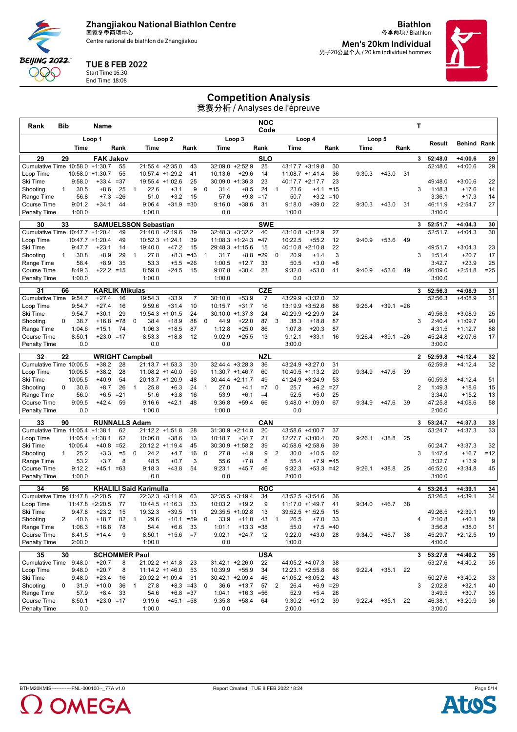Centre national de biathlon de Zhangjiakou

**Biathlon** 冬季两项 / Biathlon **Men's 20km Individual**

男子20公里个人 / 20 km individuel hommes



#### TUE 8 FEB 2022

Start Time 16:30 End Time 18:08

**BEIJING 2022** QQQ

## Competition Analysis

| Rank                                         | <b>Bib</b>   |                  | Name                          |                |              |                               |                       |                |              |                           |                                          | NOC<br>Code |                        |                                       |                     |        |              |      | Т              |                   |                      |              |
|----------------------------------------------|--------------|------------------|-------------------------------|----------------|--------------|-------------------------------|-----------------------|----------------|--------------|---------------------------|------------------------------------------|-------------|------------------------|---------------------------------------|---------------------|--------|--------------|------|----------------|-------------------|----------------------|--------------|
|                                              |              |                  | Loop 1                        |                |              |                               | Loop <sub>2</sub>     |                |              |                           | Loop 3                                   |             |                        | Loop 4                                |                     |        | Loop 5       |      |                |                   |                      |              |
|                                              |              | Time             |                               | Rank           |              | Time                          |                       | Rank           |              | Time                      |                                          | Rank        | Time                   |                                       | Rank                | Time   |              | Rank |                | Result            | <b>Behind Rank</b>   |              |
| 29                                           | 29           |                  | <b>FAK Jakov</b>              |                |              |                               |                       |                |              |                           |                                          | SLO         |                        |                                       |                     |        |              |      | 3              | 52:48.0           | $+4:00.6$            | 29           |
| Cumulative Time 10:58.0                      |              |                  | $+1:30.7$                     | 55             |              | 21:55.4 +2:35.0               |                       | 43             |              | 32:09.0                   | $+2:52.9$                                | 25          |                        | 43:17.7 +3:19.8                       | 30                  |        |              |      |                | 52:48.0           | $+4:00.6$            | 29           |
| Loop Time<br>Ski Time                        |              | 9:58.0           | $10:58.0 + 1:30.7$<br>$+33.4$ | 55<br>$= 37$   |              | 10:57.4 +1:29.2<br>19:55.4    | $+1:02.6$             | 41<br>25       |              | 10:13.6<br>30:09.0        | $+29.6$<br>$+1:36.3$                     | 14<br>23    |                        | $11:08.7 + 1:41.4$<br>40:17.7 +2:17.7 | 36<br>23            | 9:30.3 | $+43.0$      | 31   |                | 49:48.0           | $+3:00.6$            | 22           |
| Shooting                                     | $\mathbf{1}$ | 30.5             | $+8.6$                        | 25             | $\mathbf{1}$ | 22.6                          | $+3.1$                | 9              | 0            | 31.4                      | $+8.5$                                   | 24          | $\mathbf{1}$<br>23.6   | $+4.1$                                | $=15$               |        |              |      | 3              | 1:48.3            | $+17.6$              | 14           |
| Range Time                                   |              | 56.8             | $+7.3$                        | $= 26$         |              | 51.0                          | $+3.2$                | 15             |              | 57.6                      | $+9.8$                                   | $=17$       | 50.7                   | $+3.2$                                | $=10$               |        |              |      |                | 3:36.1            | $+17.3$              | 14           |
| <b>Course Time</b>                           |              | 9:01.2           | $+34.1$                       | 44             |              | 9:06.4                        | $+31.9$               | $= 30$         |              | 9:16.0                    | $+38.6$                                  | 31          | 9:18.0                 | $+39.0$                               | 22                  | 9:30.3 | $+43.0$      | 31   |                | 46:11.9           | $+2:54.7$            | 27           |
| <b>Penalty Time</b>                          |              | 1:00.0           |                               |                |              | 1:00.0                        |                       |                |              | 0.0                       |                                          |             | 1:00.0                 |                                       |                     |        |              |      |                | 3:00.0            |                      |              |
| 30                                           | 33           |                  |                               |                |              | <b>SAMUELSSON Sebastian</b>   |                       |                |              |                           |                                          | <b>SWE</b>  |                        |                                       |                     |        |              |      | 3              | 52:51.7           | $+4:04.3$            | 30           |
| Cumulative Time 10:47.7 +1:20.4<br>Loop Time |              | 10:47.7          | $+1:20.4$                     | 49<br>49       |              | $10:52.3 +1:24.1$             | 21:40.0 +2:19.6       | 39<br>39       |              |                           | $32:48.3 + 3:32.2$<br>$11:08.3 + 1:24.3$ | 40<br>$=47$ | 10:22.5                | $43:10.8 + 3:12.9$<br>$+55.2$         | 27<br>12            | 9:40.9 | $+53.6$      | 49   |                | 52:51.7           | $+4:04.3$            | 30           |
| Ski Time                                     |              | 9:47.7           | $+23.1$                       | 14             |              | 19:40.0                       | $+47.2$               | 15             |              | 29:48.3 +1:15.6           |                                          | 15          |                        | $40:10.8 + 2:10.8$                    | 22                  |        |              |      |                | 49:51.7           | $+3:04.3$            | 23           |
| Shooting                                     | $\mathbf{1}$ | 30.8             | $+8.9$                        | 29             | 1            | 27.8                          | $+8.3$                | $=43$          | $\mathbf{1}$ | 31.7                      | $+8.8$                                   | $=29$       | 20.9<br>0              | $+1.4$                                | 3                   |        |              |      | 3              | 1:51.4            | $+20.7$              | 17           |
| Range Time                                   |              | 58.4             | $+8.9$                        | 35             |              | 53.3                          | $+5.5$                | $=26$          |              | 1:00.5                    | $+12.7$                                  | 33          | 50.5                   | $+3.0$                                | $= 8$               |        |              |      |                | 3:42.7            | $+23.9$              | 25           |
| <b>Course Time</b>                           |              | 8:49.3           | $+22.2 = 15$                  |                |              | 8:59.0                        | $+24.5$               | 15             |              | 9:07.8                    | $+30.4$                                  | 23          | 9:32.0                 | $+53.0$                               | 41                  | 9:40.9 | $+53.6$      | 49   |                | 46:09.0           | $+2:51.8$            | $=25$        |
| <b>Penalty Time</b>                          |              | 1:00.0           |                               |                |              | 1:00.0                        |                       |                |              | 1:00.0                    |                                          |             | 0.0                    |                                       |                     |        |              |      |                | 3:00.0            |                      |              |
| 31                                           | 66           |                  | <b>KARLIK Mikulas</b>         |                |              |                               |                       |                |              |                           |                                          | <b>CZE</b>  |                        |                                       |                     |        |              |      | 3              | 52:56.3           | $+4:08.9$            | 31           |
| <b>Cumulative Time</b>                       |              | 9:54.7           | $+27.4$                       | 16             |              | 19:54.3                       | $+33.9$               | $\overline{7}$ |              | 30:10.0                   | $+53.9$                                  | 7           |                        | 43:29.9 +3:32.0                       | 32                  |        |              |      |                | 52:56.3           | $+4:08.9$            | 31           |
| Loop Time<br>Ski Time                        |              | 9:54.7<br>9:54.7 | $+27.4$<br>$+30.1$            | 16<br>29       |              | 9:59.6<br>19:54.3 +1:01.5     | $+31.4$               | 10<br>24       |              | 10:15.7<br>30:10.0        | $+31.7$<br>$+1:37.3$                     | 16<br>24    |                        | $13:19.9 + 3:52.6$<br>40:29.9 +2:29.9 | 86<br>24            | 9:26.4 | $+39.1 = 26$ |      |                | 49:56.3           | $+3:08.9$            | 25           |
| Shooting                                     | 0            | 38.7             | $+16.8$                       | $=78$          | 0            | 38.4                          | $+18.9$               | 88             | 0            | 44.9                      | $+22.0$                                  | 87          | 38.3<br>3              | $+18.8$                               | 87                  |        |              |      | 3              | 2:40.4            | $+1:09.7$            | 90           |
| Range Time                                   |              | 1:04.6           | $+15.1$                       | 74             |              | 1:06.3                        | $+18.5$               | 87             |              | 1:12.8                    | $+25.0$                                  | 86          | 1:07.8                 | $+20.3$                               | 87                  |        |              |      |                | 4:31.5            | $+1:12.7$            | 88           |
| Course Time                                  |              | 8:50.1           | $+23.0 = 17$                  |                |              | 8:53.3                        | $+18.8$               | 12             |              | 9:02.9                    | $+25.5$                                  | 13          | 9:12.1                 | $+33.1$                               | 16                  | 9:26.4 | $+39.1 = 26$ |      |                | 45:24.8           | $+2:07.6$            | 17           |
| Penalty Time                                 |              | 0.0              |                               |                |              | 0.0                           |                       |                |              | 0.0                       |                                          |             | 3:00.0                 |                                       |                     |        |              |      |                | 3:00.0            |                      |              |
| 32                                           | 22           |                  | <b>WRIGHT Campbell</b>        |                |              |                               |                       |                |              |                           |                                          | <b>NZL</b>  |                        |                                       |                     |        |              |      | 2              | 52:59.8           | $+4:12.4$            | 32           |
| Cumulative Time 10:05.5                      |              |                  | $+38.2$                       | 28             |              | $21:13.7 + 1:53.3$            |                       | 30             |              | $32:44.4 + 3:28.3$        |                                          | 36          |                        | 43:24.9 +3:27.0                       | 31                  |        |              |      |                | 52:59.8           | $+4:12.4$            | 32           |
| Loop Time                                    |              | 10:05.5          | $+38.2$                       | 28             |              | $11:08.2 + 1:40.0$            |                       | 50             |              | $11:30.7 + 1:46.7$        |                                          | 60          |                        | $10:40.5 +1:13.2$                     | 20                  | 9:34.9 | $+47.6$      | 39   |                |                   |                      |              |
| Ski Time<br>Shooting                         | 0            | 10:05.5<br>30.6  | $+40.9$<br>$+8.7$             | 54<br>26       | $\mathbf{1}$ | 20:13.7 +1:20.9<br>25.8       | $+6.3$                | 48<br>24       | $\mathbf{1}$ | $30:44.4 +2:11.7$<br>27.0 | $+4.1$                                   | 49<br>$=7$  | $\mathbf 0$<br>25.7    | 41:24.9 +3:24.9<br>$+6.2$             | 53<br>$=27$         |        |              |      | $\overline{2}$ | 50:59.8<br>1:49.3 | $+4:12.4$<br>$+18.6$ | 51<br>15     |
| Range Time                                   |              | 56.0             | $+6.5$                        | $=21$          |              | 51.6                          | $+3.8$                | 16             |              | 53.9                      | $+6.1$                                   | $=4$        | 52.5                   | $+5.0$                                | 25                  |        |              |      |                | 3:34.0            | $+15.2$              | 13           |
| <b>Course Time</b>                           |              | 9:09.5           | $+42.4$                       | 59             |              | 9:16.6                        | $+42.1$               | 48             |              | 9:36.8                    | $+59.4$                                  | 66          | 9:48.0                 | $+1:09.0$                             | 67                  | 9:34.9 | $+47.6$      | 39   |                | 47:25.8           | $+4:08.6$            | 58           |
| <b>Penalty Time</b>                          |              | 0.0              |                               |                |              | 1:00.0                        |                       |                |              | 1:00.0                    |                                          |             | 0.0                    |                                       |                     |        |              |      |                | 2:00.0            |                      |              |
| 33                                           | 90           |                  | <b>RUNNALLS Adam</b>          |                |              |                               |                       |                |              |                           |                                          | CAN         |                        |                                       |                     |        |              |      | 3              | 53:24.7           | $+4:37.3$            | 33           |
| Cumulative Time 11:05.4                      |              |                  | $+1:38.1$                     | 62             |              | 21:12.2 +1:51.8               |                       | 28             |              |                           | $31:30.9 +2:14.8$                        | 20          |                        | 43:58.6 +4:00.7                       | 37                  |        |              |      |                | 53:24.7           | $+4:37.3$            | 33           |
| Loop Time                                    |              | 11:05.4          | $+1:38.1$                     | 62             |              | 10:06.8                       | $+38.6$               | 13             |              | 10:18.7                   | $+34.7$                                  | 21          |                        | 12:27.7 +3:00.4                       | 70                  | 9:26.1 | $+38.8$      | 25   |                |                   |                      |              |
| Ski Time<br>Shooting                         | $\mathbf{1}$ | 10:05.4<br>25.2  | $+40.8$<br>$+3.3$             | $= 52$<br>$=5$ | 0            | 20:12.2 +1:19.4<br>24.2       | $+4.7$                | 45<br>16       | 0            | 27.8                      | $30:30.9 +1:58.2$<br>$+4.9$              | 39<br>9     | 2<br>30.0              | 40:58.6 +2:58.6<br>$+10.5$            | 39<br>62            |        |              |      | 3              | 50:24.7<br>1:47.4 | $+3:37.3$<br>$+16.7$ | 32<br>$= 12$ |
| Range Time                                   |              | 53.2             | $+3.7$                        | 8              |              | 48.5                          | $+0.7$                | 3              |              | 55.6                      | $+7.8$                                   | 8           | 55.4                   | $+7.9$                                | $=45$               |        |              |      |                | 3:32.7            | $+13.9$              | 9            |
| <b>Course Time</b>                           |              | 9:12.2           | $+45.1 = 63$                  |                |              | 9:18.3                        | $+43.8$               | 54             |              | 9:23.1                    | $+45.7$                                  | 46          | 9:32.3                 | $+53.3 = 42$                          |                     | 9:26.1 | $+38.8$      | 25   |                | 46:52.0           | $+3:34.8$            | 45           |
| <b>Penalty Time</b>                          |              | 1:00.0           |                               |                |              | 0.0                           |                       |                |              | 0.0                       |                                          |             | 2:00.0                 |                                       |                     |        |              |      |                | 3:00.0            |                      |              |
| 34                                           | 56           |                  |                               |                |              | <b>KHALILI Said Karimulla</b> |                       |                |              |                           |                                          | <b>ROC</b>  |                        |                                       |                     |        |              |      | 4              | 53:26.5           | $+4:39.1$            | 34           |
| Cumulative Time 11:47.8                      |              |                  | $+2:20.5$                     | 77             |              | 22:32.3 +3:11.9               |                       | 63             |              | 32:35.5                   | $+3:19.4$                                | 34          |                        | $43:52.5 + 3:54.6$                    | 36                  |        |              |      |                | 53:26.5           | $+4:39.1$            | 34           |
| Loop Time                                    |              |                  | $11:47.8 + 2:20.5$            | -77            |              |                               | $10:44.5 +1:16.3$     | 33             |              | 10:03.2                   | $+19.2$                                  | 9           |                        | $11:17.0 + 1:49.7$                    | 41                  | 9:34.0 | $+46.7$      | 38   |                |                   |                      |              |
| Ski lime                                     |              | 9:47.8           | +23.2                         | 15             |              | 19:32.3                       | +39.5                 | 11             |              | 29:35.5                   | +1:02.8                                  | 13          | 39:52.5                | $+1:52.5$                             | 15                  |        |              |      |                | 49:26.5           | $+2:39.1$            | 19           |
| Shooting                                     | 2            | 40.6             | $+18.7$                       | 82             | $\mathbf{1}$ | 29.6                          | $+10.1 = 59$          |                | 0            | 33.9                      | $+11.0$<br>$+13.3 = 38$                  | 43          | 26.5<br>$\mathbf{1}$   | $+7.0$                                | 33                  |        |              |      | 4              | 2:10.8            | $+40.1$              | 59           |
| Range Time<br>Course Time                    |              | 1:06.3<br>8:41.5 | $+16.8$<br>$+14.4$            | 78<br>9        |              | 54.4<br>8:50.1                | $+6.6$<br>$+15.6 = 7$ | 33             |              | 1:01.1<br>9:02.1          | $+24.7$ 12                               |             | 55.0<br>9:22.0         | $+43.0$                               | $+7.5 = 40$<br>- 28 | 9:34.0 | $+46.7$      | 38   |                | 3:56.8<br>45:29.7 | $+38.0$<br>$+2:12.5$ | 51<br>19     |
| Penalty Time                                 |              | 2:00.0           |                               |                |              | 1:00.0                        |                       |                |              | 0.0                       |                                          |             | 1:00.0                 |                                       |                     |        |              |      |                | 4:00.0            |                      |              |
| 35                                           | 30           |                  | <b>SCHOMMER Paul</b>          |                |              |                               |                       |                |              |                           |                                          | <b>USA</b>  |                        |                                       |                     |        |              |      | 3              | 53:27.6           | $+4:40.2$            | 35           |
| Cumulative Time 9:48.0                       |              |                  | $+20.7$                       | 8              |              | $21:02.2 +1:41.8$             |                       | 23             |              |                           | $31:42.1 +2:26.0$                        | 22          |                        | 44:05.2 +4:07.3                       | 38                  |        |              |      |                | 53:27.6           | $+4:40.2$            | 35           |
| Loop Time                                    |              | 9:48.0           | $+20.7$                       | 8              |              | $11:14.2 + 1:46.0$            |                       | 53             |              | 10:39.9                   | $+55.9$                                  | 34          |                        | 12:23.1 +2:55.8                       | 66                  | 9:22.4 | $+35.1$ 22   |      |                |                   |                      |              |
| Ski Time                                     |              | 9:48.0           | $+23.4$                       | 16             |              | 20:02.2 +1:09.4               |                       | 31             |              |                           | $30:42.1 + 2:09.4$                       | 46          |                        | 41:05.2 +3:05.2                       | 43                  |        |              |      |                | 50:27.6           | $+3:40.2$            | 33           |
| Shooting                                     | 0            | 31.9             | $+10.0$                       | 36             | $\mathbf{1}$ | 27.8                          |                       | $+8.3 = 43$    | 0            | 36.6                      | $+13.7$                                  | 57          | 26.4<br>$\overline{2}$ |                                       | $+6.9 = 29$         |        |              |      | 3              | 2:02.8            | $+32.1$              | 40           |
| Range Time                                   |              | 57.9             | $+8.4$                        | 33             |              | 54.6                          |                       | $+6.8 = 37$    |              | 1:04.1                    | $+16.3 = 56$                             |             | 52.9                   | $+5.4$                                | 26                  |        |              |      |                | 3:49.5            | $+30.7$              | 35           |
| Course Time<br>Penalty Time                  |              | 8:50.1<br>0.0    | $+23.0 = 17$                  |                |              | 9:19.6<br>1:00.0              | $+45.1 = 58$          |                |              | 9:35.8<br>0.0             | $+58.4$                                  | 64          | 9:30.2<br>2:00.0       | $+51.2$                               | 39                  | 9:22.4 | $+35.1$ 22   |      |                | 46:38.1<br>3:00.0 | $+3:20.9$            | 36           |
|                                              |              |                  |                               |                |              |                               |                       |                |              |                           |                                          |             |                        |                                       |                     |        |              |      |                |                   |                      |              |

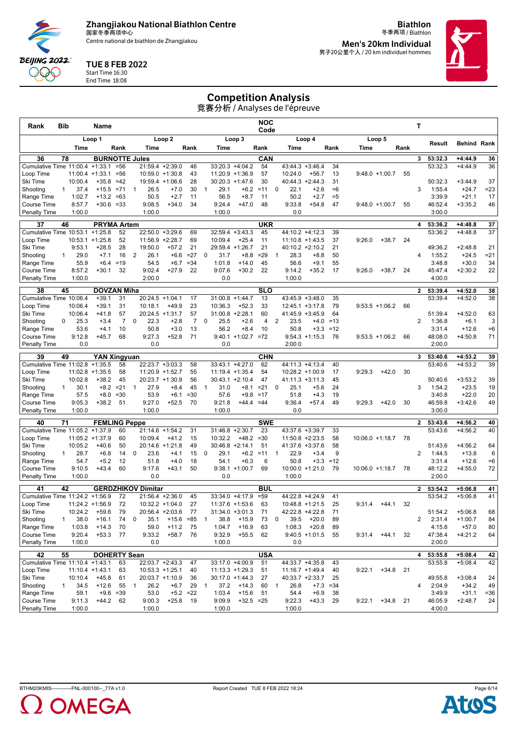Centre national de biathlon de Zhangjiakou

**Biathlon** 冬季两项 / Biathlon **Men's 20km Individual**

男子20公里个人 / 20 km individuel hommes



#### TUE 8 FEB 2022

Start Time 16:30 End Time 18:08

**BEIJING 2022** QQQ

#### Competition Analysis

| Rank                                         | Bib          |                    | Name                            |                  |              |                                       |                   |                 |              |                  |                                      | <b>NOC</b><br>Code |                               |                           |             |                    |                  |            | Т              |                    |                        |              |
|----------------------------------------------|--------------|--------------------|---------------------------------|------------------|--------------|---------------------------------------|-------------------|-----------------|--------------|------------------|--------------------------------------|--------------------|-------------------------------|---------------------------|-------------|--------------------|------------------|------------|----------------|--------------------|------------------------|--------------|
|                                              |              |                    | Loop 1                          |                  |              |                                       | Loop <sub>2</sub> |                 |              |                  | Loop 3                               |                    |                               | Loop 4                    |             |                    | Loop 5           |            |                | Result             | <b>Behind Rank</b>     |              |
|                                              |              | Time               |                                 | Rank             |              | Time                                  |                   | Rank            |              | Time             |                                      | Rank               | Time                          |                           | Rank        | Time               |                  | Rank       |                |                    |                        |              |
| 36                                           | 78           |                    | <b>BURNOTTE Jules</b>           |                  |              |                                       |                   |                 |              |                  |                                      | CAN                |                               |                           |             |                    |                  |            | 3              | 53:32.3            | $+4:44.9$              | 36           |
| Cumulative Time 11:00.4                      |              |                    | $+1:33.1$<br>$11:00.4 + 1:33.1$ | $= 56$<br>$= 56$ |              | 21:59.4 +2:39.0<br>$10:59.0 +1:30.8$  |                   | 46<br>43        |              |                  | $33:20.3 +4:04.2$<br>11:20.9 +1:36.9 | 54<br>57           | $43:44.3 + 3:46.4$<br>10:24.0 | $+56.7$                   | 34<br>13    |                    | $9:48.0 +1:00.7$ | 55         |                | 53:32.3            | $+4:44.9$              | 36           |
| Loop Time<br>Ski Time                        |              | 10:00.4            | $+35.8$                         | $=42$            |              | 19:59.4 +1:06.6                       |                   | 28              |              |                  | $30:20.3 +1:47.6$                    | 30                 |                               | $40:44.3 +2:44.3$         | 31          |                    |                  |            |                | 50:32.3            | $+3:44.9$              | 37           |
| Shooting                                     | 1            | 37.4               | $+15.5$                         | $= 71$           | 1            | 26.5                                  | $+7.0$            | 30              | $\mathbf{1}$ | 29.1             | $+6.2$                               | $=11$              | 22.1<br>$\mathbf{0}$          | $+2.6$                    | $=6$        |                    |                  |            | 3              | 1:55.4             | $+24.7$                | $= 23$       |
| Range Time                                   |              | 1:02.7             | $+13.2$                         | $=63$            |              | 50.5                                  | $+2.7$            | 11              |              | 56.5             | $+8.7$                               | 11                 | 50.2                          | $+2.7$                    | $=5$        |                    |                  |            |                | 3:39.9             | $+21.1$                | 17           |
| <b>Course Time</b>                           |              | 8:57.7             | $+30.6$                         | $= 33$           |              | 9:08.5                                | $+34.0$           | 34              |              | 9:24.4           | $+47.0$                              | 48                 | 9:33.8                        | $+54.8$                   | 47          |                    | $9:48.0 +1:00.7$ | 55         |                | 46:52.4            | $+3:35.2$              | 46           |
| <b>Penalty Time</b>                          |              | 1:00.0             |                                 |                  |              | 1:00.0                                |                   |                 |              | 1:00.0           |                                      |                    | 0.0                           |                           |             |                    |                  |            |                | 3:00.0             |                        |              |
| 37                                           | 46           |                    | <b>PRYMA Artem</b>              |                  |              |                                       |                   |                 |              |                  |                                      | <b>UKR</b>         |                               |                           |             |                    |                  |            | 4              | 53:36.2            | $+4:48.8$              | 37           |
| Cumulative Time 10:53.1                      |              |                    | $+1:25.8$                       | 52               |              | 22:50.0                               | $+3:29.6$         | 69              |              |                  | $32:59.4 + 3:43.3$                   | 45                 | 44:10.2 +4:12.3               |                           | 39          |                    |                  |            |                | 53:36.2            | $+4:48.8$              | 37           |
| Loop Time                                    |              |                    | $10:53.1 + 1:25.8$              | 52               |              | 11:56.9                               | $+2:28.7$         | 69              |              | 10:09.4          | $+25.4$                              | 11                 |                               | $11:10.8 + 1:43.5$        | 37          | 9:26.0             | $+38.7$          | 24         |                |                    |                        |              |
| Ski Time                                     |              | 9:53.1             | $+28.5$                         | 28               |              | 19:50.0                               | $+57.2$           | 21              |              |                  | 29:59.4 +1:26.7                      | 21                 |                               | 40:10.2 +2:10.2           | 21          |                    |                  |            |                | 49:36.2            | $+2:48.8$              | 21           |
| Shooting<br>Range Time                       | 1            | 29.0<br>55.9       | $+7.1$<br>$+6.4$                | 16<br>$=19$      | 2            | 26.1<br>54.5                          | $+6.6$<br>$+6.7$  | $=27$<br>$= 34$ | 0            | 31.7<br>1:01.8   | $+8.8$<br>$+14.0$                    | $= 29$<br>45       | 28.3<br>1<br>56.6             | $+8.8$<br>$+9.1$          | 50<br>55    |                    |                  |            | 4              | 1:55.2<br>3:48.8   | $+24.5$<br>$+30.0$     | $= 21$<br>34 |
| Course Time                                  |              | 8:57.2             | $+30.1$                         | 32               |              | 9:02.4                                | $+27.9$           | 22              |              | 9:07.6           | $+30.2$                              | 22                 | 9:14.2                        | $+35.2$                   | 17          | 9:26.0             | $+38.7$          | 24         |                | 45:47.4            | $+2:30.2$              | 22           |
| <b>Penalty Time</b>                          |              | 1:00.0             |                                 |                  |              | 2:00.0                                |                   |                 |              | 0.0              |                                      |                    | 1:00.0                        |                           |             |                    |                  |            |                | 4:00.0             |                        |              |
|                                              |              |                    |                                 |                  |              |                                       |                   |                 |              |                  |                                      |                    |                               |                           |             |                    |                  |            |                |                    |                        |              |
| 38<br>Cumulative Time 10:06.4                | 45           |                    | <b>DOVZAN Miha</b><br>$+39.1$   | 31               |              | 20:24.5                               | $+1:04.1$         | 17              |              | 31:00.8          | $+1:44.7$                            | <b>SLO</b><br>13   |                               | 43:45.9 +3:48.0           | 35          |                    |                  |            | $\mathbf{2}$   | 53:39.4<br>53:39.4 | $+4:52.0$<br>$+4:52.0$ | 38<br>38     |
| Loop Time                                    |              | 10:06.4            | $+39.1$                         | 31               |              | 10:18.1                               | $+49.9$           | 23              |              | 10:36.3          | $+52.3$                              | 33                 |                               | $12:45.1 + 3:17.8$        | 79          |                    | $9:53.5 +1:06.2$ | 66         |                |                    |                        |              |
| Ski Time                                     |              | 10:06.4            | $+41.8$                         | 57               |              | 20:24.5 +1:31.7                       |                   | 57              |              |                  | $31:00.8 + 2:28.1$                   | 60                 | $41:45.9 + 3:45.9$            |                           | 64          |                    |                  |            |                | 51:39.4            | $+4:52.0$              | 63           |
| Shooting                                     | 0            | 25.3               | $+3.4$                          | 7                | 0            | 22.3                                  | $+2.8$            | $\overline{7}$  | 0            | 25.5             | $+2.6$                               | 4                  | 2<br>23.5                     | $+4.0$                    | $=13$       |                    |                  |            | 2              | 1:36.8             | $+6.1$                 | 3            |
| Range Time                                   |              | 53.6               | $+4.1$                          | 10               |              | 50.8                                  | $+3.0$            | 13              |              | 56.2             | $+8.4$                               | 10                 | 50.8                          | $+3.3$                    | $=12$       |                    |                  |            |                | 3:31.4             | $+12.6$                | $=6$         |
| <b>Course Time</b>                           |              | 9:12.8             | $+45.7$                         | 68               |              | 9:27.3                                | $+52.8$           | 71              |              |                  | $9:40.1 + 1:02.7 = 72$               |                    |                               | $9:54.3 +1:15.3$          | 76          |                    | $9:53.5 +1:06.2$ | 66         |                | 48:08.0            | $+4:50.8$              | 71           |
| <b>Penalty Time</b>                          |              | 0.0                |                                 |                  |              | 0.0                                   |                   |                 |              | 0.0              |                                      |                    | 2:00.0                        |                           |             |                    |                  |            |                | 2:00.0             |                        |              |
| 39                                           | 49           |                    | <b>YAN Xingyuan</b>             |                  |              |                                       |                   |                 |              |                  |                                      | <b>CHN</b>         |                               |                           |             |                    |                  |            | 3              | 53:40.6            | $+4:53.2$              | 39           |
| Cumulative Time 11:02.8                      |              |                    | $+1:35.5$                       | 58               |              | 22:23.7 +3:03.3                       |                   | 58              |              |                  | 33:43.1 +4:27.0                      | 62                 | 44:11.3 +4:13.4               |                           | 40          |                    |                  |            |                | 53:40.6            | $+4:53.2$              | 39           |
| Loop Time                                    |              | 11:02.8            | $+1:35.5$                       | 58               |              | 11:20.9 +1:52.7                       |                   | 55              |              |                  | 11:19.4 +1:35.4                      | 54                 |                               | $10:28.2 + 1:00.9$        | 17          | 9:29.3             | $+42.0$          | 30         |                |                    |                        |              |
| Ski Time<br>Shooting                         | $\mathbf{1}$ | 10:02.8<br>30.1    | $+38.2$<br>$+8.2$               | 45<br>$= 21$     | $\mathbf{1}$ | 20:23.7 +1:30.9<br>27.9               | $+8.4$            | 56<br>45        | $\mathbf{1}$ | 31.0             | $30:43.1 +2:10.4$<br>$+8.1$          | 47<br>$= 21$       | 41:11.3<br>25.1<br>0          | $+3:11.3$<br>$+5.6$       | 45<br>24    |                    |                  |            | 3              | 50:40.6<br>1:54.2  | $+3:53.2$<br>$+23.5$   | 39<br>19     |
| Range Time                                   |              | 57.5               | $+8.0$                          | $= 30$           |              | 53.9                                  | $+6.1$            | $=30$           |              | 57.6             | $+9.8$                               | $=17$              | 51.8                          | $+4.3$                    | 19          |                    |                  |            |                | 3:40.8             | $+22.0$                | 20           |
| <b>Course Time</b>                           |              | 9:05.3             | $+38.2$                         | 51               |              | 9:27.0                                | $+52.5$           | 70              |              | 9:21.8           | $+44.4 = 44$                         |                    | 9:36.4                        | $+57.4$                   | 49          | 9:29.3             | $+42.0$          | 30         |                | 46:59.8            | $+3:42.6$              | 49           |
| <b>Penalty Time</b>                          |              | 1:00.0             |                                 |                  |              | 1:00.0                                |                   |                 |              | 1:00.0           |                                      |                    | 0.0                           |                           |             |                    |                  |            |                | 3:00.0             |                        |              |
| 40                                           | 71           |                    | <b>FEMLING Peppe</b>            |                  |              |                                       |                   |                 |              |                  |                                      | <b>SWE</b>         |                               |                           |             |                    |                  |            | $\mathbf{2}$   | 53:43.6            | $+4:56.2$              | 40           |
| Cumulative Time 11:05.2 +1:37.9              |              |                    |                                 | 60               |              | 21:14.6                               | $+1:54.2$         | 31              |              |                  | 31:46.8 +2:30.7                      | 23                 | 43:37.6 +3:39.7               |                           | 33          |                    |                  |            |                | 53:43.6            | $+4:56.2$              | 40           |
| Loop Time                                    |              |                    | $11:05.2 + 1:37.9$              | 60               |              | 10:09.4                               | $+41.2$           | 15              |              | 10:32.2          | $+48.2$                              | $=30$              |                               | $11:50.8 + 2:23.5$        | 58          | $10:06.0 +1:18.7$  |                  | 78         |                |                    |                        |              |
| Ski Time                                     |              | 10:05.2            | $+40.6$                         | 50               |              | 20:14.6                               | $+1:21.8$         | 49              |              |                  | $30:46.8 +2:14.1$                    | 51                 |                               | 41:37.6 +3:37.6           | 58          |                    |                  |            |                | 51:43.6            | $+4:56.2$              | 64           |
| Shooting                                     | 1            | 28.7               | $+6.8$                          | 14               | 0            | 23.6                                  | $+4.1$            | 15              | 0            | 29.1             | $+6.2$                               | $=11$              | 22.9<br>1                     | $+3.4$                    | 9           |                    |                  |            | $\overline{2}$ | 1:44.5             | $+13.8$                | 6            |
| Range Time                                   |              | 54.7               | $+5.2$                          | 12<br>60         |              | 51.8                                  | $+4.0$            | 18<br>50        |              | 54.1             | $+6.3$<br>$9:38.1 + 1:00.7$          | 6<br>69            | 50.8                          | $+3.3$<br>10:00.0 +1:21.0 | $=12$<br>79 |                    |                  |            |                | 3:31.4             | $+12.6$                | $=6$<br>72   |
| <b>Course Time</b><br><b>Penalty Time</b>    |              | 9:10.5<br>1:00.0   | $+43.4$                         |                  |              | 9:17.6<br>0.0                         | $+43.1$           |                 |              | 0.0              |                                      |                    | 1:00.0                        |                           |             | $10:06.0 + 1:18.7$ |                  | 78         |                | 48:12.2<br>2:00.0  | $+4:55.0$              |              |
|                                              |              |                    |                                 |                  |              |                                       |                   |                 |              |                  |                                      |                    |                               |                           |             |                    |                  |            |                |                    |                        |              |
| 41                                           | 42           |                    |                                 |                  |              | <b>GERDZHIKOV Dimitar</b>             |                   |                 |              |                  |                                      | BUL                |                               |                           |             |                    |                  |            | $\mathbf{2}$   | 53:54.2            | $+5:06.8$              | 41           |
| Cumulative Time 11:24.2 +1:56.9<br>Loop Time |              |                    |                                 | 72<br>72         |              | 21:56.4 +2:36.0                       |                   | 45              |              |                  | 33:34.0 +4:17.9                      | $= 59$             | 44:22.8 +4:24.9               |                           | 41<br>25    |                    |                  |            |                | 53:54.2            | $+5:06.8$              | 41           |
| Ski Time                                     |              | 10:24.2            | $11:24.2 + 1:56.9$<br>$+59.6$   | 79               |              | $10:32.2 + 1:04.0$<br>20:56.4 +2:03.6 |                   | 27<br>77        |              |                  | 11:37.6 +1:53.6<br>31:34.0 +3:01.3   | 63<br>71           | 42:22.8 +4:22.8               | $10:48.8 + 1:21.5$        | 71          | 9:31.4             | $+44.1$          | 32         |                | 51:54.2            | $+5:06.8$              | 68           |
| Shooting                                     | 1            | 38.0               | $+16.1$                         | 74               | 0            | 35.1                                  | $+15.6$           | $= 85$          | $\mathbf{1}$ | 38.8             | $+15.9$                              | 73                 | 39.5<br>0                     | $+20.0$                   | 89          |                    |                  |            | 2              | 2:31.4             | $+1:00.7$              | 84           |
| Range Time                                   |              | 1:03.8             | $+14.3$                         | 70               |              | 59.0                                  | $+11.2$           | 75              |              | 1:04.7           | $+16.9$                              | 63                 | 1:08.3                        | $+20.8$                   | 89          |                    |                  |            |                | 4:15.8             | $+57.0$                | 80           |
| Course Time                                  |              | 9:20.4             | $+53.3$                         | 77               |              | 9:33.2                                | $+58.7$           | 76              |              | 9:32.9           | $+55.5$                              | 62                 |                               | $9:40.5 +1:01.5$          | 55          | 9:31.4             | $+44.1$          | 32         |                | 47:38.4            | $+4:21.2$              | 64           |
| <b>Penalty Time</b>                          |              | 1:00.0             |                                 |                  |              | 0.0                                   |                   |                 |              | 1:00.0           |                                      |                    | 0.0                           |                           |             |                    |                  |            |                | 2:00.0             |                        |              |
| 42                                           | 55           |                    | <b>DOHERTY Sean</b>             |                  |              |                                       |                   |                 |              |                  |                                      | <b>USA</b>         |                               |                           |             |                    |                  |            | 4              | 53:55.8            | $+5:08.4$              | 42           |
| Cumulative Time 11:10.4 +1:43.1              |              |                    |                                 | 63               |              | 22:03.7 +2:43.3                       |                   | 47              |              |                  | 33:17.0 +4:00.9                      | 51                 | 44:33.7 +4:35.8               |                           | 43          |                    |                  |            |                | 53:55.8            | $+5:08.4$              | 42           |
| Loop Time                                    |              | $11:10.4 + 1:43.1$ |                                 | 63               |              | $10:53.3 +1:25.1$                     |                   | 40              |              |                  | $11:13.3 + 1:29.3$                   | 51                 | $11:16.7 + 1:49.4$            |                           | 40          | 9:22.1             |                  | $+34.8$ 21 |                |                    |                        |              |
| Ski Time                                     |              | 10:10.4            | $+45.8$                         | 61               |              | 20:03.7 +1:10.9                       |                   | 36              |              |                  | $30:17.0 +1:44.3$                    | 27                 | 40:33.7 +2:33.7               |                           | 25          |                    |                  |            |                | 49:55.8            | $+3:08.4$              | 24           |
| Shooting                                     | $\mathbf{1}$ | 34.5               | $+12.6$                         | 55               | -1           | 26.2                                  | $+6.7$            | 29              | $\mathbf{1}$ | 37.2             | $+14.3$                              | 60                 | 26.8<br>$\overline{1}$        | $+7.3$                    | $= 34$      |                    |                  |            | 4              | 2:04.9             | $+34.2$                | 49           |
| Range Time<br>Course Time                    |              | 59.1               | $+9.6$                          | $=39$            |              | 53.0                                  |                   | $+5.2 = 22$     |              | 1:03.4           | $+15.6$                              | 51                 | 54.4                          | $+6.9$                    | 38          |                    |                  |            |                | 3:49.9             | $+31.1$                | $= 36$       |
| <b>Penalty Time</b>                          |              | 9:11.3<br>1:00.0   | $+44.2$                         | 62               |              | 9:00.3<br>1:00.0                      | $+25.8$           | - 19            |              | 9:09.9<br>1:00.0 | $+32.5 = 25$                         |                    | 9:22.3<br>1:00.0              | $+43.3$                   | 29          | 9:22.1             | $+34.8$ 21       |            |                | 46:05.9<br>4:00.0  | $+2:48.7$              | 24           |
|                                              |              |                    |                                 |                  |              |                                       |                   |                 |              |                  |                                      |                    |                               |                           |             |                    |                  |            |                |                    |                        |              |

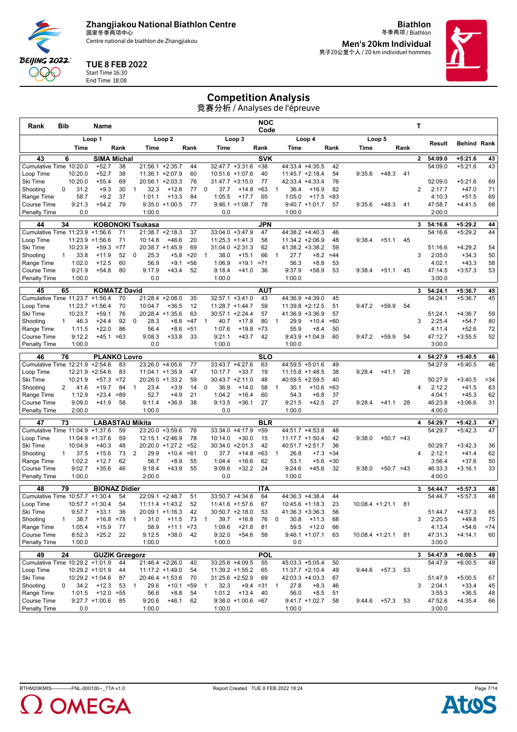Centre national de biathlon de Zhangjiakou

**Biathlon** 冬季两项 / Biathlon **Men's 20km Individual**

男子20公里个人 / 20 km individuel hommes



#### TUE 8 FEB 2022

Start Time 16:30 End Time 18:08

## Competition Analysis

| Rank                                      | <b>Bib</b>   |                              | Name                             |          |    |                               |                   |                 |                |                    |                                 | NOC<br>Code          |              |                    |                                 |             |        |                      |      | т              |                    |                        |          |
|-------------------------------------------|--------------|------------------------------|----------------------------------|----------|----|-------------------------------|-------------------|-----------------|----------------|--------------------|---------------------------------|----------------------|--------------|--------------------|---------------------------------|-------------|--------|----------------------|------|----------------|--------------------|------------------------|----------|
|                                           |              |                              | Loop 1                           |          |    |                               | Loop <sub>2</sub> |                 |                |                    | Loop 3                          |                      |              |                    | Loop 4                          |             |        | Loop 5               |      |                |                    |                        |          |
|                                           |              | Time                         |                                  | Rank     |    | Time                          |                   | Rank            |                | Time               |                                 | Rank                 |              | Time               |                                 | Rank        | Time   |                      | Rank |                | Result             | <b>Behind Rank</b>     |          |
| 43                                        |              | 6                            | <b>SIMA Michal</b>               |          |    |                               |                   |                 |                |                    |                                 | <b>SVK</b>           |              |                    |                                 |             |        |                      |      | $\mathbf{2}$   | 54:09.0            | $+5:21.6$              | 43       |
| Cumulative Time 10:20.0                   |              |                              | $+52.7$                          | 38       |    | 21:56.1                       | $+2:35.7$         | 44              |                |                    | 32:47.7 +3:31.6                 | $= 38$               |              |                    | 44:33.4 +4:35.5                 | 42          |        |                      |      |                | 54:09.0            | $+5:21.6$              | 43       |
| Loop Time                                 |              | 10:20.0                      | $+52.7$                          | 38       |    | $11:36.1 + 2:07.9$            |                   | 60              |                |                    | $10:51.6 + 1:07.6$              | 40                   |              | $11:45.7 +2:18.4$  |                                 | 54          | 9:35.6 | $+48.3$              | 41   |                |                    |                        |          |
| Ski Time                                  | 0            | 10:20.0<br>31.2              | $+55.4$<br>$+9.3$                | 69<br>30 | -1 | $20:56.1 + 2:03.3$<br>32.3    | $+12.8$           | 76<br>77        | 0              | 37.7               | $31:47.7 + 3:15.0$<br>$+14.8$   | 77<br>$=63$          | -1           | 36.4               | 42:33.4 +4:33.4<br>$+16.9$      | 76<br>82    |        |                      |      | $\overline{2}$ | 52:09.0<br>2:17.7  | $+5:21.6$<br>$+47.0$   | 69<br>71 |
| Shooting<br>Range Time                    |              | 58.7                         | $+9.2$                           | 37       |    | 1:01.1                        | $+13.3$           | 84              |                | 1:05.5             | $+17.7$                         | 65                   |              | 1:05.0             | $+17.5$                         | $= 83$      |        |                      |      |                | 4:10.3             | $+51.5$                | 69       |
| <b>Course Time</b>                        |              | 9:21.3                       | $+54.2$                          | 79       |    |                               | $9:35.0 +1:00.5$  | 77              |                |                    | $9:46.1 + 1:08.7$               | 78                   |              |                    | $9:40.7 +1:01.7$                | 57          | 9:35.6 | $+48.3$              | 41   |                | 47:58.7            | $+4:41.5$              | 68       |
| <b>Penalty Time</b>                       |              | 0.0                          |                                  |          |    | 1:00.0                        |                   |                 |                | 0.0                |                                 |                      |              | 1:00.0             |                                 |             |        |                      |      |                | 2:00.0             |                        |          |
| 44                                        | 34           |                              |                                  |          |    | <b>KOBONOKI Tsukasa</b>       |                   |                 |                |                    |                                 | <b>JPN</b>           |              |                    |                                 |             |        |                      |      | 3              | 54:16.6            | $+5:29.2$              | 44       |
| Cumulative Time 11:23.9                   |              |                              | $+1:56.6$                        | 71       |    | $21:38.7 +2:18.3$             |                   | 37              |                |                    | 33:04.0 +3:47.9                 | 47                   |              | 44:38.2 +4:40.3    |                                 | 46          |        |                      |      |                | 54:16.6            | $+5:29.2$              | 44       |
| Loop Time                                 |              | 11:23.9                      | $+1:56.6$                        | 71       |    | 10:14.8                       | $+46.6$           | 20              |                |                    | 11:25.3 +1:41.3                 | 58                   |              |                    | $11:34.2 +2:06.9$               | 48          | 9:38.4 | $+51.1$              | 45   |                |                    |                        |          |
| Ski Time                                  |              | 10:23.9                      | $+59.3$                          | $= 77$   |    | 20:38.7 +1:45.9               |                   | 69              |                |                    | $31:04.0 +2:31.3$               | 62                   |              |                    | $41:38.2 +3:38.2$               | 59          |        |                      |      |                | 51:16.6            | $+4:29.2$              | 54       |
| Shooting<br>Range Time                    | $\mathbf{1}$ | 33.8<br>1:02.0               | $+11.9$<br>$+12.5$               | 52<br>60 | 0  | 25.3<br>56.9                  | $+5.8$<br>+9.1    | $=20$<br>$= 56$ | $\mathbf{1}$   | 38.0<br>1:06.9     | $+15.1$<br>$+19.1$              | 66<br>$= 71$         | -1           | 27.7<br>56.3       | $+8.2$<br>$+8.8$                | $=44$<br>53 |        |                      |      | 3              | 2:05.0<br>4:02.1   | $+34.3$<br>$+43.3$     | 50<br>58 |
| Course Time                               |              | 9:21.9                       | $+54.8$                          | 80       |    | 9:17.9                        | $+43.4$           | 52              |                | 9:18.4             | $+41.0$                         | 36                   |              | 9:37.9             | $+58.9$                         | 53          | 9:38.4 | $+51.1$              | 45   |                | 47:14.5            | $+3:57.3$              | 53       |
| <b>Penalty Time</b>                       |              | 1:00.0                       |                                  |          |    | 0.0                           |                   |                 |                | 1:00.0             |                                 |                      |              | 1:00.0             |                                 |             |        |                      |      |                | 3:00.0             |                        |          |
| 45                                        | 65           |                              | <b>KOMATZ David</b>              |          |    |                               |                   |                 |                |                    |                                 | <b>AUT</b>           |              |                    |                                 |             |        |                      |      | 3              | 54:24.1            | $+5:36.7$              | 45       |
| Cumulative Time 11:23.7                   |              |                              | $+1:56.4$                        | 70       |    | 21:28.4 +2:08.0               |                   | 35              |                |                    | 32:57.1 +3:41.0                 | 43                   |              |                    | 44:36.9 +4:39.0                 | 45          |        |                      |      |                | 54:24.1            | $+5:36.7$              | 45       |
| Loop Time                                 |              | $11:23.7 + 1:56.4$           |                                  | 70       |    | 10:04.7                       | $+36.5$           | 12              |                | $11:28.7 + 1:44.7$ |                                 | 59                   |              |                    | $11:39.8 + 2:12.5$              | 51          | 9:47.2 | $+59.9$              | 54   |                |                    |                        |          |
| Ski Time                                  |              | 10:23.7                      | $+59.1$                          | 76       |    | 20:28.4 +1:35.6               |                   | 63              |                |                    | 30:57.1 +2:24.4                 | 57                   |              | 41:36.9 +3:36.9    |                                 | 57          |        |                      |      |                | 51:24.1            | $+4:36.7$              | 59       |
| Shooting                                  | $\mathbf{1}$ | 46.3                         | $+24.4$                          | 92       | 0  | 28.3                          | $+8.8$            | $=47$           | $\mathbf 1$    | 40.7               | $+17.8$                         | 80                   | -1           | 29.9               | $+10.4$                         | $=60$       |        |                      |      | 3              | 2:25.4             | $+54.7$                | 80       |
| Range Time<br>Course Time                 |              | 1:11.5<br>9:12.2             | $+22.0$<br>$+45.1 = 63$          | 86       |    | 56.4<br>9:08.3                | $+8.6$<br>$+33.8$ | $= 51$<br>33    |                | 1:07.6<br>9:21.1   | $+19.8$<br>$+43.7$              | $=73$<br>42          |              | 55.9               | $+8.4$<br>$9:43.9 +1:04.9$      | 50<br>60    | 9:47.2 | $+59.9$              | 54   |                | 4:11.4<br>47:12.7  | $+52.6$<br>$+3:55.5$   | 72<br>52 |
| <b>Penalty Time</b>                       |              | 1:00.0                       |                                  |          |    | 0.0                           |                   |                 |                | 1:00.0             |                                 |                      |              | 1:00.0             |                                 |             |        |                      |      |                | 3:00.0             |                        |          |
|                                           |              |                              |                                  |          |    |                               |                   |                 |                |                    |                                 |                      |              |                    |                                 |             |        |                      |      |                | 54:27.9            |                        |          |
| 46<br>Cumulative Time 12:21.9             | 76           |                              | <b>PLANKO Lovro</b><br>$+2:54.6$ | 83       |    | 23:26.0                       | $+4:05.6$         | 77              |                |                    | 33:43.7 +4:27.6                 | <b>SLO</b><br>63     |              |                    | 44:59.5 +5:01.6                 | 49          |        |                      |      | 4              | 54:27.9            | $+5:40.5$<br>$+5:40.5$ | 46<br>46 |
| Loop Time                                 |              | $12:21.9 +2:54.6$            |                                  | 83       |    | $11:04.1 + 1:35.9$            |                   | 47              |                | 10:17.7            | $+33.7$                         | 19                   |              |                    | $11:15.8 + 1:48.5$              | 38          | 9:28.4 | $+41.1$              | 28   |                |                    |                        |          |
| Ski Time                                  |              | 10:21.9                      | $+57.3$                          | $=72$    |    | 20:26.0                       | $+1:33.2$         | 59              |                |                    | 30:43.7 +2:11.0                 | 48                   |              |                    | 40:59.5 +2:59.5                 | 40          |        |                      |      |                | 50:27.9            | $+3:40.5$              | $= 34$   |
| Shooting                                  | 2            | 41.6                         | $+19.7$                          | 84       | 1  | 23.4                          | $+3.9$            | 14              | 0              | 36.9               | $+14.0$                         | 58                   | $\mathbf{1}$ | 30.1               | $+10.6$                         | $=63$       |        |                      |      | 4              | 2:12.2             | $+41.5$                | 63       |
| Range Time                                |              | 1:12.9                       | $+23.4$                          | $= 89$   |    | 52.7                          | $+4.9$            | 21              |                | 1:04.2             | $+16.4$                         | 60                   |              | 54.3               | $+6.8$                          | 37          |        |                      |      |                | 4:04.1             | $+45.3$                | 62       |
| <b>Course Time</b><br><b>Penalty Time</b> |              | 9:09.0<br>2:00.0             | $+41.9$                          | 58       |    | 9:11.4<br>1:00.0              | $+36.9$           | 38              |                | 9:13.5<br>0.0      | $+36.1$                         | 27                   |              | 9:21.5<br>1:00.0   | $+42.5$                         | 27          | 9:28.4 | $+41.1$              | 28   |                | 46:23.8<br>4:00.0  | $+3:06.6$              | 31       |
|                                           |              |                              |                                  |          |    |                               |                   |                 |                |                    |                                 |                      |              |                    |                                 |             |        |                      |      |                |                    |                        |          |
| 47<br>Cumulative Time 11:04.9             | 73           |                              | LABASTAU Mikita<br>$+1:37.6$     | 59       |    | 23:20.0 +3:59.6               |                   | 76              |                |                    | 33:34.0 +4:17.9                 | <b>BLR</b><br>$= 59$ |              | 44:51.7 +4:53.8    |                                 | 48          |        |                      |      | 4              | 54:29.7<br>54:29.7 | $+5:42.3$<br>$+5:42.3$ | 47<br>47 |
| Loop Time                                 |              | 11:04.9                      | $+1:37.6$                        | 59       |    | 12:15.1 +2:46.9               |                   | 78              |                | 10:14.0            | $+30.0$                         | 15                   |              | $11:17.7 + 1:50.4$ |                                 | 42          | 9:38.0 | $+50.7 = 43$         |      |                |                    |                        |          |
| Ski Time                                  |              | 10:04.9                      | $+40.3$                          | 48       |    | 20:20.0 +1:27.2               |                   | $= 52$          |                |                    | $30:34.0 +2:01.3$               | 42                   |              | 40:51.7 +2:51.7    |                                 | 36          |        |                      |      |                | 50:29.7            | $+3:42.3$              | 36       |
| Shooting                                  | $\mathbf{1}$ | 37.5                         | $+15.6$                          | 73       | 2  | 29.9                          | $+10.4$           | $= 61$          | 0              | 37.7               | $+14.8$                         | $=63$                | $\mathbf{1}$ | 26.8               | $+7.3$                          | $= 34$      |        |                      |      | 4              | 2:12.1             | $+41.4$                | 62       |
| Range Time                                |              | 1:02.2                       | $+12.7$                          | 62       |    | 56.7                          | $+8.9$            | 55              |                | 1:04.4             | $+16.6$                         | 62                   |              | 53.1               | $+5.6$                          | $= 30$      |        |                      |      |                | 3:56.4             | $+37.6$                | 50       |
| Course Time                               |              | 9:02.7                       | $+35.6$                          | 46       |    | 9:18.4                        | $+43.9$           | 55              |                | 9:09.6             | $+32.2$                         | 24                   |              | 9:24.6             | $+45.6$                         | 32          | 9:38.0 | $+50.7 = 43$         |      |                | 46:33.3            | $+3:16.1$              | 33       |
| <b>Penalty Time</b>                       |              | 1:00.0                       |                                  |          |    | 2:00.0                        |                   |                 |                | 0.0                |                                 |                      |              | 1:00.0             |                                 |             |        |                      |      |                | 4:00.0             |                        |          |
| 48                                        | 79           |                              | <b>BIONAZ Didier</b>             |          |    |                               |                   |                 |                |                    |                                 | <b>ITA</b>           |              |                    |                                 |             |        |                      |      | 3              | 54:44.7            | $+5:57.3$              | 48       |
| Cumulative Time 10:57.7                   |              |                              | $+1:30.4$                        | 54       |    | 22:09.1 +2:48.7               |                   | 51              |                |                    | 33:50.7 +4:34.6                 | 64                   |              | 44:36.3 +4:38.4    |                                 | 44          |        |                      |      |                | 54:44.7            | $+5:57.3$              | 48       |
| Loop Time<br>Ski Time                     |              | $10:57.7 + 1:30.4$<br>9:57.7 | +33.1                            | 54<br>36 |    | $11:11.4 + 1:43.2$<br>20:09.1 | $+1:16.3$         | 52<br>42        |                | 30:50.7            | $11:41.6 + 1:57.6$<br>$+2:18.0$ | 67<br>53             |              |                    | $10:45.6 + 1:18.3$<br>$+3:36.3$ | 23<br>56    |        | $10:08.4 +1:21.1$    | 81   |                | 51:44.7            | $+4:57.3$              | 65       |
| Shooting                                  | 1            | 38.7                         | $+16.8 = 78$                     |          | -1 | 31.0                          | $+11.5$           | 73              | $\overline{1}$ | 39.7               | $+16.8$                         | 76                   | 0            | 41.36.3<br>30.8    | $+11.3$                         | 68          |        |                      |      | 3              | 2:20.5             | $+49.8$                | 75       |
| Range Time                                |              | 1:05.4                       | $+15.9$                          | 77       |    | 58.9                          | $+11.1 = 73$      |                 |                | 1:09.6             | $+21.8$                         | 81                   |              | 59.5               | $+12.0$                         | 66          |        |                      |      |                | 4:13.4             | $+54.6$                | $= 74$   |
| Course Time                               |              | 8:52.3                       | $+25.2$ 22                       |          |    | 9:12.5                        | $+38.0$ 42        |                 |                | 9:32.0             | $+54.6$                         | 58                   |              |                    | $9:46.1 + 1:07.1$               | 63          |        | $10:08.4 +1:21.1$ 81 |      |                | 47:31.3            | $+4:14.1$              | 60       |
| <b>Penalty Time</b>                       |              | 1:00.0                       |                                  |          |    | 1:00.0                        |                   |                 |                | 1:00.0             |                                 |                      |              | 0.0                |                                 |             |        |                      |      |                | 3:00.0             |                        |          |
| 49                                        | 24           |                              | <b>GUZIK Grzegorz</b>            |          |    |                               |                   |                 |                |                    |                                 | <b>POL</b>           |              |                    |                                 |             |        |                      |      | 3              | 54:47.9            | $+6:00.5$              | 49       |
| Cumulative Time 10:29.2 +1:01.9           |              |                              |                                  | 44       |    | 21:46.4 +2:26.0               |                   | 40              |                |                    | 33:25.6 +4:09.5                 | 55                   |              |                    | 45:03.3 +5:05.4                 | 50          |        |                      |      |                | 54:47.9            | $+6:00.5$              | 49       |
| Loop Time                                 |              | 10:29.2 +1:01.9              |                                  | 44       |    | $11:17.2 +1:49.0$             |                   | 54              |                |                    | $11:39.2 +1:55.2$               | 65                   |              |                    | $11:37.7 +2:10.4$               | 49          | 9:44.6 | $+57.3$              | 53   |                |                    |                        |          |
| Ski Time                                  |              | $10:29.2 +1:04.6$            |                                  | 87       |    | 20:46.4 +1:53.6               |                   | 70              |                |                    | 31:25.6 +2:52.9                 | 69                   |              |                    | 42:03.3 +4:03.3                 | 67          |        |                      |      |                | 51:47.9            | $+5:00.5$              | 67       |
| Shooting<br>Range Time                    | 0            | 34.2                         | $+12.3$                          | 53       | 1  | 29.6<br>56.6                  | $+10.1 = 59$      |                 | -1             | 32.3<br>1:01.2     | $+13.4$                         | $+9.4 = 31$          | $\mathbf{1}$ | 27.8<br>56.0       | $+8.3$                          | 46          |        |                      |      | 3              | 2:04.1             | $+33.4$<br>$+36.5$     | 45       |
| Course Time                               |              | 1:01.5                       | $+12.0 = 55$<br>$9:27.7 +1:00.6$ | 85       |    | 9:20.6                        | $+8.8$<br>$+46.1$ | 54<br>62        |                |                    | $9:38.0 +1:00.6 = 67$           | -40                  |              |                    | $+8.5$<br>$9:41.7 +1:02.7$      | 51<br>58    | 9:44.6 | $+57.3$              | 53   |                | 3:55.3<br>47:52.6  | $+4:35.4$              | 48<br>66 |
| <b>Penalty Time</b>                       |              | 0.0                          |                                  |          |    | 1:00.0                        |                   |                 |                | 1:00.0             |                                 |                      |              | 1:00.0             |                                 |             |        |                      |      |                | 3:00.0             |                        |          |
|                                           |              |                              |                                  |          |    |                               |                   |                 |                |                    |                                 |                      |              |                    |                                 |             |        |                      |      |                |                    |                        |          |

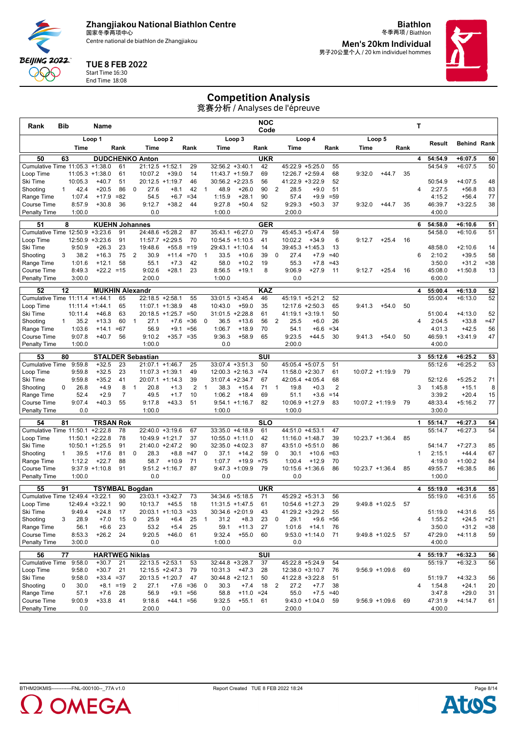Centre national de biathlon de Zhangjiakou

**Biathlon** 冬季两项 / Biathlon **Men's 20km Individual**

男子20公里个人 / 20 km individuel hommes



TUE 8 FEB 2022

Start Time 16:30 End Time 18:08

**BEIJING 2022** QQQ

#### Competition Analysis

| Rank                         | Bib             |                    | Name                 |                             |                |                                     |                        |                |                |                  |                                      | <b>NOC</b><br>Code            |                        |                                    |              |        |                   |      | Т            |                    |                        |                  |
|------------------------------|-----------------|--------------------|----------------------|-----------------------------|----------------|-------------------------------------|------------------------|----------------|----------------|------------------|--------------------------------------|-------------------------------|------------------------|------------------------------------|--------------|--------|-------------------|------|--------------|--------------------|------------------------|------------------|
|                              |                 |                    | Loop 1               |                             |                |                                     | Loop <sub>2</sub>      |                |                |                  | Loop 3                               |                               |                        | Loop 4                             |              |        | Loop 5            |      |              | Result             | <b>Behind Rank</b>     |                  |
|                              |                 | Time               |                      | Rank                        |                | Time                                |                        | Rank           |                | Time             |                                      | Rank                          | Time                   |                                    | Rank         | Time   |                   | Rank |              |                    |                        |                  |
| 50                           | 63              |                    |                      |                             |                | <b>DUDCHENKO Anton</b>              |                        |                |                |                  |                                      | <b>UKR</b>                    |                        |                                    |              |        |                   |      | 4            | 54:54.9            | $+6:07.5$              | 50               |
| Cumulative Time 11:05.3      |                 |                    | $+1:38.0$            | 61                          |                | 21:12.5                             | $+1:52.1$              | 29             |                |                  | $32:56.2 + 3:40.1$                   | 42                            |                        | $45:22.9 + 5:25.0$                 | 55           |        |                   |      |              | 54:54.9            | $+6:07.5$              | 50               |
| Loop Time<br>Ski Time        |                 | 11:05.3<br>10:05.3 | $+1:38.0$<br>$+40.7$ | 61<br>51                    |                | 10:07.2<br>20:12.5                  | $+39.0$<br>$+1:19.7$   | 14<br>46       |                |                  | 11:43.7 +1:59.7<br>$30:56.2 +2:23.5$ | 69<br>56                      |                        | 12:26.7 +2:59.4<br>41:22.9 +3:22.9 | 68<br>52     | 9:32.0 | $+44.7$           | 35   |              | 50:54.9            | $+4:07.5$              | 48               |
| Shooting                     | $\mathbf{1}$    | 42.4               | $+20.5$              | 86                          | 0              | 27.6                                | $+8.1$                 | 42             | $\mathbf{1}$   | 48.9             | $+26.0$                              | 90                            | 2<br>28.5              | $+9.0$                             | 51           |        |                   |      | 4            | 2:27.5             | $+56.8$                | 83               |
| Range Time                   |                 | 1:07.4             | $+17.9$              | $=82$                       |                | 54.5                                | $+6.7$                 | $= 34$         |                | 1:15.9           | $+28.1$                              | 90                            | 57.4                   | $+9.9$                             | $= 59$       |        |                   |      |              | 4:15.2             | $+56.4$                | 77               |
| <b>Course Time</b>           |                 | 8:57.9             | $+30.8$              | 36                          |                | 9:12.7                              | $+38.2$                | 44             |                | 9:27.8           | $+50.4$                              | 52                            | 9:29.3                 | $+50.3$                            | 37           | 9:32.0 | $+44.7$           | 35   |              | 46:39.7            | $+3:22.5$              | 38               |
| <b>Penalty Time</b>          |                 | 1:00.0             |                      |                             |                | 0.0                                 |                        |                |                | 1:00.0           |                                      |                               | 2:00.0                 |                                    |              |        |                   |      |              | 4:00.0             |                        |                  |
| 51                           | 8               |                    |                      | <b>KUEHN Johannes</b>       |                |                                     |                        |                |                |                  |                                      | <b>GER</b>                    |                        |                                    |              |        |                   |      | 6            | 54:58.0            | $+6:10.6$              | 51               |
| Cumulative Time 12:50.9      |                 |                    | $+3:23.6$            | 91                          |                | 24:48.6 +5:28.2                     |                        | 87             |                |                  | 35:43.1 +6:27.0                      | 79                            |                        | 45:45.3 +5:47.4                    | 59           |        |                   |      |              | 54:58.0            | $+6:10.6$              | 51               |
| Loop Time                    |                 | 12:50.9            | $+3:23.6$            | 91                          |                | 11:57.7 +2:29.5                     |                        | 70             |                |                  | $10:54.5 +1:10.5$                    | 41                            | 10:02.2                | $+34.9$                            | 6            | 9:12.7 | $+25.4$           | 16   |              |                    |                        |                  |
| Ski Time                     |                 | 9:50.9             | $+26.3$              | 23                          |                | 19:48.6                             | $+55.8$                | $=19$          |                |                  | 29:43.1 +1:10.4                      | 14                            |                        | $39:45.3 +1:45.3$                  | 13           |        |                   |      |              | 48:58.0            | $+2:10.6$              | 14               |
| Shooting                     | 3               | 38.2               | $+16.3$              | 75                          | 2              | 30.9                                | $+11.4$                | $=70$          | 1              | 33.5             | $+10.6$                              | 39                            | 27.4<br>0              | $+7.9$                             | $=40$        |        |                   |      | 6            | 2:10.2             | $+39.5$                | 58               |
| Range Time                   |                 | 1:01.6             | $+12.1$              | 58                          |                | 55.1                                | $+7.3$                 | 42             |                | 58.0             | $+10.2$                              | 19                            | 55.3                   | $+7.8$                             | $=43$        |        |                   |      |              | 3:50.0             | $+31.2$                | $= 38$           |
| <b>Course Time</b>           |                 | 8:49.3             |                      | $+22.2 = 15$                |                | 9:02.6                              | $+28.1$                | 23             |                | 8:56.5           | $+19.1$                              | 8                             | 9:06.9                 | $+27.9$                            | 11           | 9:12.7 | $+25.4$           | 16   |              | 45:08.0            | $+1:50.8$              | 13               |
| Penalty Time                 |                 | 3:00.0             |                      |                             |                | 2:00.0                              |                        |                |                | 1:00.0           |                                      |                               | 0.0                    |                                    |              |        |                   |      |              | 6:00.0             |                        |                  |
| 52                           | 12              |                    |                      | <b>MUKHIN Alexandr</b>      |                |                                     |                        |                |                |                  |                                      | <b>KAZ</b>                    |                        |                                    |              |        |                   |      | 4            | 55:00.4            | $+6:13.0$              | 52               |
| Cumulative Time 11:11.4      |                 |                    | $+1:44.1$            | 65                          |                | 22:18.5 +2:58.1                     |                        | 55             |                |                  | $33:01.5 + 3:45.4$                   | 46                            |                        | 45:19.1 +5:21.2                    | 52           |        |                   |      |              | 55:00.4            | $+6:13.0$              | 52               |
| Loop Time                    |                 | 11:11.4            | $+1:44.1$            | 65                          |                | 11:07.1 +1:38.9                     |                        | 48             |                | 10:43.0          | $+59.0$                              | 35                            |                        | 12:17.6 +2:50.3                    | 65           | 9:41.3 | $+54.0$           | 50   |              |                    |                        |                  |
| Ski Time                     |                 | 10:11.4            | $+46.8$              | 63                          |                | $20:18.5 +1:25.7 = 50$              |                        |                |                |                  | $31:01.5 +2:28.8$                    | 61                            |                        | $41:19.1 + 3:19.1$                 | 50           |        |                   |      |              | 51:00.4            | $+4:13.0$              | 52               |
| Shooting                     | $\mathbf{1}$    | 35.2               | $+13.3$              | 60                          | $\mathbf{1}$   | 27.1                                | $+7.6$                 | $= 36$         | 0              | 36.5             | $+13.6$                              | 56                            | 2<br>25.5              | $+6.0$                             | 26           |        |                   |      | 4            | 2:04.5             | $+33.8$                | $=47$            |
| Range Time<br>Course Time    |                 | 1:03.6<br>9:07.8   | $+14.1$<br>$+40.7$   | $=67$<br>56                 |                | 56.9<br>9:10.2                      | $+9.1$<br>$+35.7 = 35$ | $= 56$         |                | 1:06.7<br>9:36.3 | $+18.9$<br>$+58.9$                   | 70<br>65                      | 54.1<br>9:23.5         | $+6.6$<br>$+44.5$                  | $= 34$<br>30 | 9:41.3 | $+54.0$           | 50   |              | 4:01.3<br>46:59.1  | $+42.5$<br>$+3:41.9$   | 56<br>47         |
| <b>Penalty Time</b>          |                 | 1:00.0             |                      |                             |                | 1:00.0                              |                        |                |                | 0.0              |                                      |                               | 2:00.0                 |                                    |              |        |                   |      |              | 4:00.0             |                        |                  |
|                              |                 |                    |                      |                             |                |                                     |                        |                |                |                  |                                      |                               |                        |                                    |              |        |                   |      |              |                    |                        |                  |
| 53<br><b>Cumulative Time</b> | 80              | 9:59.8             | $+32.5$              | 23                          |                | <b>STALDER Sebastian</b><br>21:07.1 | $+1:46.7$              | 25             |                |                  | $33:07.4 +3:51.3$                    | SUI<br>50                     |                        | 45:05.4 +5:07.5                    | 51           |        |                   |      | 3            | 55:12.6<br>55:12.6 | $+6:25.2$<br>$+6:25.2$ | 53<br>53         |
| Loop Time                    |                 | 9:59.8             | $+32.5$              | 23                          |                | $11:07.3 +1:39.1$                   |                        | 49             |                |                  | $12:00.3 +2:16.3$                    | $=74$                         |                        | $11:58.0 + 2:30.7$                 | 61           |        | 10:07.2 +1:19.9   | 79   |              |                    |                        |                  |
| Ski Time                     |                 | 9:59.8             | $+35.2$              | 41                          |                | 20:07.1 +1:14.3                     |                        | 39             |                |                  | 31:07.4 +2:34.7                      | 67                            |                        | 42:05.4 +4:05.4                    | 68           |        |                   |      |              | 52:12.6            | $+5:25.2$              | 71               |
| Shooting                     | 0               | 26.8               | $+4.9$               | 8                           | $\mathbf{1}$   | 20.8                                | $+1.3$                 | $\overline{2}$ | $\overline{1}$ | 38.3             | $+15.4$                              | 71                            | 19.8<br>1              | $+0.3$                             | 2            |        |                   |      | 3            | 1:45.8             | $+15.1$                | 8                |
| Range Time                   |                 | 52.4               | $+2.9$               | $\overline{7}$              |                | 49.5                                | $+1.7$                 | 10             |                | 1:06.2           | $+18.4$                              | 69                            | 51.1                   | $+3.6$                             | $=14$        |        |                   |      |              | 3:39.2             | $+20.4$                | 15               |
| <b>Course Time</b>           |                 | 9:07.4             | $+40.3$              | 55                          |                | 9:17.8                              | $+43.3$                | 51             |                |                  | $9:54.1 + 1:16.7$                    | 82                            |                        | $10:06.9 + 1:27.9$                 | 83           |        | $10:07.2 +1:19.9$ | 79   |              | 48:33.4            | $+5:16.2$              | 77               |
| <b>Penalty Time</b>          |                 | 0.0                |                      |                             |                | 1:00.0                              |                        |                |                | 1:00.0           |                                      |                               | 1:00.0                 |                                    |              |        |                   |      |              | 3:00.0             |                        |                  |
| 54                           | 81              |                    |                      | <b>TRSAN Rok</b>            |                |                                     |                        |                |                |                  |                                      | <b>SLO</b>                    |                        |                                    |              |        |                   |      | 1            | 55:14.7            | $+6:27.3$              | 54               |
| Cumulative Time 11:50.1      |                 |                    | $+2:22.8$            | 78                          |                | 22:40.0 +3:19.6                     |                        | 67             |                |                  | 33:35.0 +4:18.9                      | 61                            |                        | 44:51.0 +4:53.1                    | 47           |        |                   |      |              | 55:14.7            | $+6:27.3$              | 54               |
| Loop Time                    |                 | $11:50.1 + 2:22.8$ |                      | 78                          |                | 10:49.9 +1:21.7                     |                        | 37             |                |                  | $10:55.0 +1:11.0$                    | 42                            |                        | $11:16.0 + 1:48.7$                 | 39           |        | $10:23.7 +1:36.4$ | 85   |              |                    |                        |                  |
| Ski Time                     |                 | $10:50.1 + 1:25.5$ |                      | 91                          |                | 21:40.0                             | $+2:47.2$              | 90             |                |                  | 32:35.0 +4:02.3                      | 87                            |                        | 43:51.0 +5:51.0                    | 86           |        |                   |      |              | 54:14.7            | $+7:27.3$              | 85               |
| Shooting                     | 1               | 39.5               | $+17.6$              | 81                          | 0              | 28.3                                | $+8.8$                 | $=47$          | 0              | 37.1             | $+14.2$                              | 59                            | 0<br>30.1              | $+10.6$                            | $=63$        |        |                   |      | $\mathbf{1}$ | 2:15.1             | $+44.4$                | 67               |
| Range Time                   |                 | 1:12.2             | $+22.7$              | 88                          |                | 58.7                                | $+10.9$                | 71             |                | 1:07.7           | $+19.9$                              | $=75$                         | 1:00.4                 | $+12.9$                            | 70           |        |                   |      |              | 4:19.0             | $+1:00.2$              | 84               |
| <b>Course Time</b>           |                 | 1:00.0             | $9:37.9 +1:10.8$     | 91                          |                | 0.0                                 | $9:51.2 +1:16.7$       | 87             |                | 0.0              | $9:47.3 +1:09.9$                     | 79                            | 0.0                    | $10:15.6 + 1:36.6$                 | 86           |        | 10:23.7 +1:36.4   | 85   |              | 49:55.7<br>1:00.0  | $+6:38.5$              | 86               |
| <b>Penalty Time</b>          |                 |                    |                      |                             |                |                                     |                        |                |                |                  |                                      |                               |                        |                                    |              |        |                   |      |              |                    |                        |                  |
| 55                           | 91              |                    |                      | <b>TSYMBAL Bogdan</b>       |                |                                     |                        |                |                |                  |                                      | <b>UKR</b>                    |                        |                                    |              |        |                   |      | 4            | 55:19.0            | $+6:31.6$              | 55               |
| Cumulative Time 12:49.4      |                 |                    | $+3:22.1$            | 90                          |                | 23:03.1 +3:42.7                     |                        | 73             |                |                  | 34:34.6 +5:18.5                      | 71                            |                        | 45:29.2 +5:31.3                    | 56           |        |                   |      |              | 55:19.0            | $+6:31.6$              | 55               |
| Loop Time                    |                 | 12:49.4 +3:22.1    |                      | 90                          |                | 10:13.7                             | $+45.5$                | 18             |                |                  | $11:31.5 + 1:47.5$                   | 61                            |                        | 10:54.6 +1:27.3                    | 29           |        | $9:49.8 +1:02.5$  | 57   |              |                    |                        |                  |
| Ski Time                     |                 | 9:49.4             | +24.8                | 17                          |                |                                     | 20:03.1 +1:10.3        | $= 33$         |                | 30:34.6 +2:01.9  |                                      | 43                            |                        | 41:29.2 +3:29.2                    | 55           |        |                   |      |              | 51:19.0            | $+4:31.6$              | 55               |
| Shooting<br>Range Time       | 3               | 28.9<br>56.1       | $+7.0$<br>$+6.6$     | 15<br>23                    | 0              | 25.9<br>53.2                        | $+6.4$<br>$+5.4$       | 25<br>25       | $\mathbf{1}$   | 31.2<br>59.1     | $+8.3$<br>$+11.3$                    | 23<br>27                      | 29.1<br>0<br>1:01.6    | $+9.6$<br>$+14.1$                  | $= 56$<br>76 |        |                   |      | 4            | 1:55.2<br>3:50.0   | $+24.5$<br>$+31.2$     | $= 21$<br>$= 38$ |
| Course Time                  |                 | 8:53.3             | $+26.2$              | 24                          |                | 9:20.5                              | $+46.0$                | 61             |                | 9:32.4           | $+55.0$                              | 60                            |                        | $9:53.0 +1:14.0$                   | 71           |        | $9:49.8 +1:02.5$  | 57   |              | 47:29.0            | $+4:11.8$              | 59               |
| <b>Penalty Time</b>          |                 | 3:00.0             |                      |                             |                | 0.0                                 |                        |                |                | 1:00.0           |                                      |                               | 0.0                    |                                    |              |        |                   |      |              | 4:00.0             |                        |                  |
|                              |                 |                    |                      |                             |                |                                     |                        |                |                |                  |                                      |                               |                        |                                    |              |        |                   |      |              |                    |                        |                  |
| 56<br><b>Cumulative Time</b> | $\overline{77}$ | 9:58.0             | $+30.7$              | <b>HARTWEG Niklas</b><br>21 |                |                                     |                        |                |                |                  | 32:44.8 +3:28.7                      | $\overline{\text{SUI}}$<br>37 |                        | 45:22.8 +5:24.9                    | 54           |        |                   |      | 4            | 55:19.7<br>55:19.7 | $+6:32.3$<br>$+6:32.3$ | 56<br>56         |
| Loop Time                    |                 | 9:58.0             | $+30.7$              | 21                          |                | 22:13.5 +2:53.1<br>12:15.5 +2:47.3  |                        | 53<br>79       |                | 10:31.3          | $+47.3$                              | 28                            |                        | 12:38.0 +3:10.7                    | 76           |        | $9:56.9 +1:09.6$  | 69   |              |                    |                        |                  |
| Ski Time                     |                 | 9:58.0             |                      | $+33.4 = 37$                |                | 20:13.5 +1:20.7                     |                        | 47             |                |                  | 30:44.8 +2:12.1                      | 50                            |                        | 41:22.8 +3:22.8                    | 51           |        |                   |      |              | 51:19.7            | $+4:32.3$              | 56               |
| Shooting                     | 0               | 30.0               |                      | $+8.1 = 19$                 | $\overline{2}$ | 27.1                                |                        | $+7.6 = 36$    | 0              | 30.3             | $+7.4$                               | 18                            | $\overline{2}$<br>27.2 | $+7.7$                             | 38           |        |                   |      | 4            | 1:54.8             | $+24.1$                | 20               |
| Range Time                   |                 | 57.1               | $+7.6$               | 28                          |                | 56.9                                |                        | $+9.1 = 56$    |                | 58.8             | $+11.0 = 24$                         |                               | 55.0                   |                                    | $+7.5 = 40$  |        |                   |      |              | 3:47.8             | $+29.0$                | 31               |
| Course Time                  |                 | 9:00.9             | $+33.8$              | 41                          |                | 9:18.6                              | $+44.1 = 56$           |                |                | 9:32.5           | $+55.1$ 61                           |                               |                        | $9:43.0 +1:04.0$                   | 59           |        | $9:56.9 +1:09.6$  | 69   |              | 47:31.9            | $+4:14.7$              | 61               |
| <b>Penalty Time</b>          |                 | 0.0                |                      |                             |                | 2:00.0                              |                        |                |                | 0.0              |                                      |                               | 2:00.0                 |                                    |              |        |                   |      |              | 4:00.0             |                        |                  |
|                              |                 |                    |                      |                             |                |                                     |                        |                |                |                  |                                      |                               |                        |                                    |              |        |                   |      |              |                    |                        |                  |



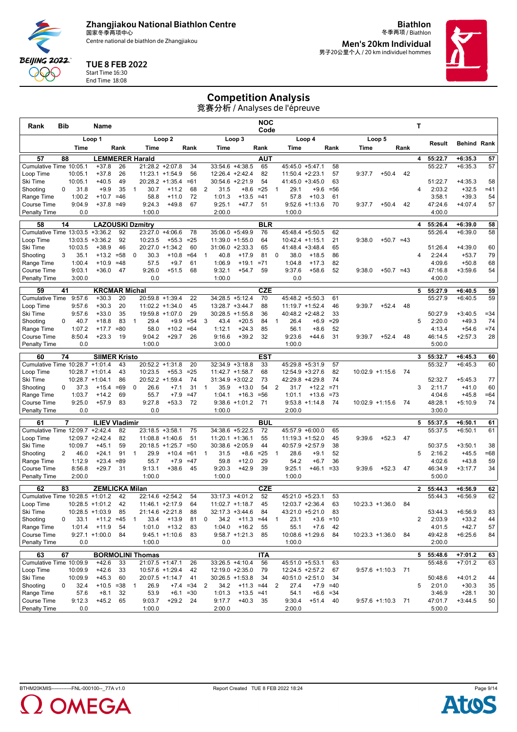Centre national de biathlon de Zhangjiakou

**Biathlon** 冬季两项 / Biathlon **Men's 20km Individual**

男子20公里个人 / 20 km individuel hommes

# TUE 8 FEB 2022

Start Time 16:30 End Time 18:08

**BEIJING 2022** QQQ

# Competition Analysis

| Rank                            | Bib |                    | Name                    |             |              |                            |                                    |              |                |                    |                                      | <b>NOC</b><br>Code |                                  |                                        |                  |        |                     |      | Т              |                   |                      |              |
|---------------------------------|-----|--------------------|-------------------------|-------------|--------------|----------------------------|------------------------------------|--------------|----------------|--------------------|--------------------------------------|--------------------|----------------------------------|----------------------------------------|------------------|--------|---------------------|------|----------------|-------------------|----------------------|--------------|
|                                 |     |                    | Loop 1                  |             |              |                            | Loop <sub>2</sub>                  |              |                |                    | Loop 3                               |                    |                                  | Loop 4                                 |                  |        | Loop 5              |      |                |                   |                      |              |
|                                 |     | Time               |                         | Rank        |              | Time                       |                                    | Rank         |                | Time               |                                      | Rank               | Time                             |                                        | Rank             | Time   |                     | Rank |                | Result            | <b>Behind Rank</b>   |              |
| 57                              | 88  |                    | <b>LEMMERER Harald</b>  |             |              |                            |                                    |              |                |                    |                                      | <b>AUT</b>         |                                  |                                        |                  |        |                     |      | 4              | 55:22.7           | $+6:35.3$            | 57           |
| Cumulative Time 10:05.1         |     |                    | $+37.8$                 | 26          |              | 21:28.2 +2:07.8            |                                    | 34           |                |                    | 33:54.6 +4:38.5                      | 65                 |                                  | 45:45.0 +5:47.1                        | 58               |        |                     |      |                | 55:22.7           | $+6:35.3$            | 57           |
| Loop Time<br>Ski Time           |     | 10:05.1<br>10:05.1 | $+37.8$<br>$+40.5$      | 26<br>49    |              | 11:23.1 +1:54.9            | 20:28.2 +1:35.4                    | 56<br>$=61$  |                |                    | 12:26.4 +2:42.4<br>30:54.6 +2:21.9   | 82<br>54           |                                  | $11:50.4 +2:23.1$<br>$41:45.0 +3:45.0$ | 57<br>63         | 9:37.7 | $+50.4$             | 42   |                | 51:22.7           | $+4:35.3$            | 58           |
| Shooting                        | 0   | 31.8               | $+9.9$                  | 35          | 1            | 30.7                       | $+11.2$                            | 68           | $\overline{2}$ | 31.5               | $+8.6$                               | $=25$              | 29.1<br>1                        | $+9.6$                                 | $= 56$           |        |                     |      | 4              | 2:03.2            | $+32.5$              | $=41$        |
| Range Time                      |     | 1:00.2             | $+10.7$                 | $=46$       |              | 58.8                       | $+11.0$                            | 72           |                | 1:01.3             | $+13.5$                              | $=41$              | 57.8                             | $+10.3$                                | 61               |        |                     |      |                | 3:58.1            | $+39.3$              | 54           |
| Course Time                     |     | 9:04.9             | $+37.8$                 | $=49$       |              | 9:24.3                     | $+49.8$                            | 67           |                | 9:25.1             | $+47.7$                              | 51                 |                                  | $9:52.6 +1:13.6$                       | 70               | 9:37.7 | $+50.4$             | 42   |                | 47:24.6           | $+4:07.4$            | 57           |
| <b>Penalty Time</b>             |     | 0.0                |                         |             |              | 1:00.0                     |                                    |              |                | 2:00.0             |                                      |                    | 1:00.0                           |                                        |                  |        |                     |      |                | 4:00.0            |                      |              |
| 58                              | 14  |                    | <b>LAZOUSKI Dzmitry</b> |             |              |                            |                                    |              |                |                    |                                      | <b>BLR</b>         |                                  |                                        |                  |        |                     |      | 4              | 55:26.4           | $+6:39.0$            | 58           |
| Cumulative Time 13:03.5 +3:36.2 |     |                    |                         | 92          |              | 23:27.0 +4:06.6            |                                    | 78           |                |                    | 35:06.0 +5:49.9                      | 76                 |                                  | 45:48.4 +5:50.5                        | 62               |        |                     |      |                | 55:26.4           | $+6:39.0$            | 58           |
| Loop Time<br>Ski Time           |     | 13:03.5<br>10:03.5 | $+3:36.2$<br>$+38.9$    | 92<br>46    |              | 10:23.5<br>20:27.0 +1:34.2 | $+55.3$                            | $= 25$<br>60 |                |                    | 11:39.0 +1:55.0<br>$31:06.0 +2:33.3$ | 64<br>65           |                                  | $10:42.4$ +1:15.1<br>$41:48.4 +3:48.4$ | 21<br>65         | 9:38.0 | $+50.7 = 43$        |      |                | 51:26.4           | $+4:39.0$            | 60           |
| Shooting                        | 3   | 35.1               | $+13.2$                 | $= 58$      | 0            | 30.3                       | $+10.8$                            | $=64$        | $\mathbf{1}$   | 40.8               | $+17.9$                              | 81                 | 38.0<br>0                        | $+18.5$                                | 86               |        |                     |      | 4              | 2:24.4            | $+53.7$              | 79           |
| Range Time                      |     | 1:00.4             | $+10.9$                 | $=48$       |              | 57.5                       | $+9.7$                             | 61           |                | 1:06.9             | $+19.1$                              | $= 71$             | 1:04.8                           | $+17.3$                                | 82               |        |                     |      |                | 4:09.6            | $+50.8$              | 68           |
| Course Time                     |     | 9:03.1             | $+36.0$                 | 47          |              | 9:26.0                     | $+51.5$                            | 68           |                | 9:32.1             | $+54.7$                              | 59                 | 9:37.6                           | $+58.6$                                | 52               | 9:38.0 | $+50.7 = 43$        |      |                | 47:16.8           | $+3:59.6$            | 54           |
| <b>Penalty Time</b>             |     | 3:00.0             |                         |             |              | 0.0                        |                                    |              |                | 1:00.0             |                                      |                    | 0.0                              |                                        |                  |        |                     |      |                | 4:00.0            |                      |              |
| 59                              | 41  |                    | <b>KRCMAR Michal</b>    |             |              |                            |                                    |              |                |                    |                                      | <b>CZE</b>         |                                  |                                        |                  |        |                     |      | 5              | 55:27.9           | $+6:40.5$            | 59           |
| Cumulative Time                 |     | 9:57.6             | $+30.3$                 | 20          |              | 20:59.8 +1:39.4            |                                    | 22           |                |                    | 34:28.5 +5:12.4                      | 70                 |                                  | 45:48.2 +5:50.3                        | 61               |        |                     |      |                | 55:27.9           | $+6:40.5$            | 59           |
| Loop Time                       |     | 9:57.6             | $+30.3$                 | 20          |              | $11:02.2 + 1:34.0$         |                                    | 45           |                |                    | 13:28.7 +3:44.7                      | 88                 |                                  | $11:19.7 + 1:52.4$                     | 46               | 9:39.7 | $+52.4$             | 48   |                |                   |                      |              |
| Ski Time                        | 0   | 9:57.6<br>40.7     | $+33.0$<br>$+18.8$      | 35<br>83    | $\mathbf{1}$ | 19:59.8 +1:07.0<br>29.4    | $+9.9$                             | 29<br>$= 54$ | 3              | 43.4               | $30:28.5 +1:55.8$<br>$+20.5$         | 36<br>84           | 26.4<br>$\mathbf{1}$             | 40:48.2 +2:48.2<br>$+6.9$              | 33<br>$=29$      |        |                     |      | 5              | 50:27.9<br>2:20.0 | $+3:40.5$<br>$+49.3$ | $= 34$<br>74 |
| Shooting<br>Range Time          |     | 1:07.2             | $+17.7$                 | $= 80$      |              | 58.0                       | $+10.2$                            | $=64$        |                | 1:12.1             | $+24.3$                              | 85                 | 56.1                             | $+8.6$                                 | 52               |        |                     |      |                | 4:13.4            | $+54.6$              | $=74$        |
| Course Time                     |     | 8:50.4             | $+23.3$                 | 19          |              | 9:04.2                     | $+29.7$                            | 26           |                | 9:16.6             | $+39.2$                              | 32                 | 9:23.6                           | $+44.6$                                | 31               | 9:39.7 | $+52.4$             | 48   |                | 46:14.5           | $+2:57.3$            | 28           |
| <b>Penalty Time</b>             |     | 0.0                |                         |             |              | 1:00.0                     |                                    |              |                | 3:00.0             |                                      |                    | 1:00.0                           |                                        |                  |        |                     |      |                | 5:00.0            |                      |              |
| 60                              | 74  |                    | <b>SIIMER Kristo</b>    |             |              |                            |                                    |              |                |                    |                                      | EST                |                                  |                                        |                  |        |                     |      | 3              | 55:32.7           | $+6:45.3$            | 60           |
| Cumulative Time 10:28.7 +1:01.4 |     |                    |                         | 43          |              | 20:52.2 +1:31.8            |                                    | 20           |                |                    | $32:34.9 + 3:18.8$                   | 33                 |                                  | 45:29.8 +5:31.9                        | 57               |        |                     |      |                | 55:32.7           | $+6:45.3$            | 60           |
| Loop Time                       |     |                    | $10:28.7 + 1:01.4$      | 43          |              | 10:23.5                    | $+55.3$                            | $= 25$       |                |                    | 11:42.7 +1:58.7                      | 68                 |                                  | 12:54.9 +3:27.6                        | 82               |        | $10:02.9 +1:15.6$   | 74   |                |                   |                      |              |
| Ski Time                        |     |                    | $10:28.7 + 1:04.1$      | 86          |              | 20:52.2 +1:59.4            |                                    | 74           |                |                    | $31:34.9 + 3:02.2$                   | 73                 |                                  | 42:29.8 +4:29.8                        | 74               |        |                     |      |                | 52:32.7           | $+5:45.3$            | 77           |
| Shooting                        | 0   | 37.3               | $+15.4$                 | $=69$<br>69 | 0            | 26.6<br>55.7               | $+7.1$                             | 31<br>$=47$  | $\overline{1}$ | 35.9<br>1:04.1     | $+13.0$                              | 54<br>$= 56$       | $\overline{2}$<br>31.7<br>1:01.1 | $+12.2$<br>$+13.6$                     | $= 71$<br>$= 73$ |        |                     |      | 3              | 2:11.7<br>4:04.6  | $+41.0$<br>$+45.8$   | 60           |
| Range Time<br>Course Time       |     | 1:03.7<br>9:25.0   | $+14.2$<br>$+57.9$      | 83          |              | 9:27.8                     | $+7.9$<br>$+53.3$                  | 72           |                |                    | $+16.3$<br>$9:38.6 +1:01.2$          | 71                 |                                  | $9:53.8 +1:14.8$                       | 74               |        | $10:02.9 +1:15.6$   | 74   |                | 48:28.1           | $+5:10.9$            | $=64$<br>74  |
| <b>Penalty Time</b>             |     | 0.0                |                         |             |              | 0.0                        |                                    |              |                | 1:00.0             |                                      |                    | 2:00.0                           |                                        |                  |        |                     |      |                | 3:00.0            |                      |              |
| 61                              | 7   |                    | <b>ILIEV Vladimir</b>   |             |              |                            |                                    |              |                |                    |                                      | <b>BUL</b>         |                                  |                                        |                  |        |                     |      | 5              | 55:37.5           | $+6:50.1$            | 61           |
| Cumulative Time 12:09.7 +2:42.4 |     |                    |                         | 82          |              | $23:18.5 + 3:58.1$         |                                    | 75           |                |                    | 34:38.6 +5:22.5                      | 72                 |                                  | 45:57.9 +6:00.0                        | 65               |        |                     |      |                | 55:37.5           | $+6:50.1$            | 61           |
| Loop Time                       |     |                    | 12:09.7 +2:42.4         | 82          |              | $11:08.8 + 1:40.6$         |                                    | 51           |                | $11:20.1 + 1:36.1$ |                                      | 55                 |                                  | $11:19.3 + 1:52.0$                     | 45               | 9:39.6 | $+52.3$             | 47   |                |                   |                      |              |
| Ski Time                        |     | 10:09.7            | $+45.1$                 | 59          |              |                            | $20:18.5 +1:25.7$                  | $= 50$       |                |                    | 30:38.6 +2:05.9                      | 44                 |                                  | 40:57.9 +2:57.9                        | 38               |        |                     |      |                | 50:37.5           | $+3:50.1$            | 38           |
| Shooting                        | 2   | 46.0               | $+24.1$                 | 91          | $\mathbf{1}$ | 29.9                       | $+10.4$                            | $=61$        | $\overline{1}$ | 31.5               | $+8.6$                               | $= 25$             | 28.6<br>$\mathbf{1}$             | $+9.1$                                 | 52               |        |                     |      | 5              | 2:16.2            | $+45.5$              | $=68$        |
| Range Time<br>Course Time       |     | 1:12.9<br>8:56.8   | $+23.4$<br>$+29.7$      | $=89$<br>31 |              | 55.7<br>9:13.1             | $+7.9$<br>$+38.6$                  | $=47$<br>45  |                | 59.8<br>9:20.3     | $+12.0$<br>$+42.9$                   | 29<br>39           | 54.2<br>9:25.1                   | $+6.7$<br>$+46.1 = 33$                 | 36               | 9:39.6 | $+52.3$             | 47   |                | 4:02.6<br>46:34.9 | $+43.8$<br>$+3:17.7$ | 59<br>34     |
| <b>Penalty Time</b>             |     | 2:00.0             |                         |             |              | 1:00.0                     |                                    |              |                | 1:00.0             |                                      |                    | 1:00.0                           |                                        |                  |        |                     |      |                | 5:00.0            |                      |              |
| 62                              | 83  |                    | <b>ZEMLICKA Milan</b>   |             |              |                            |                                    |              |                |                    |                                      | <b>CZE</b>         |                                  |                                        |                  |        |                     |      | $\overline{2}$ | 55:44.3           | $+6:56.9$            |              |
| Cumulative Time 10:28.5         |     |                    | $+1:01.2$               | 42          |              | 22:14.6 +2:54.2            |                                    | 54           |                |                    | 33:17.3 +4:01.2                      | 52                 | 45:21.0 +5:23.1                  |                                        | 53               |        |                     |      |                | 55:44.3           | $+6:56.9$            | 62<br>62     |
| Loop Time                       |     |                    | $10:28.5 +1:01.2$       | 42          |              | $11:46.1 +2:17.9$          |                                    | 64           |                |                    | $11:02.7 + 1:18.7$                   | 45                 |                                  | $12:03.7 + 2:36.4$                     | 63               |        | $10:23.3 +1:36.0$   | 84   |                |                   |                      |              |
| Ski lime                        |     |                    | $10:28.5$ +1:03.9       | 85          |              | 21:14.6                    | +2:21.8                            | 88           |                | 32:17.3            | +3:44.6                              | 84                 | 43:21.0                          | $+5:21.0$                              | 83               |        |                     |      |                | 53:44.3           | $+6:56.9$            | 83           |
| Shooting                        | 0   | 33.1               | $+11.2 = 45$            |             | 1            | 33.4                       | $+13.9$                            | 81           | 0              | 34.2               | $+11.3 = 44$                         |                    | 23.1<br>1                        |                                        | $+3.6 = 10$      |        |                     |      | 2              | 2:03.9            | $+33.2$              | 44           |
| Range Time                      |     | 1:01.4             | $+11.9$                 | 54          |              | 1:01.0                     | $+13.2$                            | 83           |                | 1:04.0             | $+16.2$                              | 55                 | 55.1                             | $+7.6$                                 | 42               |        |                     |      |                | 4:01.5            | $+42.7$              | 57           |
| Course Time                     |     |                    | $9:27.1 + 1:00.0$       | 84          |              |                            | $9:45.1 +1:10.6$                   | 83           |                |                    | $9:58.7 +1:21.3$                     | - 85               |                                  | $10:08.6 + 1:29.6$                     | 84               |        | 10:23.3 +1:36.0 84  |      |                | 49:42.8           | $+6:25.6$            | 84           |
| Penalty Time                    |     | 0.0                |                         |             |              | 1:00.0                     |                                    |              |                | 0.0                |                                      |                    | 1:00.0                           |                                        |                  |        |                     |      |                | 2:00.0            |                      |              |
| 63                              | 67  |                    |                         |             |              | <b>BORMOLINI Thomas</b>    |                                    |              |                |                    |                                      | <b>ITA</b>         |                                  |                                        |                  |        |                     |      | 5              | 55:48.6           | $+7:01.2$            | 63           |
| Cumulative Time 10:09.9         |     |                    | $+42.6$                 | 33          |              | $21:07.5 +1:47.1$          |                                    | 26           |                |                    | 33:26.5 +4:10.4                      | 56                 |                                  | 45:51.0 +5:53.1                        | 63               |        | $9:57.6 +1:10.3$ 71 |      |                | 55:48.6           | $+7:01.2$            | 63           |
| Loop Time<br>Ski Time           |     | 10:09.9<br>10:09.9 | $+42.6$<br>$+45.3$      | 33<br>60    |              |                            | 10:57.6 +1:29.4<br>20:07.5 +1:14.7 | 42<br>41     |                |                    | 12:19.0 +2:35.0<br>$30:26.5 +1:53.8$ | 79<br>34           |                                  | 12:24.5 +2:57.2<br>40:51.0 +2:51.0     | 67<br>34         |        |                     |      |                | 50:48.6           | $+4:01.2$            | 44           |
| Shooting                        | 0   | 32.4               | $+10.5 = 38$            |             | 1            | 26.9                       |                                    | $+7.4 = 34$  | 2              | 34.2               | $+11.3 = 44$                         |                    | 2<br>27.4                        |                                        | $+7.9 = 40$      |        |                     |      | 5              | 2:01.0            | $+30.3$              | 35           |
| Range Time                      |     | 57.6               | $+8.1$                  | 32          |              | 53.9                       |                                    | $+6.1 = 30$  |                | 1:01.3             | $+13.5 = 41$                         |                    | 54.1                             |                                        | $+6.6 = 34$      |        |                     |      |                | 3:46.9            | $+28.1$              | 30           |
| Course Time                     |     | 9:12.3             | $+45.2$                 | 65          |              | 9:03.7                     | $+29.2$ 24                         |              |                | 9:17.7             | $+40.3$ 35                           |                    | 9:30.4                           | $+51.4$                                | 40               |        | $9:57.6 +1:10.3$ 71 |      |                | 47:01.7           | $+3:44.5$            | 50           |
| <b>Penalty Time</b>             |     | 0.0                |                         |             |              | 1:00.0                     |                                    |              |                | 2:00.0             |                                      |                    | 2:00.0                           |                                        |                  |        |                     |      |                | 5:00.0            |                      |              |

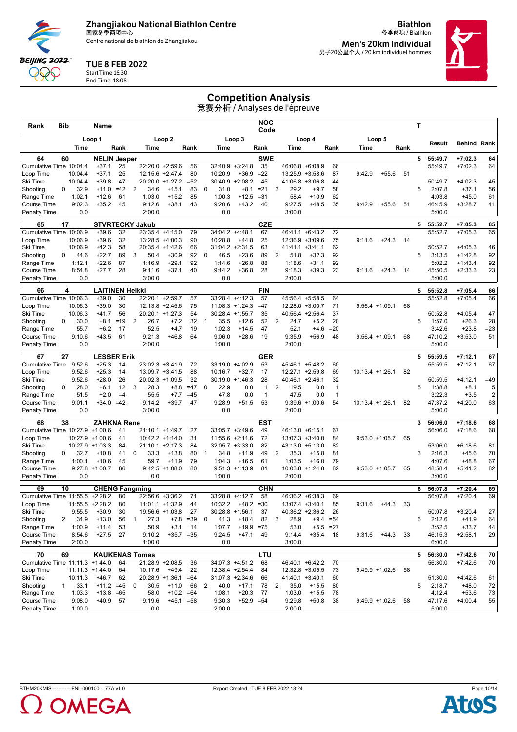Centre national de biathlon de Zhangjiakou

**Biathlon** 冬季两项 / Biathlon **Men's 20km Individual**

男子20公里个人 / 20 km individuel hommes

#### TUE 8 FEB 2022

Start Time 16:30 End Time 18:08

**BEIJING 2022** QQQ

# Competition Analysis

| Rank                                 | <b>Bib</b> |                    | Name                            |             |                |                                       |                         |                |                |                              |                           | <b>NOC</b><br>Code           |                                       |                    |                              |        |                    |      | Τ           |                   |                      |                              |
|--------------------------------------|------------|--------------------|---------------------------------|-------------|----------------|---------------------------------------|-------------------------|----------------|----------------|------------------------------|---------------------------|------------------------------|---------------------------------------|--------------------|------------------------------|--------|--------------------|------|-------------|-------------------|----------------------|------------------------------|
|                                      |            |                    | Loop 1                          |             |                |                                       | Loop 2                  |                |                |                              | Loop 3                    |                              |                                       | Loop 4             |                              |        | Loop 5             |      |             | Result            | <b>Behind Rank</b>   |                              |
|                                      |            | Time               |                                 | Rank        |                | Time                                  |                         | Rank           |                | Time                         |                           | Rank                         | Time                                  |                    | Rank                         | Time   |                    | Rank |             |                   |                      |                              |
| 64                                   | 60         |                    | <b>NELIN Jesper</b>             |             |                |                                       |                         |                |                |                              |                           | <b>SWE</b>                   |                                       |                    |                              |        |                    |      | 5           | 55:49.7           | $+7:02.3$            | 64                           |
| Cumulative Time 10:04.4<br>Loop Time |            | 10:04.4            | $+37.1$<br>$+37.1$              | 25<br>25    |                | 22:20.0<br>12:15.6 +2:47.4            | $+2:59.6$               | 56<br>80       |                | 32:40.9<br>10:20.9           | $+3:24.8$<br>$+36.9$      | 35<br>$=22$                  | 46:06.8 +6:08.9<br>13:25.9 +3:58.6    |                    | 66<br>87                     | 9:42.9 | $+55.6$            | 51   |             | 55:49.7           | $+7:02.3$            | 64                           |
| Ski Time                             |            | 10:04.4            | $+39.8$                         | 47          |                | 20:20.0                               | $+1:27.2$               | $= 52$         |                | 30:40.9                      | $+2:08.2$                 | 45                           | 41:06.8                               | $+3:06.8$          | 44                           |        |                    |      |             | 50:49.7           | $+4:02.3$            | 45                           |
| Shooting                             | 0          | 32.9               | $+11.0$                         | $=42$       | $\overline{2}$ | 34.6                                  | $+15.1$                 | 83             | 0              | 31.0                         | $+8.1$                    | $= 21$                       | 29.2<br>3                             | $+9.7$             | 58                           |        |                    |      | 5           | 2:07.8            | $+37.1$              | 56                           |
| Range Time                           |            | 1:02.1             | $+12.6$                         | 61          |                | 1:03.0                                | $+15.2$                 | 85             |                | 1:00.3                       | $+12.5$                   | $= 31$                       | 58.4                                  | $+10.9$            | 62                           |        |                    |      |             | 4:03.8            | $+45.0$              | 61                           |
| Course Time                          |            | 9:02.3             | $+35.2$                         | 45          |                | 9:12.6                                | $+38.1$                 | 43             |                | 9:20.6                       | $+43.2$                   | 40                           | 9:27.5                                | $+48.5$            | 35                           | 9:42.9 | $+55.6$            | 51   |             | 46:45.9           | $+3:28.7$            | 41                           |
| <b>Penalty Time</b>                  |            | 0.0                |                                 |             |                | 2:00.0                                |                         |                |                | 0.0                          |                           |                              | 3:00.0                                |                    |                              |        |                    |      |             | 5:00.0            |                      |                              |
| 65                                   | 17         |                    |                                 |             |                | <b>STVRTECKY Jakub</b>                |                         |                |                |                              |                           | <b>CZE</b>                   |                                       |                    |                              |        |                    |      | 5           | 55:52.7           | $+7:05.3$            | 65                           |
| Cumulative Time 10:06.9              |            |                    | $+39.6$                         | 32          |                | 23:35.4 +4:15.0                       |                         | 79             |                | 34:04.2                      | $+4:48.1$                 | 67                           | 46:41.1 +6:43.2<br>$12:36.9 + 3:09.6$ |                    | 72                           |        |                    |      |             | 55:52.7           | $+7:05.3$            | 65                           |
| Loop Time<br>Ski Time                |            | 10:06.9<br>10:06.9 | $+39.6$<br>$+42.3$              | 32<br>58    |                | 13:28.5 +4:00.3<br>20:35.4 +1:42.6    |                         | 90<br>66       |                | 10:28.8<br>$31:04.2 +2:31.5$ | $+44.8$                   | 25<br>63                     | $41:41.1 + 3:41.1$                    |                    | 75<br>62                     | 9:11.6 | $+24.3$            | 14   |             | 50:52.7           | $+4:05.3$            | 46                           |
| Shooting                             | 0          | 44.6               | $+22.7$                         | 89          | 3              | 50.4                                  | $+30.9$                 | 92             | 0              | 46.5                         | $+23.6$                   | 89                           | 51.8<br>2                             | $+32.3$            | 92                           |        |                    |      | 5           | 3:13.5            | $+1:42.8$            | 92                           |
| Range Time                           |            | 1:12.1             | $+22.6$                         | 87          |                | 1:16.9                                | $+29.1$                 | 92             |                | 1:14.6                       | $+26.8$                   | 88                           | 1:18.6                                | $+31.1$            | 92                           |        |                    |      |             | 5:02.2            | $+1:43.4$            | 92                           |
| Course Time                          |            | 8:54.8             | $+27.7$                         | 28          |                | 9:11.6                                | $+37.1$                 | 40             |                | 9:14.2                       | $+36.8$                   | 28                           | 9:18.3                                | $+39.3$            | 23                           | 9:11.6 | $+24.3$            | 14   |             | 45:50.5           | $+2:33.3$            | 23                           |
| <b>Penalty Time</b>                  |            | 0.0                |                                 |             |                | 3:00.0                                |                         |                |                | 0.0                          |                           |                              | 2:00.0                                |                    |                              |        |                    |      |             | 5:00.0            |                      |                              |
| 66                                   |            | 4                  | <b>LAITINEN Heikki</b>          |             |                |                                       |                         |                |                |                              |                           | <b>FIN</b>                   |                                       |                    |                              |        |                    |      | 5           | 55:52.8           | $+7:05.4$            | 66                           |
| Cumulative Time 10:06.3              |            |                    | $+39.0$                         | 30          |                | 22:20.1 +2:59.7                       |                         | 57             |                | 33:28.4 +4:12.3              |                           | 57                           | 45:56.4 +5:58.5                       |                    | 64                           |        |                    |      |             | 55:52.8           | $+7:05.4$            | 66                           |
| Loop Time                            |            | 10:06.3            | $+39.0$                         | 30          |                | $12:13.8 + 2:45.6$                    |                         | 75             |                | $11:08.3 + 1:24.3$           |                           | $=47$                        | 12:28.0 +3:00.7                       |                    | 71                           |        | $9:56.4 +1:09.1$   | 68   |             |                   |                      |                              |
| Ski Time                             |            | 10:06.3            | $+41.7$                         | 56          |                | 20:20.1 +1:27.3                       |                         | 54             |                | $30:28.4$ +1:55.7            |                           | 35                           | 40:56.4 +2:56.4                       |                    | 37                           |        |                    |      |             | 50:52.8           | $+4:05.4$            | 47                           |
| Shooting<br>Range Time               | 0          | 30.0<br>55.7       | $+8.1$<br>$+6.2$                | $=19$<br>17 | $\overline{2}$ | 26.7<br>52.5                          | $+7.2$<br>$+4.7$        | 32<br>19       | $\overline{1}$ | 35.5<br>1:02.3               | $+12.6$<br>$+14.5$        | 52<br>47                     | $\overline{2}$<br>24.7<br>52.1        | $+5.2$<br>$+4.6$   | 20<br>$=20$                  |        |                    |      | 5           | 1:57.0<br>3:42.6  | $+26.3$<br>$+23.8$   | 28<br>$= 23$                 |
| <b>Course Time</b>                   |            | 9:10.6             | $+43.5$                         | 61          |                | 9:21.3                                | $+46.8$                 | 64             |                | 9:06.0                       | $+28.6$                   | 19                           | 9:35.9                                | $+56.9$            | 48                           |        | $9:56.4 +1:09.1$   | 68   |             | 47:10.2           | $+3:53.0$            | 51                           |
| Penalty Time                         |            | 0.0                |                                 |             |                | 2:00.0                                |                         |                |                | 1:00.0                       |                           |                              | 2:00.0                                |                    |                              |        |                    |      |             | 5:00.0            |                      |                              |
| 67                                   | 27         |                    | <b>LESSER Erik</b>              |             |                |                                       |                         |                |                |                              |                           | <b>GER</b>                   |                                       |                    |                              |        |                    |      | 5           | 55:59.5           | $+7:12.1$            | 67                           |
| <b>Cumulative Time</b>               |            | 9:52.6             | $+25.3$                         | 14          |                | $23:02.3 + 3:41.9$                    |                         | 72             |                | 33:19.0                      | $+4:02.9$                 | 53                           | 45:46.1 +5:48.2                       |                    | 60                           |        |                    |      |             | 55:59.5           | $+7:12.1$            | 67                           |
| Loop Time                            |            | 9:52.6             | $+25.3$                         | 14          |                | 13:09.7 +3:41.5                       |                         | 88             |                | 10:16.7                      | $+32.7$                   | 17                           | 12:27.1 +2:59.8                       |                    | 69                           |        | 10:13.4 +1:26.1    | 82   |             |                   |                      |                              |
| Ski Time                             |            | 9:52.6             | $+28.0$                         | 26          |                | 20:02.3                               | $+1:09.5$               | 32             |                | 30:19.0                      | $+1:46.3$                 | 28                           | 40:46.1 +2:46.1                       |                    | 32                           |        |                    |      |             | 50:59.5           | $+4:12.1$            | $=49$                        |
| Shooting                             | 0          | 28.0<br>51.5       | $+6.1$<br>$+2.0$                | 12<br>$=4$  | 3              | 28.3<br>55.5                          | $+8.8$                  | $=47$<br>$=45$ | 0              | 22.9<br>47.8                 | 0.0<br>0.0                | $\mathbf{1}$<br>$\mathbf{1}$ | 2<br>19.5<br>47.5                     | 0.0<br>0.0         | $\mathbf{1}$<br>$\mathbf{1}$ |        |                    |      | 5           | 1:38.8<br>3:22.3  | $+8.1$<br>$+3.5$     | 5<br>$\overline{\mathbf{c}}$ |
| Range Time<br><b>Course Time</b>     |            | 9:01.1             | +34.0                           | $=42$       |                | 9:14.2                                | $+7.7$<br>$+39.7$       | 47             |                | 9:28.9                       | $+51.5$                   | 53                           |                                       | $9:39.6 +1:00.6$   | 54                           |        | $10:13.4 + 1:26.1$ | 82   |             | 47:37.2           | $+4:20.0$            | 63                           |
| <b>Penalty Time</b>                  |            | 0.0                |                                 |             |                | 3:00.0                                |                         |                |                | 0.0                          |                           |                              | 2:00.0                                |                    |                              |        |                    |      |             | 5:00.0            |                      |                              |
| 68                                   | 38         |                    | ZAHKNA Rene                     |             |                |                                       |                         |                |                |                              |                           | <b>EST</b>                   |                                       |                    |                              |        |                    |      | 3           | 56:06.0           | $+7:18.6$            | 68                           |
| Cumulative Time 10:27.9 +1:00.6      |            |                    |                                 | 41          |                | 21:10.1 +1:49.7                       |                         | 27             |                | $33:05.7 + 3:49.6$           |                           | 49                           | 46:13.0 +6:15.1                       |                    | 67                           |        |                    |      |             | 56:06.0           | $+7:18.6$            | 68                           |
| Loop Time                            |            |                    | $10:27.9 + 1:00.6$              | 41          |                | 10:42.2 +1:14.0                       |                         | 31             |                | 11:55.6 +2:11.6              |                           | 72                           | $13:07.3 + 3:40.0$                    |                    | 84                           |        | $9:53.0 +1:05.7$   | 65   |             |                   |                      |                              |
| Ski Time                             |            |                    | $10:27.9 + 1:03.3$              | 84          |                | $21:10.1 + 2:17.3$                    |                         | 84             |                | $32:05.7 + 3:33.0$           |                           | 82                           | 43:13.0 +5:13.0                       |                    | 82                           |        |                    |      |             | 53:06.0           | $+6:18.6$            | 81                           |
| Shooting                             | 0          | 32.7               | $+10.8$                         | 41          | 0              | 33.3                                  | $+13.8$                 | 80             | $\mathbf{1}$   | 34.8                         | $+11.9$                   | 49                           | 2<br>35.3                             | $+15.8$            | 81                           |        |                    |      | 3           | 2:16.3            | $+45.6$              | 70                           |
| Range Time                           |            | 1:00.1             | $+10.6$<br>$9:27.8$ +1:00.7     | 45          |                | 59.7                                  | $+11.9$                 | 79             |                | 1:04.3                       | $+16.5$                   | 61                           | 1:03.5                                | $+16.0$            | 79                           |        |                    |      |             | 4:07.6            | $+48.8$              | 67                           |
| Course Time<br><b>Penalty Time</b>   |            | 0.0                |                                 | 86          |                | 0.0                                   | $9:42.5 +1:08.0$        | 80             |                | 1:00.0                       | $9:51.3 +1:13.9$          | 81                           | $10:03.8 + 1:24.8$<br>2:00.0          |                    | 82                           |        | $9:53.0 +1:05.7$   | 65   |             | 48:58.4<br>3:00.0 | $+5:41.2$            | 82                           |
|                                      |            |                    |                                 |             |                |                                       |                         |                |                |                              |                           |                              |                                       |                    |                              |        |                    |      |             |                   |                      |                              |
| 69                                   | 10         |                    | <b>CHENG Fangming</b>           |             |                |                                       |                         |                |                |                              |                           | <b>CHN</b>                   |                                       |                    |                              |        |                    |      | 6           | 56:07.8           | $+7:20.4$            | 69                           |
| Cumulative Time 11:55.5<br>Loop Time |            |                    | $+2:28.2$<br>$11:55.5 + 2:28.2$ | 80<br>80    |                | 22:56.6 +3:36.2<br>$11:01.1 + 1:32.9$ |                         | 71<br>44       |                | 33:28.8<br>10:32.2           | $+4:12.7$<br>$+48.2 = 30$ | 58                           | 46:36.2 +6:38.3<br>$13:07.4 + 3:40.1$ |                    | 69<br>85                     | 9:31.6 | $+44.3$            | 33   |             | 56:07.8           | $+7:20.4$            | 69                           |
| Ski Time                             |            | 9:55.5             | $+30.9$                         | 30          |                | 19:56.6                               | $+1:03.8$               | 27             |                | 30:28.8                      | $+1:56.1$                 | 37                           | 40:36.2                               | $+2:36.2$          | 26                           |        |                    |      |             | 50:07.8           | $+3:20.4$            | 27                           |
| Shooting                             | 2          | 34.9               | $+13.0$                         | 56          | $\mathbf{1}$   | 27.3                                  |                         | $+7.8 = 39$    | 0              | 41.3                         | $+18.4$                   | 82                           | 3<br>28.9                             | $+9.4$             | $= 54$                       |        |                    |      | 6           | 2:12.6            | $+41.9$              | 64                           |
| Range Time                           |            | 1:00.9             | $+11.4$                         | 53          |                | 50.9                                  | $+3.1$                  | 14             |                | 1:07.7                       | $+19.9 = 75$              |                              | 53.0                                  |                    | $+5.5 = 27$                  |        |                    |      |             | 3:52.5            | $+33.7$              | 44                           |
| Course Time                          |            | 8:54.6             | $+27.5$                         | 27          |                | 9:10.2                                | $+35.7 = 35$            |                |                | 9:24.5                       | $+47.1$                   | 49                           | 9:14.4                                | $+35.4$            | -18                          | 9:31.6 | $+44.3$            | 33   |             | 46:15.3           | $+2:58.1$            | 29                           |
| Penalty Time                         |            | 2:00.0             |                                 |             |                | 1:00.0                                |                         |                |                | 0.0                          |                           |                              | 3:00.0                                |                    |                              |        |                    |      |             | 6:00.0            |                      |                              |
| 70                                   | 69         |                    |                                 |             |                | <b>KAUKENAS Tomas</b>                 |                         |                |                |                              |                           | LTU                          |                                       |                    |                              |        |                    |      | $5^{\circ}$ | 56:30.0           | $+7:42.6$            | 70                           |
| Cumulative Time 11:11.3 +1:44.0      |            |                    |                                 | 64          |                | 21:28.9 +2:08.5                       |                         | 36             |                | 34:07.3 +4:51.2              |                           | 68                           | 46:40.1 +6:42.2                       |                    | 70                           |        |                    |      |             | 56:30.0           | $+7:42.6$            | 70                           |
| Loop Time                            |            |                    | $11:11.3 + 1:44.0$              | 64          |                | 10:17.6                               | $+49.4$                 | 22             |                | 12:38.4 +2:54.4              |                           | 84                           | 12:32.8 +3:05.5                       |                    | 73                           |        | 9:49.9 +1:02.6     | 58   |             |                   |                      |                              |
| Ski Time<br>Shooting                 | 1          | 10:11.3<br>33.1    | $+46.7$                         | 62          | 0              | $20:28.9 +1:36.1 = 64$<br>30.5        |                         |                |                | $31:07.3 +2:34.6$            |                           | 66                           | $41:40.1 + 3:40.1$                    |                    | 60                           |        |                    |      | 5           | 51:30.0           | $+4:42.6$<br>$+48.0$ | 61                           |
| Range Time                           |            | 1:03.3             | $+11.2 = 45$<br>$+13.8$         | $= 65$      |                | 58.0                                  | $+11.0$<br>$+10.2 = 64$ | 66             | $\overline{2}$ | 40.0<br>1:08.1               | $+17.1$<br>$+20.3$        | 78<br>77                     | 35.0<br>$\overline{2}$<br>1:03.0      | $+15.5$<br>$+15.5$ | 80<br>78                     |        |                    |      |             | 2:18.7<br>4:12.4  | $+53.6$              | 72<br>73                     |
| Course Time                          |            | 9:08.0             | $+40.9$                         | 57          |                | 9:19.6                                | $+45.1 = 58$            |                |                | 9:30.3                       | $+52.9 = 54$              |                              | 9:29.8                                | $+50.8$            | 38                           |        | $9:49.9 +1:02.6$   | 58   |             | 47:17.6           | $+4:00.4$            | 55                           |
| <b>Penalty Time</b>                  |            | 1:00.0             |                                 |             |                | 0.0                                   |                         |                |                | 2:00.0                       |                           |                              | 2:00.0                                |                    |                              |        |                    |      |             | 5:00.0            |                      |                              |
|                                      |            |                    |                                 |             |                |                                       |                         |                |                |                              |                           |                              |                                       |                    |                              |        |                    |      |             |                   |                      |                              |



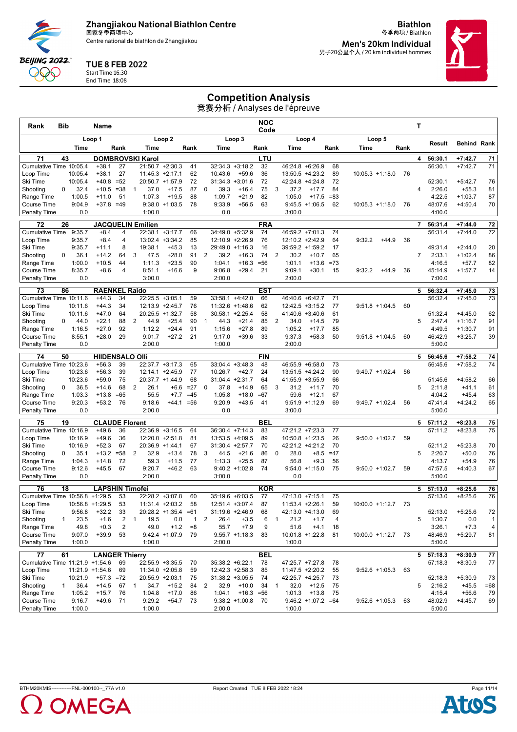Centre national de biathlon de Zhangjiakou

**Biathlon** 冬季两项 / Biathlon **Men's 20km Individual**

男子20公里个人 / 20 km individuel hommes

# TUE 8 FEB 2022

Start Time 16:30 End Time 18:08

**BEIJING 2022** QQQ

## Competition Analysis

| Rank                               | Bib |                    | Name                        |                |                |                  |                                      |              |              |                         |                               | NOC<br>Code |                        |                                      |          |                       |         |      | т              |                   |                        |                |
|------------------------------------|-----|--------------------|-----------------------------|----------------|----------------|------------------|--------------------------------------|--------------|--------------|-------------------------|-------------------------------|-------------|------------------------|--------------------------------------|----------|-----------------------|---------|------|----------------|-------------------|------------------------|----------------|
|                                    |     |                    | Loop 1                      |                |                |                  | Loop <sub>2</sub>                    |              |              |                         | Loop 3                        |             |                        | Loop 4                               |          | Loop 5                |         |      |                |                   |                        |                |
|                                    |     | Time               |                             | Rank           |                | Time             |                                      | Rank         |              | Time                    |                               | Rank        | Time                   |                                      | Rank     | Time                  |         | Rank |                | Result            | <b>Behind Rank</b>     |                |
| 71                                 | 43  |                    | <b>DOMBROVSKI Karol</b>     |                |                |                  |                                      |              |              |                         |                               | LTU         |                        |                                      |          |                       |         |      | 4              | 56:30.1           | $+7:42.7$              | 71             |
| Cumulative Time 10:05.4            |     |                    | $+38.1$                     | 27             |                |                  | $21:50.7 +2:30.3$                    | 41           |              |                         | $32:34.3 + 3:18.2$            | 32          |                        | 46:24.8 +6:26.9                      | 68       |                       |         |      |                | 56:30.1           | $+7:42.7$              | 71             |
| Loop Time<br>Ski Time              |     | 10:05.4<br>10:05.4 | $+38.1$<br>$+40.8$          | 27<br>$= 52$   |                |                  | $11:45.3 +2:17.1$<br>20:50.7 +1:57.9 | 62<br>72     |              | 10:43.6                 | $+59.6$<br>$31:34.3 + 3:01.6$ | 36<br>72    |                        | 13:50.5 +4:23.2<br>$42:24.8 +4:24.8$ | 89<br>72 | $10:05.3 +1:18.0$     |         | 76   |                | 52:30.1           | $+5:42.7$              | 76             |
| Shooting                           | 0   | 32.4               | $+10.5$                     | $= 38$         | -1             | 37.0             | $+17.5$                              | 87           | 0            | 39.3                    | $+16.4$                       | 75          | 3<br>37.2              | $+17.7$                              | 84       |                       |         |      | 4              | 2:26.0            | $+55.3$                | 81             |
| Range Time                         |     | 1:00.5             | $+11.0$                     | 51             |                | 1:07.3           | $+19.5$                              | 88           |              | 1:09.7                  | $+21.9$                       | 82          | 1:05.0                 | $+17.5$                              | $= 83$   |                       |         |      |                | 4:22.5            | $+1:03.7$              | 87             |
| Course Time                        |     | 9:04.9             | $+37.8 = 49$                |                |                |                  | $9:38.0 +1:03.5$                     | 78           |              | 9:33.9                  | $+56.5$                       | 63          |                        | $9:45.5 +1:06.5$                     | 62       | $10:05.3 +1:18.0$     |         | 76   |                | 48:07.6           | $+4:50.4$              | 70             |
| <b>Penalty Time</b>                |     | 0.0                |                             |                |                | 1:00.0           |                                      |              |              | 0.0                     |                               |             | 3:00.0                 |                                      |          |                       |         |      |                | 4:00.0            |                        |                |
| 72                                 | 26  |                    | <b>JACQUELIN Emilien</b>    |                |                |                  |                                      |              |              |                         |                               | <b>FRA</b>  |                        |                                      |          |                       |         |      | $\overline{7}$ | 56:31.4           | $+7:44.0$              | 72             |
| <b>Cumulative Time</b>             |     | 9:35.7             | $+8.4$                      | 4              |                |                  | 22:38.1 +3:17.7                      | 66           |              |                         | 34:49.0 +5:32.9               | 74          |                        | 46:59.2 +7:01.3                      | 74       |                       |         |      |                | 56:31.4           | $+7:44.0$              | 72             |
| Loop Time                          |     | 9:35.7             | $+8.4$                      | 4              |                | 13:02.4          | $+3:34.2$                            | 85           |              |                         | 12:10.9 +2:26.9               | 76          |                        | $12:10.2 +2:42.9$                    | 64       | 9:32.2                | $+44.9$ | 36   |                |                   |                        |                |
| Ski Time<br>Shooting               | 0   | 9:35.7<br>36.1     | $+11.1$<br>$+14.2$          | 8<br>64        | 3              | 19:38.1<br>47.5  | $+45.3$<br>$+28.0$                   | 13<br>91     | 2            | 39.2                    | 29:49.0 +1:16.3<br>$+16.3$    | 16<br>74    | 2<br>30.2              | 39:59.2 +1:59.2<br>$+10.7$           | 17<br>65 |                       |         |      | $\overline{7}$ | 49:31.4<br>2:33.1 | $+2:44.0$<br>$+1:02.4$ | 20<br>86       |
| Range Time                         |     | 1:00.0             | $+10.5$                     | 44             |                | 1:11.3           | $+23.5$                              | 90           |              | 1:04.1                  | $+16.3$                       | $= 56$      | 1:01.1                 | $+13.6$                              | $=73$    |                       |         |      |                | 4:16.5            | $+57.7$                | 82             |
| Course Time                        |     | 8:35.7             | $+8.6$                      | $\overline{4}$ |                | 8:51.1           | $+16.6$                              | 9            |              | 9:06.8                  | $+29.4$                       | 21          | 9:09.1                 | $+30.1$                              | 15       | 9:32.2                | $+44.9$ | 36   |                | 45:14.9           | $+1:57.7$              | 14             |
| <b>Penalty Time</b>                |     | 0.0                |                             |                |                | 3:00.0           |                                      |              |              | 2:00.0                  |                               |             | 2:00.0                 |                                      |          |                       |         |      |                | 7:00.0            |                        |                |
| 73                                 | 86  |                    | <b>RAENKEL Raido</b>        |                |                |                  |                                      |              |              |                         |                               | <b>EST</b>  |                        |                                      |          |                       |         |      | 5              | 56:32.4           | $+7:45.0$              | 73             |
| Cumulative Time 10:11.6            |     |                    | $+44.3$                     | 34             |                |                  | 22:25.5 +3:05.1                      | 59           |              |                         | 33:58.1 +4:42.0               | 66          |                        | 46:40.6 +6:42.7                      | 71       |                       |         |      |                | 56:32.4           | $+7:45.0$              | 73             |
| Loop Time                          |     | 10:11.6            | $+44.3$                     | 34             |                |                  | 12:13.9 +2:45.7                      | 76           |              |                         | 11:32.6 +1:48.6               | 62          |                        | $12:42.5 + 3:15.2$                   | 77       | $9:51.8 +1:04.5$      |         | 60   |                |                   |                        |                |
| Ski Time                           |     | 10:11.6            | $+47.0$                     | 64             |                |                  | $20:25.5 +1:32.7$                    | 58           |              | $30:58.1 + 2:25.4$      |                               | 58          |                        | 41:40.6 +3:40.6                      | 61       |                       |         |      |                | 51:32.4           | $+4:45.0$              | 62             |
| Shooting                           | 0   | 44.0               | $+22.1$                     | 88             | $\overline{2}$ | 44.9             | $+25.4$                              | 90           | $\mathbf{1}$ | 44.3                    | $+21.4$                       | 85          | $\overline{2}$<br>34.0 | $+14.5$                              | 79       |                       |         |      | 5              | 2:47.4            | $+1:16.7$              | 91             |
| Range Time                         |     | 1:16.5             | $+27.0$                     | 92             |                | 1:12.2           | $+24.4$                              | 91           |              | 1:15.6                  | $+27.8$                       | 89          | 1:05.2                 | $+17.7$                              | 85       |                       |         |      |                | 4:49.5            | $+1:30.7$              | 91             |
| Course Time                        |     | 8:55.1             | $+28.0$                     | 29             |                | 9:01.7           | $+27.2$                              | 21           |              | 9:17.0                  | $+39.6$                       | 33          | 9:37.3                 | $+58.3$                              | 50       | $9:51.8 +1:04.5$      |         | 60   |                | 46:42.9           | $+3:25.7$              | 39             |
| Penalty Time                       |     | 0.0                |                             |                |                | 2:00.0           |                                      |              |              | 1:00.0                  |                               |             | 2:00.0                 |                                      |          |                       |         |      |                | 5:00.0            |                        |                |
| 74                                 | 50  |                    | <b>HIIDENSALO OIII</b>      |                |                |                  |                                      |              |              |                         |                               | <b>FIN</b>  |                        |                                      |          |                       |         |      | 5              | 56:45.6           | $+7:58.2$              | 74             |
| Cumulative Time 10:23.6            |     |                    | $+56.3$                     | 39             |                | 22:37.7          | $+3:17.3$                            | 65           |              |                         | $33:04.4 + 3:48.3$            | 48          |                        | 46:55.9 +6:58.0                      | 73       |                       |         |      |                | 56:45.6           | $+7:58.2$              | 74             |
| Loop Time                          |     | 10:23.6            | $+56.3$                     | 39             |                |                  | 12:14.1 +2:45.9                      | 77           |              | 10:26.7                 | $+42.7$                       | 24          |                        | $13:51.5 + 4:24.2$                   | 90       | $9:49.7 +1:02.4$      |         | 56   |                |                   |                        |                |
| Ski Time                           | 0   | 10:23.6<br>36.5    | $+59.0$<br>$+14.6$          | 75<br>68       | $\overline{2}$ | 26.1             | 20:37.7 +1:44.9<br>$+6.6$            | 68<br>$=27$  | 0            | 31:04.4 +2:31.7<br>37.8 |                               | 64<br>65    | 3<br>31.2              | 41:55.9 +3:55.9                      | 66<br>70 |                       |         |      | 5              | 51:45.6<br>2:11.8 | $+4:58.2$<br>$+41.1$   | 66             |
| Shooting<br>Range Time             |     | 1:03.3             | $+13.8$                     | $=65$          |                | 55.5             | $+7.7$                               | $=45$        |              | 1:05.8                  | $+14.9$<br>$+18.0$            | $=67$       | 59.6                   | $+11.7$<br>$+12.1$                   | 67       |                       |         |      |                | 4:04.2            | $+45.4$                | 61<br>63       |
| Course Time                        |     | 9:20.3             | $+53.2$                     | 76             |                | 9:18.6           | $+44.1 = 56$                         |              |              | 9:20.9                  | $+43.5$                       | 41          |                        | $9:51.9 +1:12.9$                     | 69       | $9:49.7 +1:02.4$      |         | 56   |                | 47:41.4           | $+4:24.2$              | 65             |
| <b>Penalty Time</b>                |     | 0.0                |                             |                |                | 2:00.0           |                                      |              |              | 0.0                     |                               |             | 3:00.0                 |                                      |          |                       |         |      |                | 5:00.0            |                        |                |
| 75                                 | 19  |                    | <b>CLAUDE Florent</b>       |                |                |                  |                                      |              |              |                         |                               | <b>BEL</b>  |                        |                                      |          |                       |         |      | 5              | 57:11.2           | $+8:23.8$              | 75             |
| Cumulative Time 10:16.9            |     |                    | $+49.6$                     | 36             |                |                  | 22:36.9 +3:16.5                      | 64           |              |                         | 36:30.4 +7:14.3               | 83          |                        | $47:21.2 + 7:23.3$                   | 77       |                       |         |      |                | 57:11.2           | $+8:23.8$              | 75             |
| Loop Time                          |     | 10:16.9            | $+49.6$                     | 36             |                |                  | 12:20.0 +2:51.8                      | 81           |              |                         | 13:53.5 +4:09.5               | 89          |                        | $10:50.8 + 1:23.5$                   | 26       | $9:50.0 +1:02.7$      |         | 59   |                |                   |                        |                |
| Ski Time                           |     | 10:16.9            | $+52.3$                     | 67             |                |                  | $20:36.9 +1:44.1$                    | 67           |              | 31:30.4 +2:57.7         |                               | 70          |                        | 42:21.2 +4:21.2                      | 70       |                       |         |      |                | 52:11.2           | $+5:23.8$              | 70             |
| Shooting                           | 0   | 35.1               | $+13.2$                     | $= 58$         | 2              | 32.9             | $+13.4$                              | 78           | 3            | 44.5                    | $+21.6$                       | 86          | $\mathbf 0$<br>28.0    | $+8.5$                               | $=47$    |                       |         |      | 5              | 2:20.7            | $+50.0$                | 76             |
| Range Time<br>Course Time          |     | 1:04.3<br>9:12.6   | $+14.8$<br>$+45.5$          | 72<br>67       |                | 59.3<br>9:20.7   | $+11.5$                              | 77<br>63     |              | 1:13.3                  | $+25.5$<br>$9:40.2 +1:02.8$   | 87<br>74    | 56.8                   | $+9.3$<br>$9:54.0 +1:15.0$           | 56<br>75 | $9:50.0 +1:02.7$      |         | 59   |                | 4:13.7            | $+54.9$<br>$+4:40.3$   | 76<br>67       |
| <b>Penalty Time</b>                |     | 0.0                |                             |                |                | 2:00.0           | $+46.2$                              |              |              | 3:00.0                  |                               |             | 0.0                    |                                      |          |                       |         |      |                | 47:57.5<br>5:00.0 |                        |                |
|                                    |     |                    |                             |                |                |                  |                                      |              |              |                         |                               |             |                        |                                      |          |                       |         |      |                |                   |                        |                |
| 76                                 | 18  |                    | <b>LAPSHIN Timofei</b>      |                |                |                  |                                      |              |              |                         |                               | <b>KOR</b>  |                        |                                      |          |                       |         |      | 5              | 57:13.0           | $+8:25.6$              | 76             |
| Cumulative Time 10:56.8            |     |                    | $+1:29.5$                   | 53             |                |                  | 22:28.2 +3:07.8                      | 60           |              |                         | 35:19.6 +6:03.5               | 77          | 47:13.0 +7:15.1        |                                      | 75       |                       |         |      |                | 57:13.0           | $+8:25.6$              | 76             |
| Loop Time<br>Ski Time              |     | 9:56.8             | $10:56.8 + 1:29.5$<br>+32.2 | 53<br>33       |                | 20:28.2          | 11:31.4 +2:03.2                      | 58<br>$=61$  |              | 31:19.6                 | 12:51.4 +3:07.4               | 87<br>68    | 42:13.0                | $11:53.4 +2:26.1$                    | 59<br>69 | $10:00.0 + 1:12.7$    |         | 73   |                | 52:13.0           | $+5:25.6$              | $72\,$         |
| Shooting                           | 1   | 23.5               | $+1.6$                      | 2              | $\overline{1}$ | 19.5             | $+1:35.4$<br>0.0                     | $\mathbf{1}$ | 2            | 26.4                    | +2:46.9<br>$+3.5$             | 6           | 21.2<br>$\mathbf{1}$   | +4:13.0<br>$+1.7$                    | 4        |                       |         |      | 5              | 1:30.7            | 0.0                    | $\mathbf{1}$   |
| Range Time                         |     | 49.8               | $+0.3$                      | $\sqrt{2}$     |                | 49.0             | $+1.2$                               | $=8$         |              | 55.7                    | $+7.9$                        | 9           | 51.6                   | $+4.1$                               | 18       |                       |         |      |                | 3:26.1            | $+7.3$                 | $\overline{4}$ |
| Course Time                        |     | 9:07.0             | $+39.9$                     | 53             |                |                  | $9:42.4 +1:07.9$                     | 79           |              |                         | $9:55.7 +1:18.3$              | 83          |                        | $10:01.8 + 1:22.8$                   | 81       | $10:00.0 + 1:12.7$ 73 |         |      |                | 48:46.9           | $+5:29.7$              | 81             |
| <b>Penalty Time</b>                |     | 1:00.0             |                             |                |                | 1:00.0           |                                      |              |              | 2:00.0                  |                               |             | 1:00.0                 |                                      |          |                       |         |      |                | 5:00.0            |                        |                |
| 77                                 | 61  |                    | <b>LANGER Thierry</b>       |                |                |                  |                                      |              |              |                         |                               | <b>BEL</b>  |                        |                                      |          |                       |         |      | 5              | 57:18.3           | $+8:30.9$              | 77             |
| Cumulative Time 11:21.9 +1:54.6    |     |                    |                             | 69             |                |                  | 22:55.9 +3:35.5                      | 70           |              |                         | 35:38.2 +6:22.1               | 78          |                        | 47:25.7 +7:27.8                      | 78       |                       |         |      |                | 57:18.3           | $+8:30.9$              | 77             |
| Loop Time                          |     |                    | $11:21.9 + 1:54.6$          | 69             |                |                  | 11:34.0 +2:05.8                      | 59           |              |                         | $12:42.3 + 2:58.3$            | 85          |                        | $11:47.5 + 2:20.2$                   | 55       | $9:52.6 +1:05.3$      |         | 63   |                |                   |                        |                |
| Ski Time                           |     | 10:21.9            | $+57.3 = 72$                |                |                |                  | 20:55.9 +2:03.1                      | 75           |              |                         | 31:38.2 +3:05.5               | 74          |                        | 42:25.7 +4:25.7                      | 73       |                       |         |      |                | 52:18.3           | $+5:30.9$              | 73             |
| Shooting                           | 1   | 36.4               | $+14.5$                     | 67             | $\mathbf{1}$   | 34.7             | $+15.2$                              | 84           | 2            | 32.9                    | $+10.0$                       | 34          | 32.0<br>$\mathbf{1}$   | $+12.5$                              | 75       |                       |         |      | 5              | 2:16.2            | $+45.5$                | $=68$          |
| Range Time                         |     | 1:05.2             | $+15.7$                     | 76             |                | 1:04.8           | $+17.0$                              | 86           |              | 1:04.1                  | $+16.3 = 56$                  |             | 1:01.3                 | $+13.8$                              | 75       |                       |         |      |                | 4:15.4            | $+56.6$                | 79             |
| Course Time<br><b>Penalty Time</b> |     | 9:16.7             | $+49.6$                     | -71            |                | 9:29.2<br>1:00.0 | $+54.7$                              | 73           |              | 2:00.0                  | $9:38.2 +1:00.8$              | - 70        |                        | $9:46.2 +1:07.2 =64$                 |          | $9:52.6$ +1:05.3      |         | 63   |                | 48:02.9<br>5:00.0 | $+4:45.7$              | 69             |
|                                    |     | 1:00.0             |                             |                |                |                  |                                      |              |              |                         |                               |             | 1:00.0                 |                                      |          |                       |         |      |                |                   |                        |                |



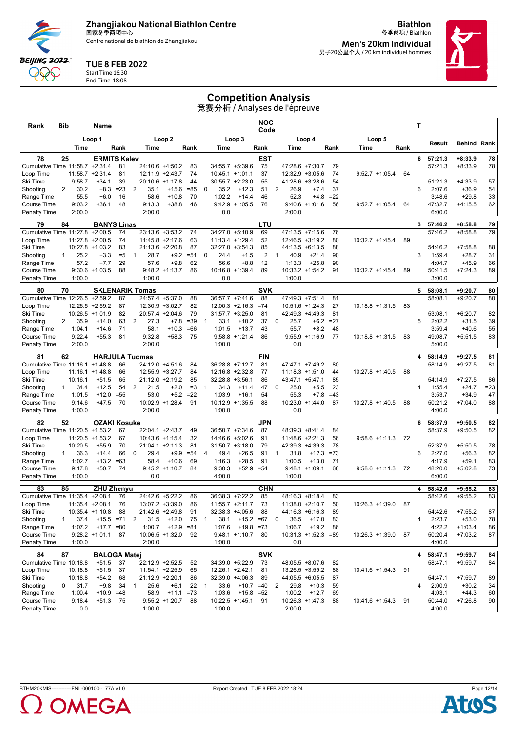Centre national de biathlon de Zhangjiakou

**Biathlon** 冬季两项 / Biathlon **Men's 20km Individual**

男子20公里个人 / 20 km individuel hommes

#### TUE 8 FEB 2022

**BEIJING 2022** QQQ

#### Start Time 16:30 End Time 18:08

## Competition Analysis

| Rank                            | Bib            |                    | Name                                     |             |                |                 |                                    |            |                |                    |                                      | <b>NOC</b><br>Code |                                       |                              |              |                      |      | Т |                    |                        |              |
|---------------------------------|----------------|--------------------|------------------------------------------|-------------|----------------|-----------------|------------------------------------|------------|----------------|--------------------|--------------------------------------|--------------------|---------------------------------------|------------------------------|--------------|----------------------|------|---|--------------------|------------------------|--------------|
|                                 |                |                    | Loop 1                                   |             |                |                 | Loop <sub>2</sub>                  |            |                |                    | Loop 3                               |                    |                                       | Loop 4                       |              | Loop 5               |      |   |                    |                        |              |
|                                 |                | Time               |                                          | Rank        |                | Time            |                                    | Rank       |                | Time               |                                      | Rank               | Time                                  |                              | Rank         | Time                 | Rank |   | Result             | <b>Behind Rank</b>     |              |
| 78                              | 25             |                    | <b>ERMITS Kalev</b>                      |             |                |                 |                                    |            |                |                    |                                      | <b>EST</b>         |                                       |                              |              |                      |      | 6 | 57:21.3            | $+8:33.9$              | 78           |
| Cumulative Time 11:58.7 +2:31.4 |                |                    |                                          | 81          |                | 24:10.6         | $+4:50.2$                          | 83         |                |                    | 34:55.7 +5:39.6                      | 75                 | 47:28.6 +7:30.7                       |                              | 79           |                      |      |   | 57:21.3            | $+8:33.9$              | 78           |
| Loop Time                       |                |                    | $11:58.7 + 2:31.4$                       | 81          |                |                 | 12:11.9 +2:43.7                    | 74         |                |                    | $10:45.1 + 1:01.1$                   | 37                 | $12:32.9 + 3:05.6$                    |                              | 74           | $9:52.7 +1:05.4$     | 64   |   |                    |                        |              |
| Ski Time                        |                | 9:58.7             | $+34.1$                                  | 39          |                |                 | 20:10.6 +1:17.8                    | 44         |                |                    | $30:55.7 +2:23.0$                    | 55                 | 41:28.6 +3:28.6                       |                              | 54           |                      |      |   | 51:21.3            | $+4:33.9$              | 57           |
| Shooting                        | 2              | 30.2               | $+8.3$                                   | $=23$       | 2              | 35.1            | $+15.6$                            | $= 85$     | $\mathbf 0$    | 35.2               | $+12.3$                              | 51<br>46           | 2<br>26.9                             | $+7.4$                       | 37<br>$= 22$ |                      |      | 6 | 2:07.6             | $+36.9$                | 54           |
| Range Time<br>Course Time       |                | 55.5<br>9:03.2     | $+6.0$<br>$+36.1$                        | 16<br>48    |                | 58.6<br>9:13.3  | $+10.8$<br>$+38.8$                 | 70<br>46   |                | 1:02.2             | $+14.4$<br>$9:42.9 +1:05.5$          | 76                 | 52.3<br>9:40.6                        | $+4.8$<br>$+1:01.6$          | 56           | $9:52.7 +1:05.4$     | 64   |   | 3:48.6<br>47:32.7  | $+29.8$<br>$+4:15.5$   | 33<br>62     |
| <b>Penalty Time</b>             |                | 2:00.0             |                                          |             |                | 2:00.0          |                                    |            |                | 0.0                |                                      |                    | 2:00.0                                |                              |              |                      |      |   | 6:00.0             |                        |              |
| 79                              | 84             |                    | <b>BANYS Linas</b>                       |             |                |                 |                                    |            |                |                    |                                      | LTU                |                                       |                              |              |                      |      | 3 |                    | $+8:58.8$              |              |
| Cumulative Time 11:27.8 +2:00.5 |                |                    |                                          | 74          |                |                 | 23:13.6 +3:53.2                    | 74         |                |                    | 34:27.0 +5:10.9                      | 69                 | $47:13.5 + 7:15.6$                    |                              | 76           |                      |      |   | 57:46.2<br>57:46.2 | $+8:58.8$              | 79<br>79     |
| Loop Time                       |                |                    | $11:27.8 + 2:00.5$                       | 74          |                |                 | $11:45.8 +2:17.6$                  | 63         |                | $11:13.4 + 1:29.4$ |                                      | 52                 | $12:46.5 + 3:19.2$                    |                              | 80           | $10:32.7 +1:45.4$    | 89   |   |                    |                        |              |
| Ski Time                        |                |                    | $10:27.8 + 1:03.2$                       | 83          |                |                 | 21:13.6 +2:20.8                    | 87         |                |                    | 32:27.0 +3:54.3                      | 85                 | 44:13.5 +6:13.5                       |                              | 88           |                      |      |   | 54:46.2            | $+7:58.8$              | 88           |
| Shooting                        | $\mathbf{1}$   | 25.2               | $+3.3$                                   | $=5$        | $\mathbf{1}$   | 28.7            | $+9.2$                             | $= 51$     | $\mathbf 0$    | 24.4               | $+1.5$                               | 2                  | 40.9<br>$\overline{1}$                | $+21.4$                      | 90           |                      |      | 3 | 1:59.4             | $+28.7$                | 31           |
| Range Time                      |                | 57.2               | $+7.7$                                   | 29          |                | 57.6            | $+9.8$                             | 62         |                | 56.6               | $+8.8$                               | 12                 | 1:13.3                                | $+25.8$                      | 90           |                      |      |   | 4:04.7             | $+45.9$                | 66           |
| Course Time                     |                | 9:30.6<br>1:00.0   | $+1:03.5$                                | 88          |                | 1:00.0          | $9:48.2 +1:13.7$                   | 86         |                |                    | $10:16.8 + 1:39.4$                   | 89                 | $10:33.2 +1:54.2$                     |                              | 91           | $10:32.7 +1:45.4$    | 89   |   | 50:41.5<br>3:00.0  | $+7:24.3$              | 89           |
| <b>Penalty Time</b>             |                |                    |                                          |             |                |                 |                                    |            |                | 0.0                |                                      |                    | 1:00.0                                |                              |              |                      |      |   |                    |                        |              |
| 80                              | 70             |                    | <b>SKLENARIK Tomas</b>                   |             |                |                 |                                    |            |                |                    |                                      | <b>SVK</b>         |                                       |                              |              |                      |      | 5 | 58:08.1            | $+9:20.7$              | 80           |
| Cumulative Time 12:26.5         |                |                    | $+2:59.2$                                | 87          |                |                 | 24:57.4 +5:37.0                    | 88         |                |                    | 36:57.7 +7:41.6                      | 88                 | 47:49.3 +7:51.4                       |                              | 81           |                      |      |   | 58:08.1            | $+9:20.7$              | 80           |
| Loop Time<br>Ski Time           |                |                    | $12:26.5 + 2:59.2$<br>$10:26.5 + 1:01.9$ | 87<br>82    |                |                 | 12:30.9 +3:02.7<br>20:57.4 +2:04.6 | 82<br>79   |                |                    | $12:00.3 +2:16.3$<br>31:57.7 +3:25.0 | $=74$<br>81        | $10:51.6 + 1:24.3$<br>42:49.3 +4:49.3 |                              | 27<br>81     | $10:18.8 + 1:31.5$   | 83   |   | 53:08.1            | $+6:20.7$              | 82           |
| Shooting                        | $\overline{2}$ | 35.9               | $+14.0$                                  | 63          | $\overline{2}$ | 27.3            | $+7.8$                             | $=39$      | $\mathbf{1}$   | 33.1               | $+10.2$                              | 37                 | $\mathbf 0$<br>25.7                   |                              | $+6.2 = 27$  |                      |      | 5 | 2:02.2             | $+31.5$                | 39           |
| Range Time                      |                | 1:04.1             | $+14.6$                                  | 71          |                | 58.1            | $+10.3$                            | $=66$      |                | 1:01.5             | $+13.7$                              | 43                 | 55.7                                  | $+8.2$                       | 48           |                      |      |   | 3:59.4             | $+40.6$                | 55           |
| Course Time                     |                | 9:22.4             | $+55.3$                                  | 81          |                | 9:32.8          | $+58.3$                            | 75         |                |                    | $9:58.8 + 1:21.4$                    | 86                 |                                       | $9:55.9 +1:16.9$             | -77          | $10:18.8 + 1:31.5$   | 83   |   | 49:08.7            | $+5:51.5$              | 83           |
| <b>Penalty Time</b>             |                | 2:00.0             |                                          |             |                | 2:00.0          |                                    |            |                | 1:00.0             |                                      |                    | 0.0                                   |                              |              |                      |      |   | 5:00.0             |                        |              |
| 81                              | 62             |                    | <b>HARJULA Tuomas</b>                    |             |                |                 |                                    |            |                |                    |                                      | <b>FIN</b>         |                                       |                              |              |                      |      | 4 | 58:14.9            | $+9:27.5$              | 81           |
| Cumulative Time 11:16.1         |                |                    | $+1:48.8$                                | 66          |                |                 | 24:12.0 +4:51.6                    | 84         |                |                    | 36:28.8 +7:12.7                      | 81                 | 47:47.1 +7:49.2                       |                              | 80           |                      |      |   | 58:14.9            | $+9:27.5$              | 81           |
| Loop Time                       |                |                    | $11:16.1 + 1:48.8$                       | 66          |                |                 | 12:55.9 +3:27.7                    | 84         |                |                    | 12:16.8 +2:32.8                      | 77                 | $11:18.3 + 1:51.0$                    |                              | 44           | 10:27.8 +1:40.5      | 88   |   |                    |                        |              |
| Ski Time<br>Shooting            | $\mathbf{1}$   | 10:16.1<br>34.4    | $+51.5$<br>$+12.5$                       | 65<br>54    | $\overline{2}$ | 21:12.0<br>21.5 | $+2:19.2$<br>$+2.0$                | 85<br>$=3$ | $\overline{1}$ | 34.3               | $32:28.8 + 3:56.1$<br>$+11.4$        | 86<br>47           | 43:47.1 +5:47.1<br>0<br>25.0          | $+5.5$                       | 85<br>23     |                      |      | 4 | 54:14.9<br>1:55.4  | $+7:27.5$<br>$+24.7$   | 86<br>$= 23$ |
| Range Time                      |                | 1:01.5             | $+12.0$                                  | $= 55$      |                | 53.0            | $+5.2$                             | $=22$      |                | 1:03.9             | $+16.1$                              | 54                 | 55.3                                  | $+7.8$                       | $=43$        |                      |      |   | 3:53.7             | $+34.9$                | 47           |
| Course Time                     |                | 9:14.6             | $+47.5$                                  | 70          |                |                 | 10:02.9 +1:28.4                    | 91         |                |                    | 10:12.9 +1:35.5                      | 88                 | 10:23.0                               | $+1:44.0$                    | 87           | $10:27.8 + 1:40.5$   | 88   |   | 50:21.2            | $+7:04.0$              | 88           |
| <b>Penalty Time</b>             |                | 1:00.0             |                                          |             |                | 2:00.0          |                                    |            |                | 1:00.0             |                                      |                    | 0.0                                   |                              |              |                      |      |   | 4:00.0             |                        |              |
| 82                              | 52             |                    | <b>OZAKI Kosuke</b>                      |             |                |                 |                                    |            |                |                    |                                      | <b>JPN</b>         |                                       |                              |              |                      |      | 6 | 58:37.9            | $+9:50.5$              | 82           |
| Cumulative Time 11:20.5 +1:53.2 |                |                    |                                          | 67          |                |                 | 22:04.1 +2:43.7                    | 49         |                |                    | 36:50.7 +7:34.6                      | 87                 | 48:39.3 +8:41.4                       |                              | 84           |                      |      |   | 58:37.9            | $+9:50.5$              | 82           |
| Loop Time                       |                |                    | $11:20.5 + 1:53.2$                       | 67          |                |                 | 10:43.6 +1:15.4                    | 32         |                |                    | 14:46.6 +5:02.6                      | 91                 | 11:48.6 +2:21.3                       |                              | 56           | $9:58.6 +1:11.3$     | 72   |   |                    |                        |              |
| Ski Time                        |                | 10:20.5            | $+55.9$                                  | 70          |                |                 | $21:04.1 +2:11.3$                  | 81         |                |                    | $31:50.7 + 3:18.0$                   | 79                 | 42:39.3 +4:39.3                       |                              | 78           |                      |      |   | 52:37.9            | $+5:50.5$              | 78           |
| Shooting                        | $\mathbf{1}$   | 36.3               | $+14.4$                                  | 66          | $\Omega$       | 29.4            | $+9.9$                             | $= 54$     | $\overline{4}$ | 49.4               | $+26.5$                              | 91                 | 31.8<br>-1                            | $+12.3$                      | $=73$        |                      |      | 6 | 2:27.0             | $+56.3$                | 82           |
| Range Time<br>Course Time       |                | 1:02.7<br>9:17.8   | $+13.2$<br>$+50.7$                       | $=63$<br>74 |                | 58.4            | $+10.6$<br>$9:45.2 +1:10.7$        | 69<br>84   |                | 1:16.3<br>9:30.3   | $+28.5$<br>$+52.9 = 54$              | 91                 | 1:00.5                                | $+13.0$<br>$9:48.1 + 1:09.1$ | 71<br>68     | $9:58.6 +1:11.3$     | 72   |   | 4:17.9<br>48:20.0  | $+59.1$<br>$+5:02.8$   | 83<br>73     |
| <b>Penalty Time</b>             |                | 1:00.0             |                                          |             |                | 0.0             |                                    |            |                | 4:00.0             |                                      |                    | 1:00.0                                |                              |              |                      |      |   | 6:00.0             |                        |              |
|                                 |                |                    |                                          |             |                |                 |                                    |            |                |                    |                                      |                    |                                       |                              |              |                      |      |   |                    |                        |              |
| 83<br>Cumulative Time 11:35.4   | 85             |                    | <b>ZHU Zhenyu</b><br>$+2:08.1$           | 76          |                |                 | 24:42.6 +5:22.2                    | 86         |                |                    | 36:38.3 +7:22.2                      | <b>CHN</b><br>85   | 48:16.3 +8:18.4                       |                              | 83           |                      |      | 4 | 58:42.6<br>58:42.6 | $+9:55.2$<br>$+9:55.2$ | 83<br>83     |
| Loop Time                       |                |                    | $11:35.4 +2:08.1$                        | 76          |                |                 | 13:07.2 +3:39.0                    | 86         |                |                    | $11:55.7 +2:11.7$                    | 73                 | $11:38.0 + 2:10.7$                    |                              | 50           | $10:26.3 +1:39.0$    | 87   |   |                    |                        |              |
| Ski lime                        |                |                    | 10:35.4 +1:10.8                          | 88          |                |                 | 21:42.6 +2:49.8                    | 91         |                |                    | 32:38.3 +4:05.6                      | 88                 | 44:16.3 +6:16.3                       |                              | 89           |                      |      |   | 54:42.6            | $+7:55.2$              | 87           |
| Shooting                        | 1              | 37.4               | $+15.5 = 71$                             |             | $\overline{2}$ | 31.5            | $+12.0$                            | 75         | $\overline{1}$ | 38.1               | $+15.2 = 67$                         |                    | 36.5<br>0                             | $+17.0$                      | 83           |                      |      | 4 | 2:23.7             | $+53.0$                | 78           |
| Range Time                      |                | 1:07.2             | $+17.7 = 80$                             |             |                | 1:00.7          | $+12.9 = 81$                       |            |                | 1:07.6             | $+19.8 = 73$                         |                    | 1:06.7                                | $+19.2$                      | 86           |                      |      |   | 4:22.2             | $+1:03.4$              | 86           |
| Course Time                     |                |                    | $9:28.2 +1:01.1$ 87                      |             |                |                 | 10:06.5 +1:32.0 92                 |            |                |                    | $9:48.1 +1:10.7$ 80                  |                    | $10:31.3 + 1:52.3 = 89$               |                              |              | $10:26.3 +1:39.0$ 87 |      |   | 50:20.4            | $+7:03.2$              | 87           |
| Penalty Time                    |                | 1:00.0             |                                          |             |                | 2:00.0          |                                    |            |                | 1:00.0             |                                      |                    | 0.0                                   |                              |              |                      |      |   | 4:00.0             |                        |              |
| 84                              | 87             |                    | <b>BALOGA Matei</b>                      |             |                |                 |                                    |            |                |                    |                                      | <b>SVK</b>         |                                       |                              |              |                      |      | 4 | 58:47.1            | $+9:59.7$              | 84           |
| Cumulative Time 10:18.8         |                |                    | $+51.5$                                  | 37          |                |                 | $22:12.9 + 2:52.5$                 | 52         |                |                    | 34:39.0 +5:22.9                      | 73                 | 48:05.5 +8:07.6                       |                              | 82           | 10:41.6 +1:54.3      |      |   | 58:47.1            | $+9:59.7$              | 84           |
| Loop Time<br>Ski Time           |                | 10:18.8<br>10:18.8 | $+51.5$<br>$+54.2$                       | 37<br>68    |                |                 | 11:54.1 +2:25.9<br>21:12.9 +2:20.1 | 65<br>86   |                | 12:26.1 +2:42.1    | 32:39.0 +4:06.3                      | 81<br>89           | 13:26.5 +3:59.2<br>44:05.5 +6:05.5    |                              | 88<br>87     |                      | 91   |   | 54:47.1            | $+7:59.7$              | 89           |
| Shooting                        | 0              | 31.7               | $+9.8$                                   | 34          | 1              | 25.6            | $+6.1$                             | 22         | 1              | 33.6               | $+10.7 = 40$                         |                    | 29.8<br>2                             | $+10.3$                      | 59           |                      |      | 4 | 2:00.9             | $+30.2$                | 34           |
| Range Time                      |                | 1:00.4             | $+10.9 = 48$                             |             |                | 58.9            | $+11.1 = 73$                       |            |                | 1:03.6             | $+15.8 = 52$                         |                    | 1:00.2                                | $+12.7$                      | 69           |                      |      |   | 4:03.1             | $+44.3$                | 60           |
| Course Time                     |                | 9:18.4             | $+51.3$ 75                               |             |                |                 | $9:55.2 +1:20.7$                   | 88         |                |                    | $10:22.5 +1:45.1$ 91                 |                    | $10:26.3 +1:47.3$                     |                              | 88           | 10:41.6 +1:54.3      | 91   |   | 50:44.0            | $+7:26.8$              | 90           |
| Penalty Time                    |                | 0.0                |                                          |             |                | 1:00.0          |                                    |            |                | 1:00.0             |                                      |                    | 2:00.0                                |                              |              |                      |      |   | 4:00.0             |                        |              |

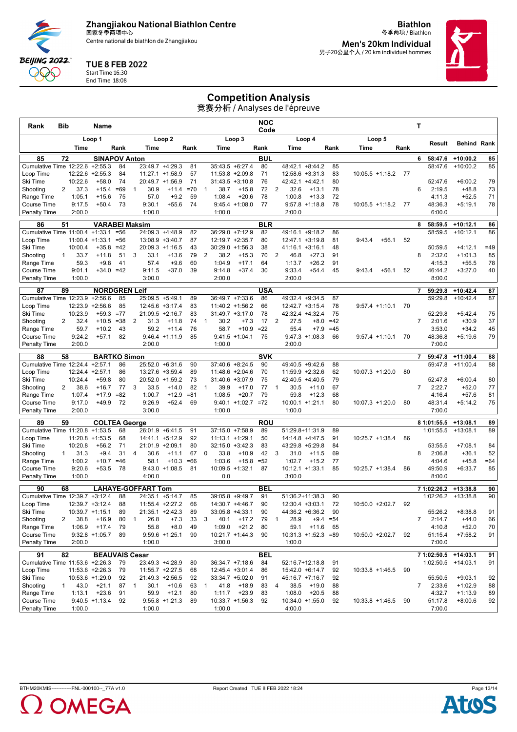Centre national de biathlon de Zhangjiakou

**Biathlon** 冬季两项 / Biathlon **Men's 20km Individual**

男子20公里个人 / 20 km individuel hommes

#### TUE 8 FEB 2022

**BEIJING 2022** QQQ

Start Time 16:30 End Time 18:08

# Competition Analysis

| Rank                                  | Bib            |                 | Name                             |          |              |                                      |                             |          |                |                    |                                    | NOC<br>Code      |                        |                                          |             |                    |      |    | Т                                    |                          |          |
|---------------------------------------|----------------|-----------------|----------------------------------|----------|--------------|--------------------------------------|-----------------------------|----------|----------------|--------------------|------------------------------------|------------------|------------------------|------------------------------------------|-------------|--------------------|------|----|--------------------------------------|--------------------------|----------|
|                                       |                |                 | Loop 1                           |          |              |                                      | Loop <sub>2</sub>           |          |                |                    | Loop 3                             |                  |                        | Loop 4                                   |             | Loop 5             |      |    | Result                               | <b>Behind Rank</b>       |          |
|                                       |                | Time            |                                  | Rank     |              | Time                                 |                             | Rank     |                | Time               |                                    | Rank             | Time                   |                                          | Rank        | Time               | Rank |    |                                      |                          |          |
| 85                                    | 72             |                 | <b>SINAPOV Anton</b>             |          |              |                                      |                             |          |                |                    |                                    | <b>BUL</b>       |                        |                                          |             |                    |      |    | 6<br>58:47.6                         | $+10:00.2$               | 85       |
| Cumulative Time 12:22.6<br>Loop Time  |                |                 | $+2:55.3$<br>$12:22.6 + 2:55.3$  | 84<br>84 |              | 23:49.7<br>11:27.1 +1:58.9           | $+4:29.3$                   | 81<br>57 |                |                    | 35:43.5 +6:27.4<br>11:53.8 +2:09.8 | 80<br>71         | 48:42.1                | $+8:44.2$<br>$12:58.6 + 3:31.3$          | 85<br>83    | $10:05.5 +1:18.2$  |      | 77 | 58:47.6                              | $+10:00.2$               | 85       |
| Ski Time                              |                | 10:22.6         | $+58.0$                          | 74       |              | 20:49.7 +1:56.9                      |                             | 71       |                |                    | $31:43.5 + 3:10.8$                 | 76               |                        | 42:42.1 +4:42.1                          | 80          |                    |      |    | 52:47.6                              | $+6:00.2$                | 79       |
| Shooting                              | $\overline{2}$ | 37.3            | $+15.4$                          | $=69$    | 1            | 30.9                                 | $+11.4$                     | $=70$    | $\mathbf{1}$   | 38.7               | $+15.8$                            | 72               | 32.6<br>2              | $+13.1$                                  | 78          |                    |      |    | 6<br>2:19.5                          | $+48.8$                  | 73       |
| Range Time                            |                | 1:05.1          | $+15.6$                          | 75       |              | 57.0                                 | $+9.2$                      | 59       |                | 1:08.4             | $+20.6$                            | 78               | 1:00.8                 | $+13.3$                                  | 72          |                    |      |    | 4:11.3                               | $+52.5$                  | 71       |
| Course Time                           |                | 9:17.5          | $+50.4$                          | 73       |              | 9:30.1                               | $+55.6$                     | 74       |                |                    | $9:45.4 +1:08.0$                   | 77               |                        | $9:57.8 +1:18.8$                         | 78          | $10:05.5 +1:18.2$  |      | 77 | 48:36.3                              | $+5:19.1$                | 78       |
| Penalty Time                          |                | 2:00.0          |                                  |          |              | 1:00.0                               |                             |          |                | 1:00.0             |                                    |                  | 2:00.0                 |                                          |             |                    |      |    | 6:00.0                               |                          |          |
| 86                                    | 51             |                 | <b>VARABEI Maksim</b>            |          |              |                                      |                             |          |                |                    |                                    | <b>BLR</b>       |                        |                                          |             |                    |      |    | 8<br>58:59.5                         | $+10:12.1$               | 86       |
| Cumulative Time 11:00.4 +1:33.1 =56   |                |                 |                                  | $= 56$   |              | 24:09.3 +4:48.9                      |                             | 82       |                |                    | 36:29.0 +7:12.9                    | 82               |                        | 49:16.1 +9:18.2                          | 86          |                    |      |    | 58:59.5                              | $+10:12.1$               | 86       |
| Loop Time<br>Ski Time                 |                | 10:00.4         | $11:00.4 + 1:33.1$<br>$+35.8$    | $=42$    |              | 13:08.9 +3:40.7<br>$20:09.3 +1:16.5$ |                             | 87<br>43 |                |                    | 12:19.7 +2:35.7<br>30:29.0 +1:56.3 | 80<br>38         |                        | $12:47.1 + 3:19.8$<br>$41:16.1 + 3:16.1$ | 81<br>48    | 9:43.4<br>$+56.1$  |      | 52 | 50:59.5                              | $+4:12.1$                | $=49$    |
| Shooting                              | $\mathbf{1}$   | 33.7            | $+11.8$                          | 51       | 3            | 33.1                                 | $+13.6$                     | 79       | 2              | 38.2               | $+15.3$                            | 70               | 2<br>46.8              | $+27.3$                                  | 91          |                    |      |    | 8<br>2:32.0                          | $+1:01.3$                | 85       |
| Range Time                            |                | 59.3            | $+9.8$                           | 41       |              | 57.4                                 | $+9.6$                      | 60       |                | 1:04.9             | $+17.1$                            | 64               | 1:13.7                 | $+26.2$                                  | 91          |                    |      |    | 4:15.3                               | $+56.5$                  | 78       |
| Course Time                           |                | 9:01.1          | $+34.0 = 42$                     |          |              | 9:11.5                               | $+37.0$                     | 39       |                | 9:14.8             | $+37.4$                            | 30               | 9:33.4                 | $+54.4$                                  | 45          | 9:43.4<br>$+56.1$  |      | 52 | 46:44.2                              | $+3:27.0$                | 40       |
| <b>Penalty Time</b>                   |                | 1:00.0          |                                  |          |              | 3:00.0                               |                             |          |                | 2:00.0             |                                    |                  | 2:00.0                 |                                          |             |                    |      |    | 8:00.0                               |                          |          |
| 87                                    | 89             |                 | <b>NORDGREN Leif</b>             |          |              |                                      |                             |          |                |                    |                                    | <b>USA</b>       |                        |                                          |             |                    |      |    | 59:29.8<br>$\overline{7}$            | $+10:42.4$               | 87       |
| Cumulative Time 12:23.9               |                |                 | $+2:56.6$                        | 85       |              | 25:09.5 +5:49.1                      |                             | 89       |                |                    | 36:49.7 +7:33.6                    | 86               |                        | 49:32.4 +9:34.5                          | 87          |                    |      |    | 59:29.8                              | $+10:42.4$               | 87       |
| Loop Time                             |                |                 | $12:23.9 + 2:56.6$               | 85       |              | 12:45.6 +3:17.4                      |                             | 83       |                |                    | 11:40.2 +1:56.2                    | 66               |                        | $12:42.7 + 3:15.4$                       | 78          | $9:57.4 +1:10.1$   |      | 70 |                                      |                          |          |
| Ski Time                              |                | 10:23.9         | $+59.3$                          | $=77$    |              | 21:09.5 +2:16.7                      |                             | 83       |                |                    | $31:49.7 + 3:17.0$                 | 78               |                        | 42:32.4 +4:32.4                          | 75          |                    |      |    | 52:29.8                              | $+5:42.4$                | 75       |
| Shooting                              | 2              | 32.4            | $+10.5$                          | $= 38$   | 2            | 31.3                                 | $+11.8$                     | 74       | $\mathbf{1}$   | 30.2               | $+7.3$                             | 17               | $\overline{2}$<br>27.5 | $+8.0$                                   | $=42$       |                    |      |    | $\overline{7}$<br>2:01.6             | $+30.9$                  | 37       |
| Range Time<br>Course Time             |                | 59.7<br>9:24.2  | $+10.2$<br>$+57.1$               | 43<br>82 |              | 59.2                                 | $+11.4$<br>$9:46.4 +1:11.9$ | 76<br>85 |                | 58.7               | $+10.9$<br>$9:41.5 +1:04.1$        | $=22$<br>75      | 55.4                   | $+7.9$<br>$9:47.3 +1:08.3$               | $=45$<br>66 | $9:57.4 +1:10.1$   |      | 70 | 3:53.0<br>48:36.8                    | $+34.2$<br>$+5:19.6$     | 45<br>79 |
| Penalty Time                          |                | 2:00.0          |                                  |          |              | 2:00.0                               |                             |          |                | 1:00.0             |                                    |                  | 2:00.0                 |                                          |             |                    |      |    | 7:00.0                               |                          |          |
|                                       |                |                 |                                  |          |              |                                      |                             |          |                |                    |                                    |                  |                        |                                          |             |                    |      |    |                                      |                          |          |
| 88<br>Cumulative Time 12:24.4         | 58             |                 | <b>BARTKO Simon</b><br>$+2:57.1$ | 86       |              | 25:52.0                              | $+6:31.6$                   | 90       |                |                    | 37:40.6 +8:24.5                    | <b>SVK</b><br>90 |                        | 49:40.5 +9:42.6                          | 88          |                    |      |    | $\overline{7}$<br>59:47.8<br>59:47.8 | $+11:00.4$<br>$+11:00.4$ | 88<br>88 |
| Loop Time                             |                |                 | 12:24.4 +2:57.1                  | 86       |              | 13:27.6 +3:59.4                      |                             | 89       |                |                    | 11:48.6 +2:04.6                    | 70               |                        | $11:59.9 + 2:32.6$                       | 62          | $10:07.3 + 1:20.0$ |      | 80 |                                      |                          |          |
| Ski Time                              |                | 10:24.4         | $+59.8$                          | 80       |              | 20:52.0 +1:59.2                      |                             | 73       |                | 31:40.6            | $+3:07.9$                          | 75               |                        | 42:40.5 +4:40.5                          | 79          |                    |      |    | 52:47.8                              | $+6:00.4$                | 80       |
| Shooting                              | 2              | 38.6            | $+16.7$                          | 77       | 3            | 33.5                                 | $+14.0$                     | 82       | $\overline{1}$ | 39.9               | $+17.0$                            | 77               | $\overline{1}$<br>30.5 | $+11.0$                                  | 67          |                    |      |    | $\overline{7}$<br>2:22.7             | $+52.0$                  | 77       |
| Range Time                            |                | 1:07.4          | $+17.9$                          | $= 82$   |              | 1:00.7                               | $+12.9$                     | $= 81$   |                | 1:08.5             | $+20.7$                            | 79               | 59.8                   | $+12.3$                                  | 68          |                    |      |    | 4:16.4                               | $+57.6$                  | 81       |
| Course Time                           |                | 9:17.0          | $+49.9$                          | 72       |              | 9:26.9                               | $+52.4$                     | 69       |                |                    | $9:40.1 +1:02.7 = 72$              |                  |                        | $10:00.1 + 1:21.1$                       | 80          | $10:07.3 + 1:20.0$ |      | 80 | 48:31.4                              | $+5:14.2$                | 75       |
| <b>Penalty Time</b>                   |                | 2:00.0          |                                  |          |              | 3:00.0                               |                             |          |                | 1:00.0             |                                    |                  | 1:00.0                 |                                          |             |                    |      |    | 7:00.0                               |                          |          |
| 89                                    | 59             |                 | <b>COLTEA George</b>             |          |              |                                      |                             |          |                |                    |                                    | <b>ROU</b>       |                        |                                          |             |                    |      |    | 8 1:01:55.5                          | $+13:08.1$               | 89       |
| Cumulative Time 11:20.8 +1:53.5       |                |                 |                                  | 68       |              | 26:01.9 +6:41.5                      |                             | 91       |                |                    | 37:15.0 +7:58.9                    | 89               |                        | 51:29.8+11:31.9                          | 89          |                    |      |    | 1:01:55.5                            | $+13:08.1$               | 89       |
| Loop Time                             |                |                 | $11:20.8$ +1:53.5                | 68<br>71 |              | 14:41.1 +5:12.9                      |                             | 92       |                | $11:13.1 + 1:29.1$ |                                    | 50               |                        | 14:14.8 +4:47.5                          | 91          | $10:25.7 + 1:38.4$ |      | 86 |                                      |                          |          |
| Ski Time<br>Shooting                  | $\mathbf{1}$   | 10:20.8<br>31.3 | $+56.2$<br>$+9.4$                | 31       | 4            | 21:01.9 +2:09.1<br>30.6              | $+11.1$                     | 80<br>67 | $\Omega$       | 33.8               | 32:15.0 +3:42.3<br>$+10.9$         | 83<br>42         | 3<br>31.0              | 43:29.8 +5:29.8<br>$+11.5$               | 84<br>69    |                    |      |    | 53:55.5<br>8<br>2:06.8               | $+7:08.1$<br>$+36.1$     | 84<br>52 |
| Range Time                            |                | 1:00.2          | $+10.7$                          | $=46$    |              | 58.1                                 | $+10.3$                     | $=66$    |                | 1:03.6             | $+15.8$                            | $= 52$           | 1:02.7                 | $+15.2$                                  | 77          |                    |      |    | 4:04.6                               | $+45.8$                  | $=64$    |
| Course Time                           |                | 9:20.6          | $+53.5$                          | 78       |              |                                      | $9:43.0 +1:08.5$            | 81       |                |                    | $10:09.5 + 1:32.1$                 | 87               |                        | $10:12.1 + 1:33.1$                       | 85          | $10:25.7 + 1:38.4$ |      | 86 | 49:50.9                              | $+6:33.7$                | 85       |
| <b>Penalty Time</b>                   |                | 1:00.0          |                                  |          |              | 4:00.0                               |                             |          |                | 0.0                |                                    |                  | 3:00.0                 |                                          |             |                    |      |    | 8:00.0                               |                          |          |
| 90                                    | 68             |                 |                                  |          |              | <b>LAHAYE-GOFFART Tom</b>            |                             |          |                |                    |                                    | <b>BEL</b>       |                        |                                          |             |                    |      |    | 7 1:02:26.2                          | $+13:38.8$               | 90       |
| Cumulative Time 12:39.7               |                |                 | $+3:12.4$                        | 88       |              | 24:35.1                              | $+5:14.7$                   | 85       |                |                    | 39:05.8 +9:49.7                    | 91               |                        | 51:36.2+11:38.3                          | 90          |                    |      |    | 1:02:26.2                            | $+13:38.8$               | 90       |
| Loop Time                             |                |                 | $12:39.7 + 3:12.4$               | 88       |              | $11:55.4 +2:27.2$                    |                             | 66       |                |                    | 14:30.7 +4:46.7                    | 90               |                        | $12:30.4 +3:03.1$                        | 72          | $10:50.0 +2:02.7$  |      | 92 |                                      |                          |          |
| Ski Time                              |                | 10:39.7         | $+1:15.1$                        | 89       |              | 21:35.1                              | $+2:42.3$                   | 89       |                |                    | 33:05.8 +4:33.1                    | 90               |                        | 44:36.2 +6:36.2                          | 90          |                    |      |    | 55:26.2                              | $+8:38.8$                | 91       |
| Shooting                              | 2              | 38.8            | $+16.9$                          | 80       | $\mathbf{1}$ | 26.8                                 | $+7.3$                      | 33       | 3              | 40.1               | $+17.2$                            | 79               | 28.9<br>1              |                                          | $+9.4 = 54$ |                    |      |    | $\overline{7}$<br>2:14.7             | $+44.0$                  | 66       |
| Range Time                            |                | 1:06.9          | $+17.4$                          | 79       |              | 55.8                                 | $+8.0$                      | 49       |                | 1:09.0             | $+21.2$                            | 80               | 59.1                   | $+11.6$                                  | 65          |                    |      |    | 4:10.8                               | $+52.0$                  | 70       |
| Course Time                           |                |                 | $9:32.8 +1:05.7$                 | 89       |              |                                      | $9:59.6$ +1:25.1            | 90       |                |                    | $10:21.7 +1:44.3$                  | 90               |                        | $10:31.3 + 1:52.3 = 89$                  |             | 10:50.0 +2:02.7    |      | 92 | 51:15.4                              | $+7:58.2$                | 91       |
| <b>Penalty Time</b>                   |                | 2:00.0          |                                  |          |              | 1:00.0                               |                             |          |                | 3:00.0             |                                    |                  | 1:00.0                 |                                          |             |                    |      |    | 7:00.0                               |                          |          |
| 91<br>Cumulative Time 11:53.6 +2:26.3 | 82             |                 | <b>BEAUVAIS Cesar</b>            | 79       |              | 23:49.3 +4:28.9                      |                             |          |                |                    | 36:34.7 +7:18.6                    | <b>BEL</b>       |                        |                                          |             |                    |      |    | 7 1:02:50.5<br>1:02:50.5             | $+14:03.1$<br>$+14:03.1$ | 91<br>91 |
| Loop Time                             |                |                 | 11:53.6 +2:26.3                  | 79       |              | 11:55.7 +2:27.5                      |                             | 80<br>68 |                |                    | 12:45.4 +3:01.4                    | 84<br>86         |                        | 52:16.7+12:18.8<br>15:42.0 +6:14.7       | 91<br>92    | $10:33.8 +1:46.5$  |      | 90 |                                      |                          |          |
| Ski Time                              |                |                 | 10:53.6 +1:29.0                  | 92       |              | 21:49.3 +2:56.5                      |                             | 92       |                |                    | 33:34.7 +5:02.0                    | 91               |                        | 45:16.7 +7:16.7                          | 92          |                    |      |    | 55:50.5                              | $+9:03.1$                | 92       |
| Shooting                              | $\mathbf{1}$   | 43.0            | $+21.1$                          | 87       | -1           | 30.1                                 | $+10.6$                     | 63       | $\mathbf{1}$   | 41.8               | +18.9                              | 83               | 4                      | $38.5$ +19.0                             | 88          |                    |      |    | $7^{\circ}$<br>2:33.6                | $+1:02.9$                | 88       |
| Range Time                            |                | 1:13.1          | $+23.6$                          | 91       |              | 59.9                                 | $+12.1$                     | 80       |                | 1:11.7             | $+23.9$                            | 83               | 1:08.0                 | $+20.5$                                  | 88          |                    |      |    | 4:32.7                               | $+1:13.9$                | 89       |
| Course Time                           |                |                 | $9:40.5 +1:13.4$                 | 92       |              |                                      | $9:55.8 +1:21.3$            | 89       |                |                    | $10:33.7 +1:56.3$                  | 92               |                        | $10:34.0 +1:55.0$                        | 92          | $10:33.8 + 1:46.5$ |      | 90 | 51:17.8                              | $+8:00.6$                | 92       |
| <b>Penalty Time</b>                   |                | 1:00.0          |                                  |          |              | 1:00.0                               |                             |          |                | 1:00.0             |                                    |                  | 4:00.0                 |                                          |             |                    |      |    | 7:00.0                               |                          |          |